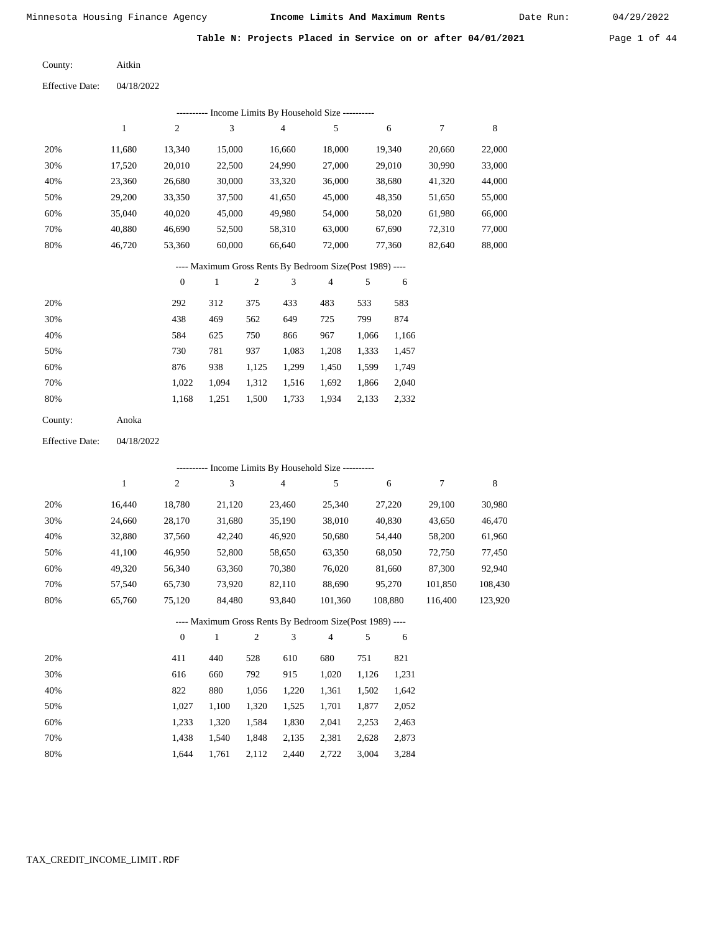Table N: Projects Placed in Service on or after 04/01/2021 Page 1 of 44

| County: | Aitkin |
|---------|--------|
|         |        |

Effective Date: 04/18/2022

| --------- Income Limits By Household Size ---------- |        |        |        |                                                           |        |        |        |        |  |  |  |
|------------------------------------------------------|--------|--------|--------|-----------------------------------------------------------|--------|--------|--------|--------|--|--|--|
|                                                      |        | 2      | 3      | 4                                                         | 5      | 6      | 7      | 8      |  |  |  |
| 20%                                                  | 11.680 | 13.340 | 15,000 | 16.660                                                    | 18,000 | 19.340 | 20,660 | 22,000 |  |  |  |
| 30%                                                  | 17,520 | 20,010 | 22,500 | 24,990                                                    | 27,000 | 29,010 | 30,990 | 33,000 |  |  |  |
| 40%                                                  | 23,360 | 26,680 | 30,000 | 33,320                                                    | 36,000 | 38,680 | 41,320 | 44,000 |  |  |  |
| 50%                                                  | 29,200 | 33,350 | 37,500 | 41,650                                                    | 45,000 | 48,350 | 51,650 | 55,000 |  |  |  |
| 60%                                                  | 35,040 | 40,020 | 45,000 | 49,980                                                    | 54,000 | 58,020 | 61,980 | 66,000 |  |  |  |
| 70%                                                  | 40.880 | 46.690 | 52,500 | 58,310                                                    | 63,000 | 67,690 | 72,310 | 77,000 |  |  |  |
| 80%                                                  | 46.720 | 53,360 | 60,000 | 66.640                                                    | 72,000 | 77.360 | 82,640 | 88,000 |  |  |  |
|                                                      |        |        |        | ---- Maximum Gross Rents By Bedroom Size (Post 1989) ---- |        |        |        |        |  |  |  |

|     | $\mathbf{0}$ |       | $\overline{c}$ | 3     | 4     | 5     | 6     |
|-----|--------------|-------|----------------|-------|-------|-------|-------|
| 20% | 292          | 312   | 375            | 433   | 483   | 533   | 583   |
| 30% | 438          | 469   | 562            | 649   | 725   | 799   | 874   |
| 40% | 584          | 625   | 750            | 866   | 967   | 1,066 | 1,166 |
| 50% | 730          | 781   | 937            | 1,083 | 1,208 | 1,333 | 1,457 |
| 60% | 876          | 938   | 1,125          | 1,299 | 1,450 | 1,599 | 1,749 |
| 70% | 1.022        | 1.094 | 1,312          | 1,516 | 1,692 | 1,866 | 2,040 |
| 80% | 1,168        | 1,251 | 1,500          | 1,733 | 1,934 | 2,133 | 2,332 |
|     |              |       |                |       |       |       |       |

| County: | Anoka |
|---------|-------|
|---------|-------|

Effective Date: 04/18/2022

| ---------- Income Limits By Household Size ---------- |        |          |        |                                                          |                |         |         |         |  |
|-------------------------------------------------------|--------|----------|--------|----------------------------------------------------------|----------------|---------|---------|---------|--|
|                                                       | 1      | 2        | 3      | $\overline{4}$                                           | 5              | 6       | 7       | 8       |  |
| 20%                                                   | 16.440 | 18,780   | 21,120 | 23,460                                                   | 25,340         | 27,220  | 29,100  | 30,980  |  |
| 30%                                                   | 24,660 | 28,170   | 31,680 | 35,190                                                   | 38,010         | 40,830  | 43,650  | 46,470  |  |
| 40%                                                   | 32,880 | 37,560   | 42,240 | 46,920                                                   | 50,680         | 54,440  | 58,200  | 61,960  |  |
| 50%                                                   | 41,100 | 46,950   | 52,800 | 58,650                                                   | 63,350         | 68,050  | 72,750  | 77,450  |  |
| 60%                                                   | 49,320 | 56,340   | 63,360 | 70,380                                                   | 76,020         | 81,660  | 87,300  | 92,940  |  |
| 70%                                                   | 57,540 | 65,730   | 73,920 | 82,110                                                   | 88,690         | 95,270  | 101,850 | 108,430 |  |
| 80%                                                   | 65,760 | 75,120   | 84,480 | 93,840                                                   | 101,360        | 108,880 | 116.400 | 123,920 |  |
|                                                       |        |          |        | ---- Maximum Gross Rents By Bedroom Size(Post 1989) ---- |                |         |         |         |  |
|                                                       |        | $\theta$ | -1     | 2<br>3                                                   | $\overline{4}$ | 5<br>6  |         |         |  |
|                                                       |        |          |        |                                                          |                |         |         |         |  |

| 20% | 411   | 440   | 528   | 610   | 680   | 751   | 821   |
|-----|-------|-------|-------|-------|-------|-------|-------|
| 30% | 616   | 660   | 792   | 915   | 1.020 | 1.126 | 1,231 |
| 40% | 822   | 880   | 1.056 | 1.220 | 1,361 | 1.502 | 1,642 |
| 50% | 1.027 | 1.100 | 1.320 | 1.525 | 1,701 | 1.877 | 2,052 |
| 60% | 1.233 | 1.320 | 1.584 | 1,830 | 2,041 | 2,253 | 2,463 |
| 70% | 1.438 | 1.540 | 1,848 | 2,135 | 2,381 | 2,628 | 2,873 |
| 80% | 1.644 | 1.761 | 2,112 | 2.440 | 2,722 | 3,004 | 3,284 |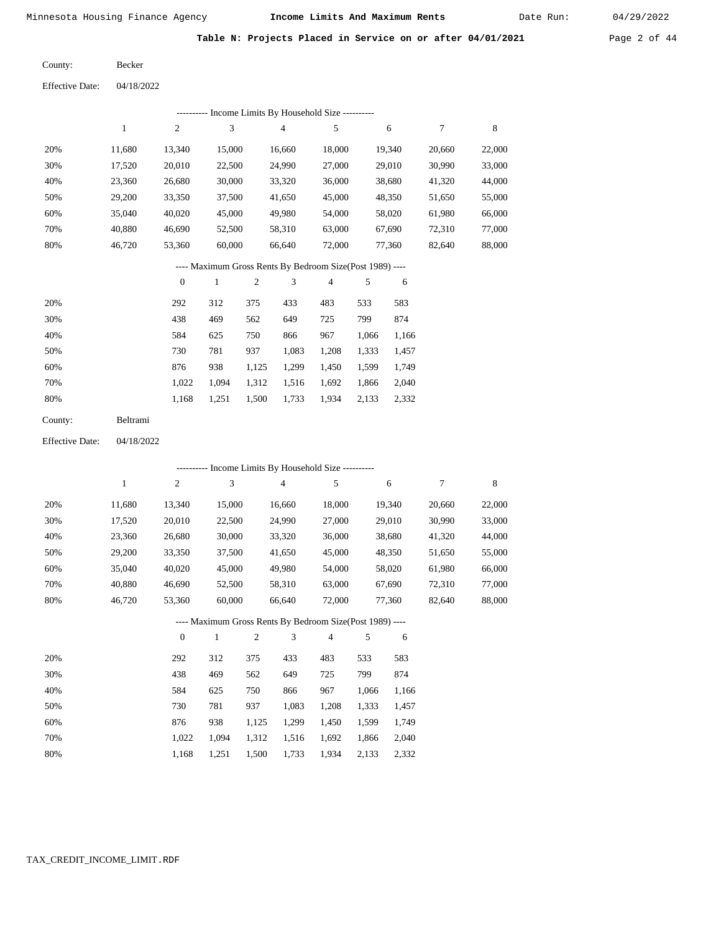Table N: Projects Placed in Service on or after 04/01/2021 Page 2 of 44

| County: | Becker |
|---------|--------|
|         |        |

Effective Date: 04/18/2022

|         |              |                  |        |                | --------- Income Limits By Household Size ----------     |        |       |        |        |        |
|---------|--------------|------------------|--------|----------------|----------------------------------------------------------|--------|-------|--------|--------|--------|
|         | $\mathbf{1}$ | $\mathfrak{2}$   | 3      |                | $\overline{4}$                                           | 5      |       | 6      | 7      | 8      |
| 20%     | 11,680       | 13,340           | 15,000 |                | 16,660                                                   | 18,000 |       | 19,340 | 20,660 | 22,000 |
| 30%     | 17,520       | 20,010           | 22,500 |                | 24,990                                                   | 27,000 |       | 29,010 | 30,990 | 33,000 |
| 40%     | 23,360       | 26,680           | 30,000 |                | 33,320                                                   | 36,000 |       | 38,680 | 41,320 | 44,000 |
| 50%     | 29,200       | 33,350           | 37,500 |                | 41,650                                                   | 45,000 |       | 48,350 | 51,650 | 55,000 |
| 60%     | 35,040       | 40,020           | 45,000 |                | 49,980                                                   | 54,000 |       | 58,020 | 61,980 | 66,000 |
| 70%     | 40,880       | 46,690           | 52,500 |                | 58,310                                                   | 63,000 |       | 67,690 | 72,310 | 77,000 |
| 80%     | 46,720       | 53,360           | 60,000 |                | 66,640                                                   | 72,000 |       | 77,360 | 82,640 | 88,000 |
|         |              |                  |        |                | ---- Maximum Gross Rents By Bedroom Size(Post 1989) ---- |        |       |        |        |        |
|         |              | $\boldsymbol{0}$ | 1      | $\overline{c}$ | 3                                                        | 4      | 5     | 6      |        |        |
| 20%     |              | 292              | 312    | 375            | 433                                                      | 483    | 533   | 583    |        |        |
| 30%     |              | 438              | 469    | 562            | 649                                                      | 725    | 799   | 874    |        |        |
| 40%     |              | 584              | 625    | 750            | 866                                                      | 967    | 1,066 | 1,166  |        |        |
| 50%     |              | 730              | 781    | 937            | 1,083                                                    | 1,208  | 1,333 | 1,457  |        |        |
| 60%     |              | 876              | 938    | 1,125          | 1,299                                                    | 1,450  | 1,599 | 1,749  |        |        |
| 70%     |              | 1,022            | 1,094  | 1,312          | 1,516                                                    | 1,692  | 1,866 | 2,040  |        |        |
| 80%     |              | 1,168            | 1,251  | 1,500          | 1,733                                                    | 1,934  | 2,133 | 2,332  |        |        |
| County: | Beltrami     |                  |        |                |                                                          |        |       |        |        |        |

Effective Date: 04/18/2022

|     |        |                |              |                |                | --------- Income Limits By Household Size ----------     |       |        |                |        |
|-----|--------|----------------|--------------|----------------|----------------|----------------------------------------------------------|-------|--------|----------------|--------|
|     | 1      | $\overline{c}$ | 3            |                | $\overline{4}$ | 5                                                        |       | 6      | $\overline{7}$ | 8      |
| 20% | 11,680 | 13,340         | 15,000       |                | 16,660         | 18,000                                                   |       | 19,340 | 20,660         | 22,000 |
| 30% | 17,520 | 20,010         | 22,500       |                | 24,990         | 27,000                                                   |       | 29,010 | 30,990         | 33,000 |
| 40% | 23,360 | 26,680         | 30,000       |                | 33,320         | 36,000                                                   |       | 38,680 | 41,320         | 44,000 |
| 50% | 29,200 | 33,350         | 37,500       |                | 41,650         | 45,000                                                   |       | 48,350 | 51,650         | 55,000 |
| 60% | 35,040 | 40,020         | 45,000       |                | 49,980         | 54,000                                                   |       | 58,020 | 61,980         | 66,000 |
| 70% | 40,880 | 46,690         | 52,500       |                | 58,310         | 63,000                                                   |       | 67,690 | 72,310         | 77,000 |
| 80% | 46,720 | 53,360         | 60,000       |                | 66,640         | 72,000                                                   |       | 77,360 | 82,640         | 88,000 |
|     |        |                |              |                |                | ---- Maximum Gross Rents By Bedroom Size(Post 1989) ---- |       |        |                |        |
|     |        | $\theta$       | $\mathbf{1}$ | $\mathfrak{2}$ | 3              | 4                                                        | 5     | 6      |                |        |
| 20% |        | 292            | 312          | 375            | 433            | 483                                                      | 533   | 583    |                |        |
| 30% |        | 438            | 469          | 562            | 649            | 725                                                      | 799   | 874    |                |        |
| 40% |        | 584            | 625          | 750            | 866            | 967                                                      | 1,066 | 1,166  |                |        |
| 50% |        | 730            | 781          | 937            | 1,083          | 1,208                                                    | 1,333 | 1,457  |                |        |
| 60% |        | 876            | 938          | 1,125          | 1,299          | 1,450                                                    | 1,599 | 1,749  |                |        |
| 70% |        | 1,022          | 1,094        | 1,312          | 1,516          | 1,692                                                    | 1,866 | 2,040  |                |        |

1,168 1,251 1,500 1,733 1,934 2,133 2,332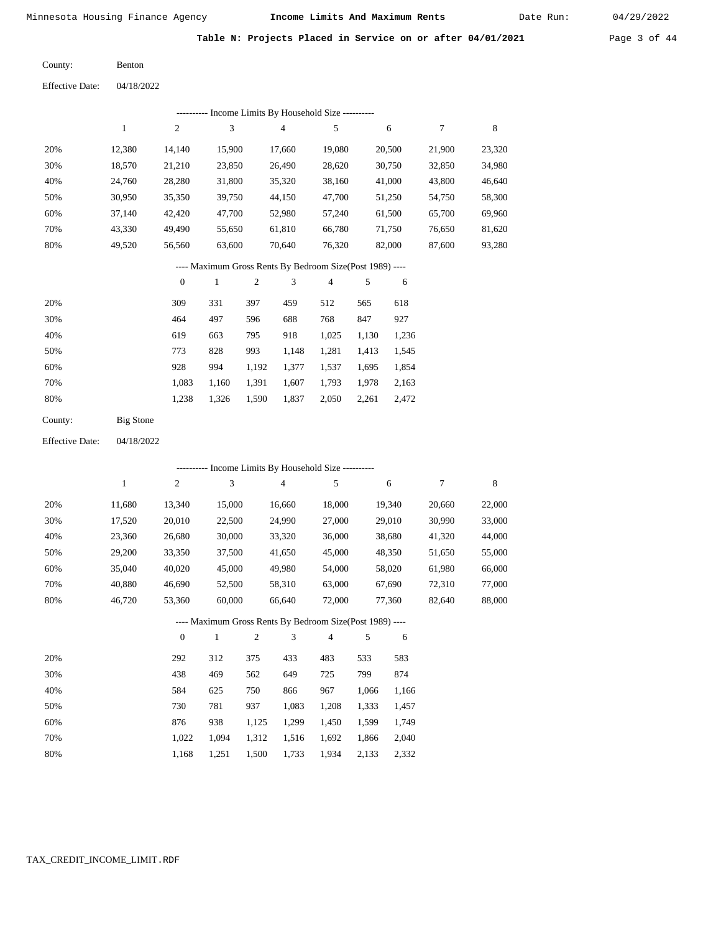Date Run:

Table N: Projects Placed in Service on or after 04/01/2021 Page 3 of 44

| County: | <b>Benton</b> |
|---------|---------------|
|         |               |

| <b>Effective Date:</b> | 04/18/2022 |
|------------------------|------------|
|                        |            |

|     | Income Limits By Household Size ---------- |        |        |        |        |        |        |        |  |  |  |  |
|-----|--------------------------------------------|--------|--------|--------|--------|--------|--------|--------|--|--|--|--|
|     |                                            | 2      | 3      | 4      | 5      | 6      |        | 8      |  |  |  |  |
| 20% | 12.380                                     | 14.140 | 15.900 | 17.660 | 19.080 | 20,500 | 21,900 | 23,320 |  |  |  |  |
| 30% | 18,570                                     | 21,210 | 23,850 | 26,490 | 28,620 | 30,750 | 32,850 | 34,980 |  |  |  |  |
| 40% | 24,760                                     | 28,280 | 31,800 | 35,320 | 38,160 | 41,000 | 43,800 | 46,640 |  |  |  |  |
| 50% | 30,950                                     | 35,350 | 39,750 | 44,150 | 47,700 | 51,250 | 54,750 | 58,300 |  |  |  |  |
| 60% | 37.140                                     | 42,420 | 47,700 | 52,980 | 57,240 | 61,500 | 65,700 | 69,960 |  |  |  |  |
| 70% | 43,330                                     | 49,490 | 55,650 | 61,810 | 66,780 | 71,750 | 76,650 | 81,620 |  |  |  |  |
| 80% | 49,520                                     | 56,560 | 63,600 | 70,640 | 76,320 | 82,000 | 87,600 | 93,280 |  |  |  |  |

### ---- Maximum Gross Rents By Bedroom Size(Post 1989) ----

|     | $\mathbf{0}$ |       | $\overline{c}$ | 3     | 4     |       | 6     |
|-----|--------------|-------|----------------|-------|-------|-------|-------|
| 20% | 309          | 331   | 397            | 459   | 512   | 565   | 618   |
| 30% | 464          | 497   | 596            | 688   | 768   | 847   | 927   |
| 40% | 619          | 663   | 795            | 918   | 1,025 | 1,130 | 1,236 |
| 50% | 773          | 828   | 993            | 1,148 | 1,281 | 1,413 | 1,545 |
| 60% | 928          | 994   | 1,192          | 1,377 | 1,537 | 1,695 | 1,854 |
| 70% | 1,083        | 1,160 | 1,391          | 1,607 | 1,793 | 1,978 | 2,163 |
| 80% | 1,238        | 1,326 | 1,590          | 1,837 | 2,050 | 2,261 | 2,472 |
|     |              |       |                |       |       |       |       |

| County: | Big Stone |
|---------|-----------|
|         |           |

04/18/2022 Effective Date:

|     |        |                |        |                | ---------- Income Limits By Household Size ----------    |                |       |        |        |        |
|-----|--------|----------------|--------|----------------|----------------------------------------------------------|----------------|-------|--------|--------|--------|
|     | 1      | $\overline{c}$ | 3      |                | $\overline{4}$                                           | 5              |       | 6      | 7      | 8      |
| 20% | 11,680 | 13,340         | 15,000 |                | 16,660                                                   | 18,000         |       | 19,340 | 20,660 | 22,000 |
| 30% | 17,520 | 20,010         | 22,500 |                | 24,990                                                   | 27,000         |       | 29,010 | 30,990 | 33,000 |
| 40% | 23,360 | 26,680         | 30,000 |                | 33,320                                                   | 36,000         |       | 38,680 | 41,320 | 44,000 |
| 50% | 29,200 | 33,350         | 37,500 |                | 41,650                                                   | 45,000         |       | 48,350 | 51,650 | 55,000 |
| 60% | 35,040 | 40,020         | 45,000 |                | 49,980                                                   | 54,000         |       | 58,020 | 61,980 | 66,000 |
| 70% | 40,880 | 46,690         | 52,500 |                | 58,310                                                   | 63,000         |       | 67,690 | 72,310 | 77,000 |
| 80% | 46,720 | 53,360         | 60,000 |                | 66,640                                                   | 72,000         |       | 77,360 | 82,640 | 88,000 |
|     |        |                |        |                | ---- Maximum Gross Rents By Bedroom Size(Post 1989) ---- |                |       |        |        |        |
|     |        | $\theta$       | 1      | $\overline{2}$ | 3                                                        | $\overline{4}$ | 5     | 6      |        |        |
| 20% |        | 292            | 312    | 375            | 433                                                      | 483            | 533   | 583    |        |        |
| 30% |        | 438            | 469    | 562            | 649                                                      | 725            | 799   | 874    |        |        |
| 40% |        | 584            | 625    | 750            | 866                                                      | 967            | 1,066 | 1,166  |        |        |
| 50% |        | 730            | 781    | 937            | 1,083                                                    | 1,208          | 1,333 | 1,457  |        |        |
| 60% |        | 876            | 938    | 1,125          | 1,299                                                    | 1,450          | 1,599 | 1,749  |        |        |
| 70% |        | 1,022          | 1,094  | 1,312          | 1,516                                                    | 1,692          | 1,866 | 2,040  |        |        |

1,168 1,251 1,500 1,733 1,934 2,133 2,332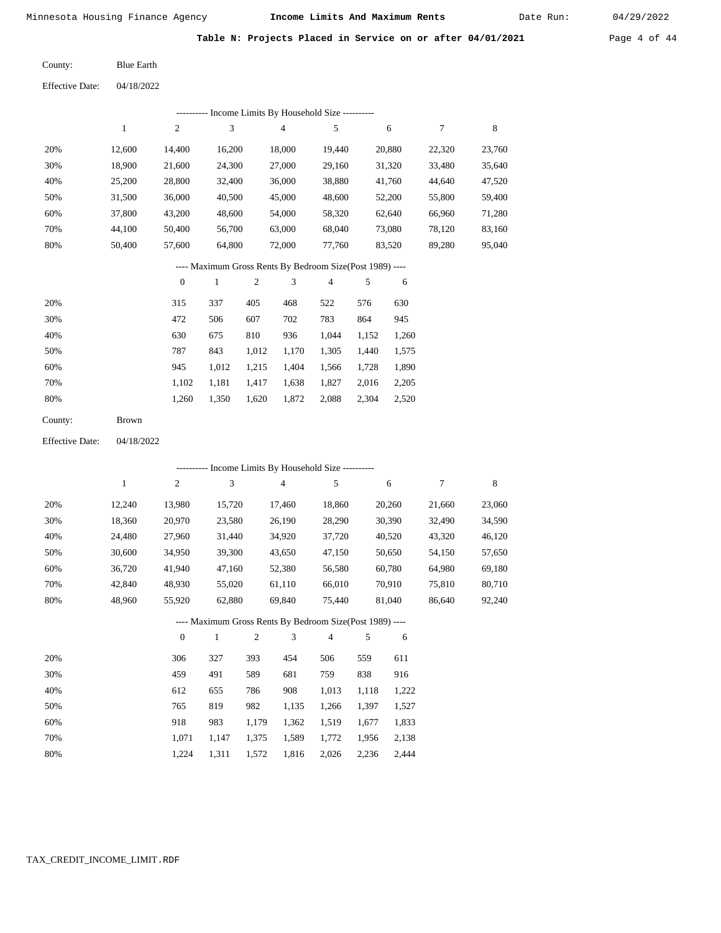Date Run:

Table N: Projects Placed in Service on or after 04/01/2021 Page 4 of 44

| County:                | <b>Blue Earth</b> |
|------------------------|-------------------|
| <b>Effective Date:</b> | 04/18/2022        |

|                        |              |                  |              |            | ---------- Income Limits By Household Size ----------    |        |       |        |        |             |
|------------------------|--------------|------------------|--------------|------------|----------------------------------------------------------|--------|-------|--------|--------|-------------|
|                        | $\mathbf{1}$ | $\mathfrak{2}$   | 3            |            | $\overline{4}$                                           | 5      |       | 6      | 7      | $\,$ 8 $\,$ |
| 20%                    | 12,600       | 14,400           | 16,200       |            | 18,000                                                   | 19,440 |       | 20,880 | 22,320 | 23,760      |
| 30%                    | 18,900       | 21,600           | 24,300       |            | 27,000                                                   | 29,160 |       | 31,320 | 33,480 | 35,640      |
| 40%                    | 25,200       | 28,800           | 32,400       |            | 36,000                                                   | 38,880 |       | 41,760 | 44,640 | 47,520      |
| 50%                    | 31,500       | 36,000           | 40,500       |            | 45,000                                                   | 48,600 |       | 52,200 | 55,800 | 59,400      |
| 60%                    | 37,800       | 43,200           | 48,600       |            | 54,000                                                   | 58,320 |       | 62,640 | 66,960 | 71,280      |
| 70%                    | 44,100       | 50,400           | 56,700       |            | 63,000                                                   | 68,040 |       | 73,080 | 78,120 | 83,160      |
| 80%                    | 50,400       | 57,600           | 64,800       |            | 72,000                                                   | 77,760 |       | 83,520 | 89,280 | 95,040      |
|                        |              |                  |              |            | ---- Maximum Gross Rents By Bedroom Size(Post 1989) ---- |        |       |        |        |             |
|                        |              | $\boldsymbol{0}$ | $\mathbf{1}$ | $\sqrt{2}$ | 3                                                        | 4      | 5     | 6      |        |             |
| 20%                    |              | 315              | 337          | 405        | 468                                                      | 522    | 576   | 630    |        |             |
| 30%                    |              | 472              | 506          | 607        | 702                                                      | 783    | 864   | 945    |        |             |
| 40%                    |              | 630              | 675          | 810        | 936                                                      | 1,044  | 1,152 | 1,260  |        |             |
| 50%                    |              | 787              | 843          | 1,012      | 1,170                                                    | 1,305  | 1,440 | 1,575  |        |             |
| 60%                    |              | 945              | 1,012        | 1,215      | 1,404                                                    | 1,566  | 1,728 | 1,890  |        |             |
| 70%                    |              | 1,102            | 1,181        | 1,417      | 1,638                                                    | 1,827  | 2,016 | 2,205  |        |             |
| 80%                    |              | 1,260            | 1,350        | 1,620      | 1,872                                                    | 2,088  | 2,304 | 2,520  |        |             |
| County:                | Brown        |                  |              |            |                                                          |        |       |        |        |             |
| <b>Effective Date:</b> | 04/18/2022   |                  |              |            |                                                          |        |       |        |        |             |
|                        |              |                  |              |            | ---------- Income Limits By Household Size ----------    |        |       |        |        |             |
|                        | $\mathbf{1}$ | $\sqrt{2}$       | 3            |            | $\overline{4}$                                           | 5      |       | 6      | 7      | $\,$ 8 $\,$ |
| 20%                    | 12,240       | 13,980           | 15,720       |            | 17,460                                                   | 18,860 |       | 20,260 | 21,660 | 23,060      |
| 30%                    | 18,360       | 20,970           | 23,580       |            | 26,190                                                   | 28,290 |       | 30,390 | 32,490 | 34,590      |
| 40%                    | 24,480       | 27,960           | 31,440       |            | 34,920                                                   | 37,720 |       | 40,520 | 43,320 | 46,120      |
| 50%                    | 30,600       | 34,950           | 39,300       |            | 43,650                                                   | 47,150 |       | 50,650 | 54,150 | 57,650      |
| 60%                    | 36,720       | 41,940           | 47,160       |            | 52,380                                                   | 56,580 |       | 60,780 | 64,980 | 69,180      |
| 70%                    | 42,840       | 48,930           | 55,020       |            | 61,110                                                   | 66,010 |       | 70,910 | 75,810 | 80,710      |
| 80%                    | 48,960       | 55,920           | 62,880       |            | 69,840                                                   | 75,440 |       | 81,040 | 86,640 | 92,240      |
|                        |              |                  |              |            | ---- Maximum Gross Rents By Bedroom Size(Post 1989) ---- |        |       |        |        |             |
|                        |              | $\boldsymbol{0}$ | $\mathbf{1}$ | $\sqrt{2}$ | 3                                                        | 4      | 5     | 6      |        |             |
| 20%                    |              | 306              | 327          | 393        | 454                                                      | 506    | 559   | 611    |        |             |
| 30%                    |              | 459              | 491          | 589        | 681                                                      | 759    | 838   | 916    |        |             |
| 40%                    |              | 612              | 655          | 786        | 908                                                      | 1,013  | 1,118 | 1,222  |        |             |
| 50%                    |              | 765              | 819          | 982        | 1,135                                                    | 1,266  | 1,397 | 1,527  |        |             |
| 60%                    |              | 918              | 983          | 1,179      | 1,362                                                    | 1,519  | 1,677 | 1,833  |        |             |
| 70%                    |              | 1,071            | 1,147        | 1,375      | 1,589                                                    | 1,772  | 1,956 | 2,138  |        |             |
| 80%                    |              | 1,224            | 1,311        | 1,572      | 1,816                                                    | 2,026  | 2,236 | 2,444  |        |             |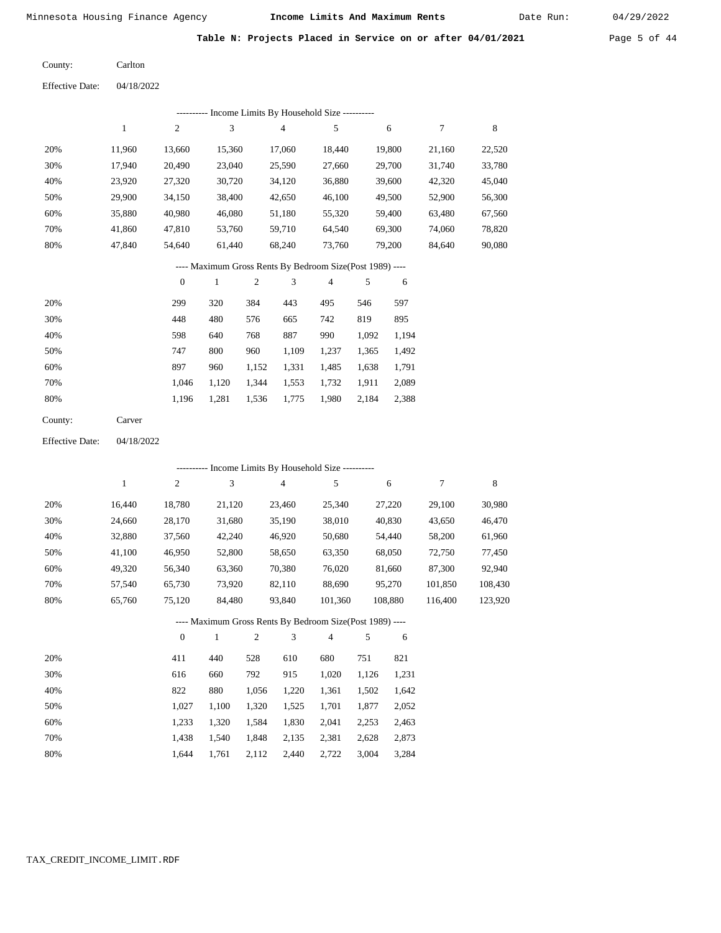Date Run:

Table N: Projects Placed in Service on or after 04/01/2021 Page 5 of 44

| County:         | Carlton    |
|-----------------|------------|
| Effective Date: | 04/18/2022 |

|                        |              |                  |                           |            |                | ---------- Income Limits By Household Size ----------    |       |         |         |         |
|------------------------|--------------|------------------|---------------------------|------------|----------------|----------------------------------------------------------|-------|---------|---------|---------|
|                        | $\mathbf{1}$ | $\sqrt{2}$       | 3                         |            | $\overline{4}$ | 5                                                        |       | 6       | 7       | 8       |
| 20%                    | 11,960       | 13,660           | 15,360                    |            | 17,060         | 18,440                                                   |       | 19,800  | 21,160  | 22,520  |
| 30%                    | 17,940       | 20,490           | 23,040                    |            | 25,590         | 27,660                                                   |       | 29,700  | 31,740  | 33,780  |
| 40%                    | 23,920       | 27,320           | 30,720                    |            | 34,120         | 36,880                                                   |       | 39,600  | 42,320  | 45,040  |
| 50%                    | 29,900       | 34,150           | 38,400                    |            | 42,650         | 46,100                                                   |       | 49,500  | 52,900  | 56,300  |
| 60%                    | 35,880       | 40,980           | 46,080                    |            | 51,180         | 55,320                                                   |       | 59,400  | 63,480  | 67,560  |
| 70%                    | 41,860       | 47,810           | 53,760                    |            | 59,710         | 64,540                                                   |       | 69,300  | 74,060  | 78,820  |
| 80%                    | 47,840       | 54,640           | 61,440                    |            | 68,240         | 73,760                                                   |       | 79,200  | 84,640  | 90,080  |
|                        |              |                  |                           |            |                | ---- Maximum Gross Rents By Bedroom Size(Post 1989) ---- |       |         |         |         |
|                        |              | $\boldsymbol{0}$ | $\mathbf{1}$              | $\sqrt{2}$ | 3              | $\overline{4}$                                           | 5     | 6       |         |         |
| 20%                    |              | 299              | 320                       | 384        | 443            | 495                                                      | 546   | 597     |         |         |
| 30%                    |              | 448              | 480                       | 576        | 665            | 742                                                      | 819   | 895     |         |         |
| 40%                    |              | 598              | 640                       | 768        | 887            | 990                                                      | 1,092 | 1,194   |         |         |
| 50%                    |              | 747              | 800                       | 960        | 1,109          | 1,237                                                    | 1,365 | 1,492   |         |         |
| 60%                    |              | 897              | 960                       | 1,152      | 1,331          | 1,485                                                    | 1,638 | 1,791   |         |         |
| 70%                    |              | 1,046            | 1,120                     | 1,344      | 1,553          | 1,732                                                    | 1,911 | 2,089   |         |         |
| 80%                    |              | 1,196            | 1,281                     | 1,536      | 1,775          | 1,980                                                    | 2,184 | 2,388   |         |         |
| County:                | Carver       |                  |                           |            |                |                                                          |       |         |         |         |
| <b>Effective Date:</b> | 04/18/2022   |                  |                           |            |                |                                                          |       |         |         |         |
|                        |              |                  |                           |            |                | ---------- Income Limits By Household Size ----------    |       |         |         |         |
|                        | $\mathbf{1}$ | $\overline{2}$   | $\ensuremath{\mathbf{3}}$ |            | 4              | 5                                                        |       | 6       | 7       | 8       |
| 20%                    | 16,440       | 18,780           | 21,120                    |            | 23,460         | 25,340                                                   |       | 27,220  | 29,100  | 30,980  |
| 30%                    | 24,660       | 28,170           | 31,680                    |            | 35,190         | 38,010                                                   |       | 40,830  | 43,650  | 46,470  |
| 40%                    | 32,880       | 37,560           | 42,240                    |            | 46,920         | 50,680                                                   |       | 54,440  | 58,200  | 61,960  |
| 50%                    | 41,100       | 46,950           | 52,800                    |            | 58,650         | 63,350                                                   |       | 68,050  | 72,750  | 77,450  |
| 60%                    | 49,320       | 56,340           | 63,360                    |            | 70,380         | 76,020                                                   |       | 81,660  | 87,300  | 92,940  |
| 70%                    | 57,540       | 65,730           | 73,920                    |            | 82,110         | 88,690                                                   |       | 95,270  | 101,850 | 108,430 |
| 80%                    | 65,760       | 75,120           | 84,480                    |            | 93,840         | 101,360                                                  |       | 108,880 | 116,400 | 123,920 |

# ---- Maximum Gross Rents By Bedroom Size(Post 1989) ----

|     | $\theta$ |       | 2     | 3     | 4     | 5     | 6     |
|-----|----------|-------|-------|-------|-------|-------|-------|
| 20% | 411      | 440   | 528   | 610   | 680   | 751   | 821   |
| 30% | 616      | 660   | 792   | 915   | 1,020 | 1,126 | 1,231 |
| 40% | 822      | 880   | 1,056 | 1,220 | 1,361 | 1,502 | 1,642 |
| 50% | 1.027    | 1.100 | 1,320 | 1,525 | 1,701 | 1,877 | 2,052 |
| 60% | 1.233    | 1.320 | 1,584 | 1,830 | 2,041 | 2,253 | 2,463 |
| 70% | 1.438    | 1.540 | 1,848 | 2,135 | 2,381 | 2,628 | 2,873 |
| 80% | 1.644    | 1.761 | 2,112 | 2,440 | 2,722 | 3,004 | 3,284 |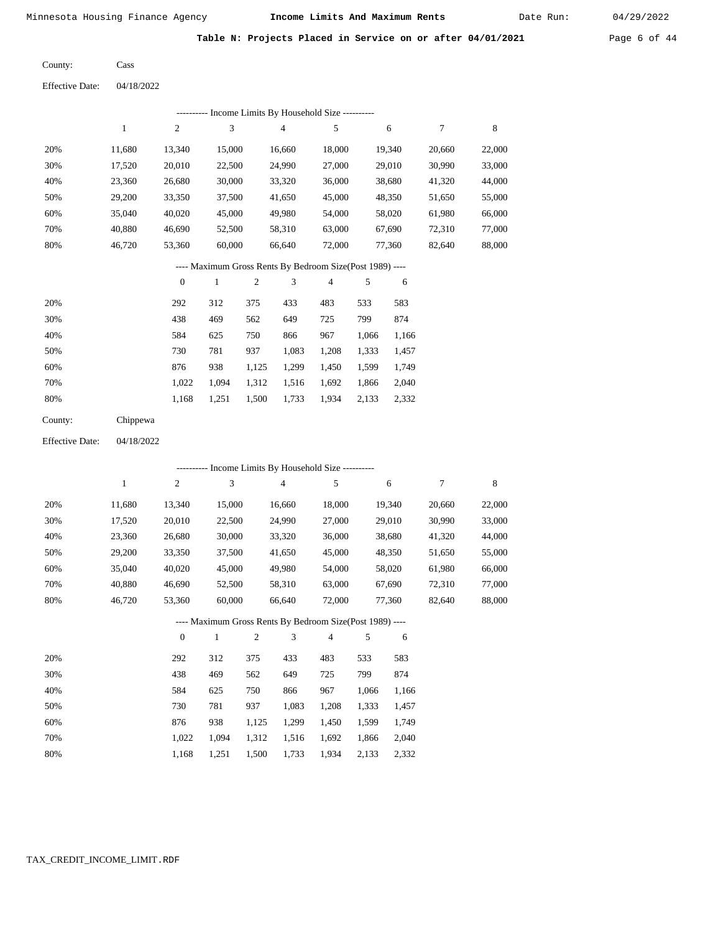Date Run:

Table N: Projects Placed in Service on or after 04/01/2021 Page 6 of 44

| County: | Cass |
|---------|------|
|---------|------|

04/18/2022 Effective Date:

|     |        |        |        | ---------- Income Limits By Household Size ---------- |        |        |        |        |
|-----|--------|--------|--------|-------------------------------------------------------|--------|--------|--------|--------|
|     |        | 2      | 3      | 4                                                     | 5      | 6      | 7      | 8      |
| 20% | 11,680 | 13.340 | 15,000 | 16,660                                                | 18,000 | 19.340 | 20,660 | 22,000 |
| 30% | 17,520 | 20,010 | 22,500 | 24,990                                                | 27,000 | 29,010 | 30,990 | 33,000 |
| 40% | 23,360 | 26,680 | 30,000 | 33,320                                                | 36,000 | 38,680 | 41,320 | 44,000 |
| 50% | 29,200 | 33,350 | 37,500 | 41,650                                                | 45,000 | 48,350 | 51,650 | 55,000 |
| 60% | 35,040 | 40,020 | 45,000 | 49,980                                                | 54,000 | 58,020 | 61,980 | 66,000 |
| 70% | 40,880 | 46,690 | 52,500 | 58,310                                                | 63,000 | 67,690 | 72,310 | 77,000 |
| 80% | 46,720 | 53,360 | 60,000 | 66,640                                                | 72,000 | 77,360 | 82,640 | 88,000 |
|     |        |        |        |                                                       |        |        |        |        |

### ---- Maximum Gross Rents By Bedroom Size(Post 1989) ----

|     | $\mathbf{0}$ |       | 2     | 3     | 4     | 5     | 6     |
|-----|--------------|-------|-------|-------|-------|-------|-------|
| 20% | 292          | 312   | 375   | 433   | 483   | 533   | 583   |
| 30% | 438          | 469   | 562   | 649   | 725   | 799   | 874   |
| 40% | 584          | 625   | 750   | 866   | 967   | 1,066 | 1,166 |
| 50% | 730          | 781   | 937   | 1,083 | 1,208 | 1,333 | 1,457 |
| 60% | 876          | 938   | 1,125 | 1,299 | 1,450 | 1,599 | 1,749 |
| 70% | 1.022        | 1.094 | 1,312 | 1,516 | 1,692 | 1,866 | 2,040 |
| 80% | 1,168        | 1,251 | 1,500 | 1,733 | 1,934 | 2,133 | 2,332 |
|     |              |       |       |       |       |       |       |

| County: | Chippewa |
|---------|----------|
|         |          |

04/18/2022 Effective Date:

|                                                          |        |          |              |                | - Income Limits By Household Size ---------- |                |       |        |        |        |
|----------------------------------------------------------|--------|----------|--------------|----------------|----------------------------------------------|----------------|-------|--------|--------|--------|
|                                                          | 1      | 2        | 3            |                | 4                                            | 5              |       | 6      | 7      | 8      |
| 20%                                                      | 11,680 | 13,340   | 15,000       |                | 16,660                                       | 18,000         |       | 19,340 | 20,660 | 22,000 |
| 30%                                                      | 17,520 | 20,010   | 22,500       |                | 24,990                                       | 27,000         |       | 29,010 | 30,990 | 33,000 |
| 40%                                                      | 23,360 | 26,680   | 30,000       |                | 33,320                                       | 36,000         |       | 38,680 | 41,320 | 44,000 |
| 50%                                                      | 29,200 | 33,350   | 37,500       |                | 41,650                                       | 45,000         |       | 48,350 | 51,650 | 55,000 |
| 60%                                                      | 35,040 | 40,020   | 45,000       |                | 49,980                                       | 54,000         |       | 58,020 | 61,980 | 66,000 |
| 70%                                                      | 40,880 | 46,690   | 52,500       |                | 58,310                                       | 63,000         |       | 67,690 | 72,310 | 77,000 |
| 80%                                                      | 46,720 | 53,360   | 60,000       |                | 66,640                                       | 72,000         |       | 77,360 | 82,640 | 88,000 |
| ---- Maximum Gross Rents By Bedroom Size(Post 1989) ---- |        |          |              |                |                                              |                |       |        |        |        |
|                                                          |        | $\theta$ | $\mathbf{1}$ | $\mathfrak{2}$ | 3                                            | $\overline{4}$ | 5     | 6      |        |        |
| 20%                                                      |        | 292      | 312          | 375            | 433                                          | 483            | 533   | 583    |        |        |
| 30%                                                      |        | 438      | 469          | 562            | 649                                          | 725            | 799   | 874    |        |        |
| 40%                                                      |        | 584      | 625          | 750            | 866                                          | 967            | 1,066 | 1,166  |        |        |
| 50%                                                      |        | 730      | 781          | 937            | 1,083                                        | 1,208          | 1,333 | 1,457  |        |        |
| 60%                                                      |        | 876      | 938          | 1,125          | 1,299                                        | 1,450          | 1,599 | 1,749  |        |        |
| 70%                                                      |        | 1,022    | 1,094        | 1,312          | 1,516                                        | 1,692          | 1,866 | 2,040  |        |        |

1,500 1,733

1,934 2,133 2,332

1,168

1,251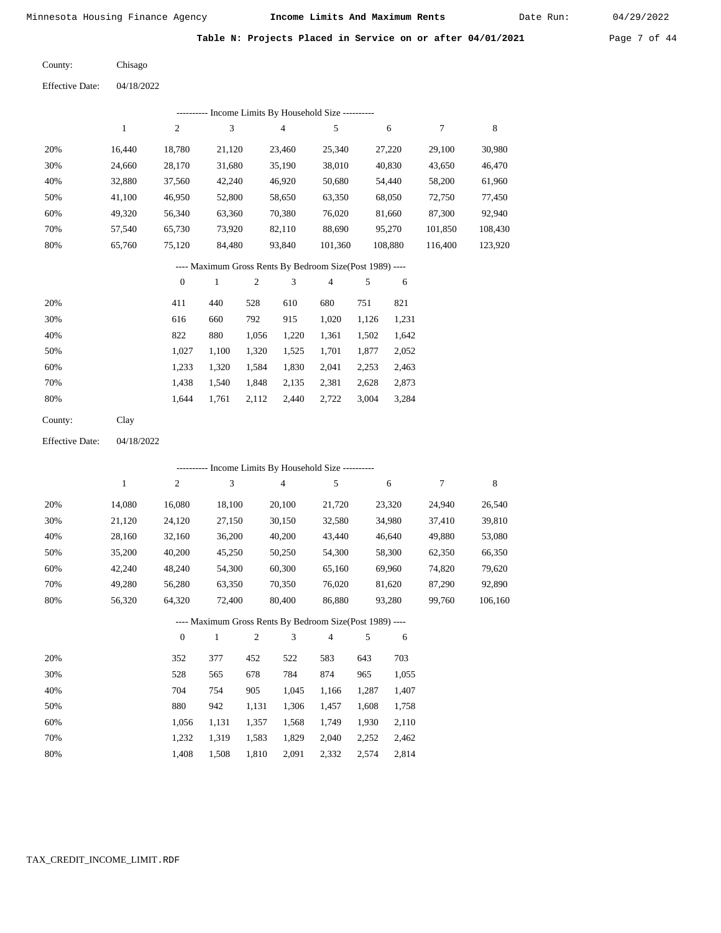Date Run:

Table N: Projects Placed in Service on or after 04/01/2021 Page 7 of 44

| County:                | Chisago    |
|------------------------|------------|
| <b>Effective Date:</b> | 04/18/2022 |

| ---------- Income Limits By Household Size ---------- |        |        |        |                |         |         |         |         |  |
|-------------------------------------------------------|--------|--------|--------|----------------|---------|---------|---------|---------|--|
|                                                       |        | 2      | 3      | $\overline{4}$ | 5       | 6       |         | 8       |  |
| 20%                                                   | 16.440 | 18,780 | 21,120 | 23,460         | 25,340  | 27,220  | 29,100  | 30,980  |  |
| 30%                                                   | 24,660 | 28,170 | 31,680 | 35,190         | 38,010  | 40,830  | 43,650  | 46,470  |  |
| 40%                                                   | 32,880 | 37,560 | 42,240 | 46,920         | 50,680  | 54,440  | 58,200  | 61,960  |  |
| 50%                                                   | 41,100 | 46,950 | 52,800 | 58,650         | 63,350  | 68,050  | 72,750  | 77,450  |  |
| 60%                                                   | 49,320 | 56,340 | 63,360 | 70,380         | 76,020  | 81,660  | 87,300  | 92,940  |  |
| 70%                                                   | 57,540 | 65,730 | 73,920 | 82,110         | 88,690  | 95,270  | 101,850 | 108,430 |  |
| 80%                                                   | 65,760 | 75,120 | 84,480 | 93,840         | 101,360 | 108,880 | 116,400 | 123,920 |  |

# ---- Maximum Gross Rents By Bedroom Size(Post 1989) ----

|     | $\mathbf{0}$ |       | $\overline{2}$ | 3     | 4     | 5     | 6     |
|-----|--------------|-------|----------------|-------|-------|-------|-------|
| 20% | 411          | 440   | 528            | 610   | 680   | 751   | 821   |
| 30% | 616          | 660   | 792            | 915   | 1,020 | 1,126 | 1,231 |
| 40% | 822          | 880   | 1,056          | 1,220 | 1,361 | 1,502 | 1,642 |
| 50% | 1,027        | 1,100 | 1,320          | 1,525 | 1,701 | 1,877 | 2,052 |
| 60% | 1,233        | 1,320 | 1,584          | 1,830 | 2,041 | 2,253 | 2,463 |
| 70% | 1,438        | 1,540 | 1,848          | 2,135 | 2,381 | 2,628 | 2,873 |
| 80% | 1,644        | 1,761 | 2,112          | 2,440 | 2,722 | 3,004 | 3,284 |
|     |              |       |                |       |       |       |       |

| County: | Clay |
|---------|------|
|---------|------|

```
04/18/2022
Effective Date:
```

|     |        |              | ---------- Income Limits By Household Size ----------    |                |        |        |       |        |        |         |
|-----|--------|--------------|----------------------------------------------------------|----------------|--------|--------|-------|--------|--------|---------|
|     | 1      | 2            | 3                                                        |                | 4      | 5      |       | 6      | 7      | 8       |
| 20% | 14,080 | 16,080       | 18,100                                                   |                | 20,100 | 21,720 |       | 23,320 | 24,940 | 26,540  |
| 30% | 21,120 | 24,120       | 27,150                                                   |                | 30,150 | 32,580 |       | 34,980 | 37,410 | 39,810  |
| 40% | 28,160 | 32,160       | 36,200                                                   |                | 40,200 | 43,440 |       | 46,640 | 49,880 | 53,080  |
| 50% | 35,200 | 40,200       | 45,250                                                   |                | 50,250 | 54,300 |       | 58,300 | 62,350 | 66,350  |
| 60% | 42,240 | 48,240       | 54,300                                                   |                | 60,300 | 65,160 |       | 69,960 | 74,820 | 79,620  |
| 70% | 49,280 | 56,280       | 63,350                                                   |                | 70,350 | 76,020 |       | 81,620 | 87,290 | 92,890  |
| 80% | 56,320 | 64,320       | 72,400                                                   |                | 80,400 | 86,880 |       | 93,280 | 99,760 | 106,160 |
|     |        |              | ---- Maximum Gross Rents By Bedroom Size(Post 1989) ---- |                |        |        |       |        |        |         |
|     |        | $\mathbf{0}$ | 1                                                        | $\overline{c}$ | 3      | 4      | 5     | 6      |        |         |
| 20% |        | 352          | 377                                                      | 452            | 522    | 583    | 643   | 703    |        |         |
| 30% |        | 528          | 565                                                      | 678            | 784    | 874    | 965   | 1,055  |        |         |
| 40% |        | 704          | 754                                                      | 905            | 1,045  | 1,166  | 1,287 | 1,407  |        |         |
| 50% |        | 880          | 942                                                      | 1,131          | 1,306  | 1,457  | 1,608 | 1,758  |        |         |

| 70% |  |  | 1,232 1,319 1,583 1,829 2,040 2,252 2,462 |  |
|-----|--|--|-------------------------------------------|--|
| 80% |  |  | 1,408 1,508 1,810 2,091 2,332 2,574 2,814 |  |

1,357

1,568

1,749

1,930 2,110

1,131

1,056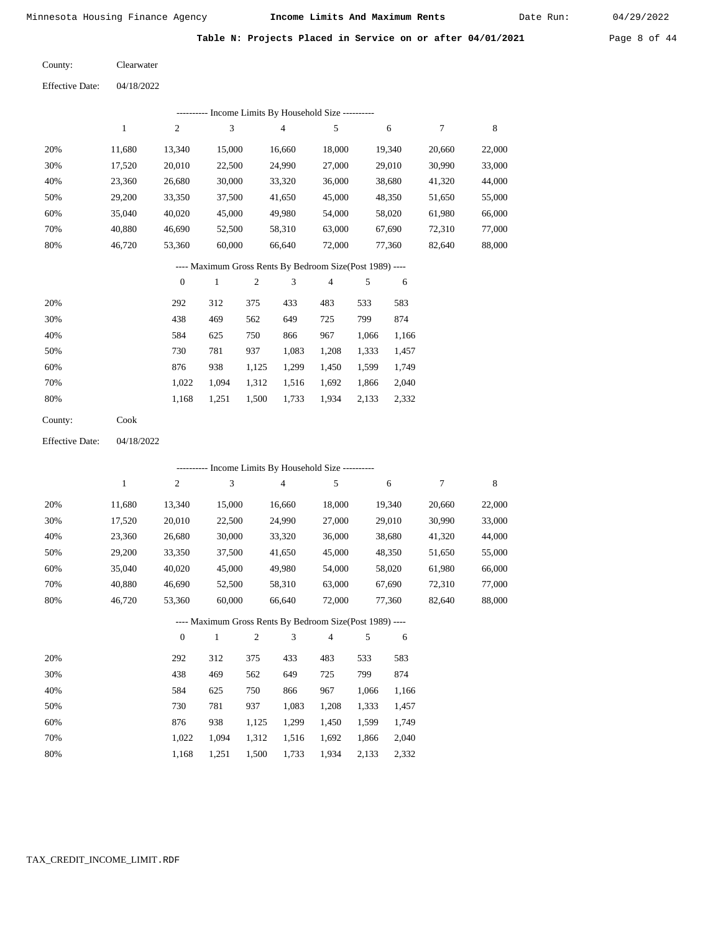Table N: Projects Placed in Service on or after 04/01/2021 Page 8 of 44

| County:                | Clearwater |
|------------------------|------------|
| <b>Effective Date:</b> | 04/18/2022 |

| Income Limits By Household Size ---------- |        |                |        |        |        |        |        |        |  |
|--------------------------------------------|--------|----------------|--------|--------|--------|--------|--------|--------|--|
|                                            |        | $\overline{2}$ | 3      | 4      | 5      | 6      | 7      | 8      |  |
| 20%                                        | 11,680 | 13.340         | 15,000 | 16,660 | 18,000 | 19.340 | 20,660 | 22,000 |  |
| 30%                                        | 17,520 | 20,010         | 22,500 | 24,990 | 27,000 | 29,010 | 30.990 | 33,000 |  |
| 40%                                        | 23,360 | 26,680         | 30,000 | 33,320 | 36,000 | 38,680 | 41,320 | 44,000 |  |
| 50%                                        | 29,200 | 33,350         | 37,500 | 41,650 | 45,000 | 48,350 | 51,650 | 55,000 |  |
| 60%                                        | 35,040 | 40,020         | 45,000 | 49,980 | 54,000 | 58,020 | 61,980 | 66,000 |  |
| 70%                                        | 40,880 | 46,690         | 52,500 | 58,310 | 63,000 | 67,690 | 72,310 | 77,000 |  |
| 80%                                        | 46,720 | 53,360         | 60,000 | 66,640 | 72,000 | 77,360 | 82,640 | 88,000 |  |

### ---- Maximum Gross Rents By Bedroom Size(Post 1989) ----

|     | $\mathbf{0}$ |       | 2     | 3     | 4     | 5     | 6     |
|-----|--------------|-------|-------|-------|-------|-------|-------|
| 20% | 292          | 312   | 375   | 433   | 483   | 533   | 583   |
| 30% | 438          | 469   | 562   | 649   | 725   | 799   | 874   |
| 40% | 584          | 625   | 750   | 866   | 967   | 1,066 | 1,166 |
| 50% | 730          | 781   | 937   | 1,083 | 1,208 | 1,333 | 1,457 |
| 60% | 876          | 938   | 1,125 | 1,299 | 1,450 | 1,599 | 1,749 |
| 70% | 1,022        | 1,094 | 1,312 | 1,516 | 1,692 | 1,866 | 2,040 |
| 80% | 1,168        | 1,251 | 1,500 | 1,733 | 1,934 | 2,133 | 2,332 |
|     |              |       |       |       |       |       |       |

Cook County:

04/18/2022 Effective Date:

|     |        |                |              |                |        | ---------- Income Limits By Household Size ----------    |       |        |        |        |
|-----|--------|----------------|--------------|----------------|--------|----------------------------------------------------------|-------|--------|--------|--------|
|     | 1      | $\overline{c}$ | 3            |                | 4      | 5                                                        |       | 6      | 7      | 8      |
| 20% | 11,680 | 13,340         | 15,000       |                | 16,660 | 18,000                                                   |       | 19,340 | 20,660 | 22,000 |
| 30% | 17,520 | 20,010         | 22,500       |                | 24,990 | 27,000                                                   |       | 29,010 | 30,990 | 33,000 |
| 40% | 23,360 | 26,680         | 30,000       |                | 33,320 | 36,000                                                   |       | 38,680 | 41,320 | 44,000 |
| 50% | 29,200 | 33,350         | 37,500       |                | 41,650 | 45,000                                                   |       | 48,350 | 51,650 | 55,000 |
| 60% | 35,040 | 40,020         | 45,000       |                | 49,980 | 54,000                                                   |       | 58,020 | 61,980 | 66,000 |
| 70% | 40,880 | 46,690         | 52,500       |                | 58,310 | 63,000                                                   |       | 67,690 | 72,310 | 77,000 |
| 80% | 46,720 | 53,360         | 60,000       |                | 66,640 | 72,000                                                   |       | 77,360 | 82,640 | 88,000 |
|     |        |                |              |                |        | ---- Maximum Gross Rents By Bedroom Size(Post 1989) ---- |       |        |        |        |
|     |        | $\overline{0}$ | $\mathbf{1}$ | $\overline{2}$ | 3      | $\overline{4}$                                           | 5     | 6      |        |        |
| 20% |        | 292            | 312          | 375            | 433    | 483                                                      | 533   | 583    |        |        |
| 30% |        | 438            | 469          | 562            | 649    | 725                                                      | 799   | 874    |        |        |
| 40% |        | 584            | 625          | 750            | 866    | 967                                                      | 1,066 | 1,166  |        |        |
| 50% |        | 730            | 781          | 937            | 1,083  | 1,208                                                    | 1,333 | 1,457  |        |        |
| 60% |        | 876            | 938          | 1,125          | 1,299  | 1,450                                                    | 1,599 | 1,749  |        |        |
| 70% |        | 1,022          | 1,094        | 1,312          | 1,516  | 1,692                                                    | 1,866 | 2,040  |        |        |
| 80% |        | 1,168          | 1,251        | 1,500          | 1,733  | 1,934                                                    | 2,133 | 2,332  |        |        |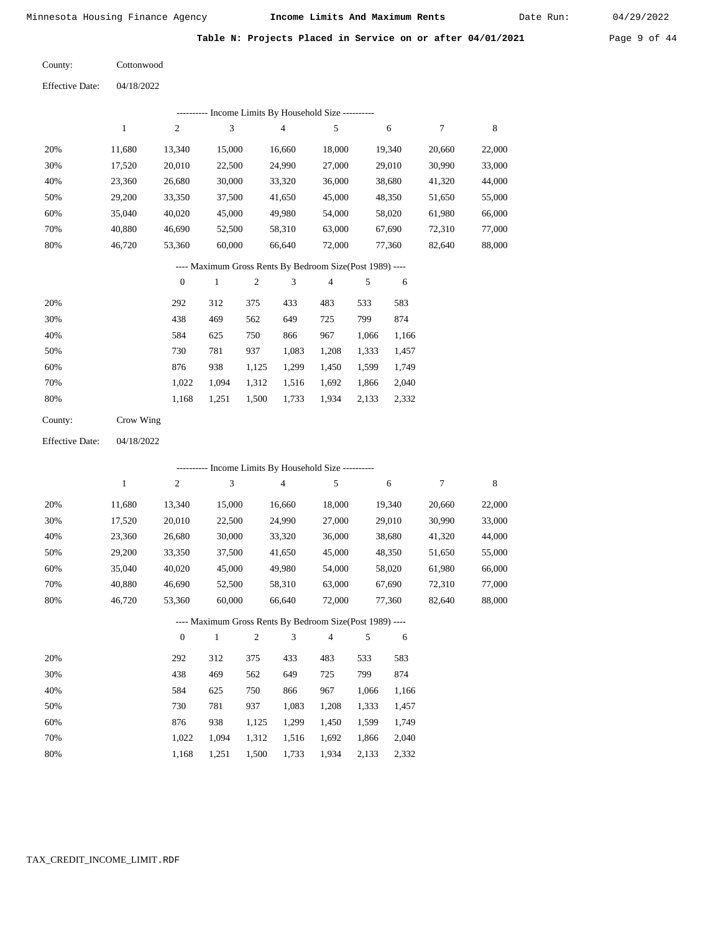Date Run:

Table N: Projects Placed in Service on or after 04/01/2021 Page 9 of 44

| County:                | Cottonwood |
|------------------------|------------|
| <b>Effective Date:</b> | 04/18/2022 |

|     |        |        |        | - Income Limits By Household Size ---------- |        |        |        |        |
|-----|--------|--------|--------|----------------------------------------------|--------|--------|--------|--------|
|     |        | 2      | 3      | $\overline{4}$                               | 5      | 6      |        | 8      |
| 20% | 11,680 | 13.340 | 15,000 | 16,660                                       | 18,000 | 19,340 | 20,660 | 22,000 |
| 30% | 17,520 | 20,010 | 22,500 | 24,990                                       | 27,000 | 29,010 | 30,990 | 33,000 |
| 40% | 23,360 | 26,680 | 30,000 | 33,320                                       | 36,000 | 38,680 | 41,320 | 44,000 |
| 50% | 29,200 | 33,350 | 37,500 | 41,650                                       | 45,000 | 48,350 | 51,650 | 55,000 |
| 60% | 35,040 | 40,020 | 45,000 | 49,980                                       | 54,000 | 58,020 | 61,980 | 66,000 |
| 70% | 40,880 | 46,690 | 52,500 | 58,310                                       | 63,000 | 67,690 | 72,310 | 77,000 |
| 80% | 46.720 | 53,360 | 60,000 | 66,640                                       | 72,000 | 77,360 | 82,640 | 88,000 |

### ---- Maximum Gross Rents By Bedroom Size(Post 1989) ----

|     | $\mathbf{0}$ |       | 2     | 3     | 4     | 5     | 6     |
|-----|--------------|-------|-------|-------|-------|-------|-------|
| 20% | 292          | 312   | 375   | 433   | 483   | 533   | 583   |
| 30% | 438          | 469   | 562   | 649   | 725   | 799   | 874   |
| 40% | 584          | 625   | 750   | 866   | 967   | 1,066 | 1,166 |
| 50% | 730          | 781   | 937   | 1,083 | 1,208 | 1,333 | 1,457 |
| 60% | 876          | 938   | 1,125 | 1,299 | 1,450 | 1,599 | 1,749 |
| 70% | 1,022        | 1.094 | 1,312 | 1,516 | 1,692 | 1,866 | 2,040 |
| 80% | 1,168        | 1,251 | 1,500 | 1,733 | 1,934 | 2,133 | 2,332 |
|     |              |       |       |       |       |       |       |

| County: |  | Crow Wing |
|---------|--|-----------|
|---------|--|-----------|

04/18/2022 Effective Date:

|     |        |                |              |                | ---------- Income Limits By Household Size ----------    |                |       |        |        |             |
|-----|--------|----------------|--------------|----------------|----------------------------------------------------------|----------------|-------|--------|--------|-------------|
|     | 1      | $\overline{c}$ | 3            |                | $\overline{4}$                                           | 5              |       | 6      | 7      | $\,$ 8 $\,$ |
| 20% | 11,680 | 13,340         | 15,000       |                | 16,660                                                   | 18,000         |       | 19,340 | 20,660 | 22,000      |
| 30% | 17,520 | 20,010         | 22,500       |                | 24,990                                                   | 27,000         |       | 29,010 | 30,990 | 33,000      |
| 40% | 23,360 | 26,680         | 30,000       |                | 33,320                                                   | 36,000         |       | 38,680 | 41,320 | 44,000      |
| 50% | 29,200 | 33,350         | 37,500       |                | 41,650                                                   | 45,000         |       | 48,350 | 51,650 | 55,000      |
| 60% | 35,040 | 40,020         | 45,000       |                | 49,980                                                   | 54,000         |       | 58,020 | 61,980 | 66,000      |
| 70% | 40,880 | 46,690         | 52,500       |                | 58,310                                                   | 63,000         |       | 67,690 | 72,310 | 77,000      |
| 80% | 46,720 | 53,360         | 60,000       |                | 66,640                                                   | 72,000         |       | 77,360 | 82,640 | 88,000      |
|     |        |                |              |                | ---- Maximum Gross Rents By Bedroom Size(Post 1989) ---- |                |       |        |        |             |
|     |        | $\theta$       | $\mathbf{1}$ | $\overline{c}$ | 3                                                        | $\overline{4}$ | 5     | 6      |        |             |
| 20% |        | 292            | 312          | 375            | 433                                                      | 483            | 533   | 583    |        |             |
| 30% |        | 438            | 469          | 562            | 649                                                      | 725            | 799   | 874    |        |             |
| 40% |        | 584            | 625          | 750            | 866                                                      | 967            | 1,066 | 1,166  |        |             |
| 50% |        | 730            | 781          | 937            | 1,083                                                    | 1,208          | 1,333 | 1,457  |        |             |
| 60% |        | 876            | 938          | 1,125          | 1,299                                                    | 1,450          | 1,599 | 1,749  |        |             |
| 70% |        | 1,022          | 1,094        | 1,312          | 1,516                                                    | 1,692          | 1,866 | 2,040  |        |             |

1,168

1,251

1,500

1,733

1,934

2,133

2,332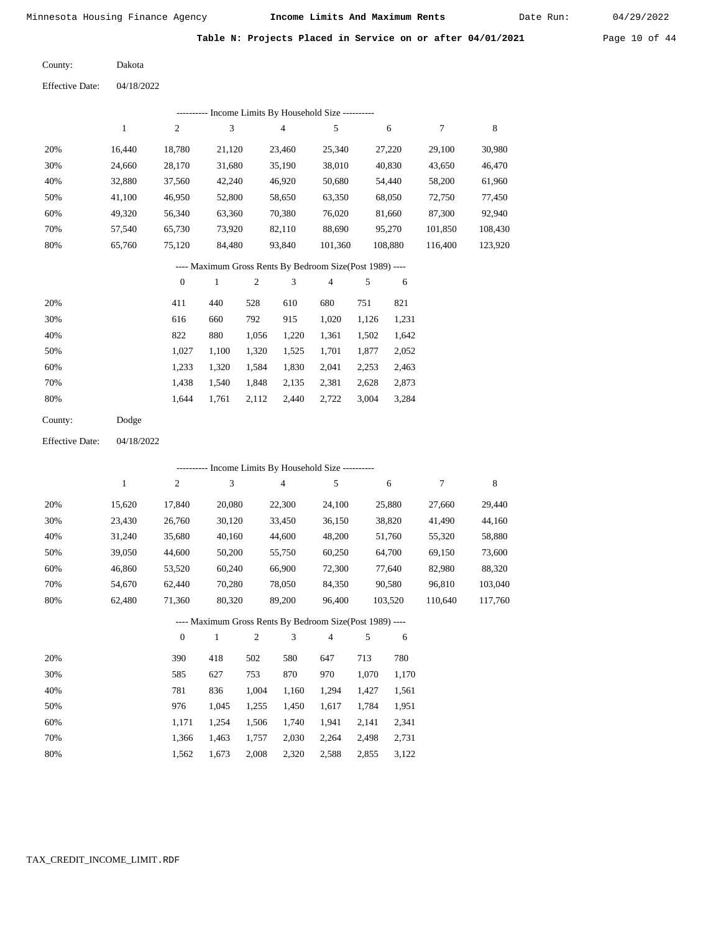Table N: Projects Placed in Service on or after 04/01/2021 Page 10 of 44

| County: | Dakota |
|---------|--------|
|         |        |

Effective Date: 04/18/2022

|     |        |        |        |        | Income Limits By Household Size ---------- |         |         |         |
|-----|--------|--------|--------|--------|--------------------------------------------|---------|---------|---------|
|     |        | 2      | 3      | 4      | 5                                          | 6       | 7       | 8       |
| 20% | 16.440 | 18,780 | 21,120 | 23,460 | 25,340                                     | 27,220  | 29,100  | 30,980  |
| 30% | 24,660 | 28,170 | 31,680 | 35,190 | 38,010                                     | 40,830  | 43,650  | 46,470  |
| 40% | 32,880 | 37,560 | 42,240 | 46,920 | 50,680                                     | 54,440  | 58,200  | 61,960  |
| 50% | 41,100 | 46,950 | 52,800 | 58,650 | 63,350                                     | 68,050  | 72,750  | 77,450  |
| 60% | 49,320 | 56,340 | 63,360 | 70,380 | 76,020                                     | 81,660  | 87,300  | 92,940  |
| 70% | 57,540 | 65,730 | 73,920 | 82,110 | 88,690                                     | 95,270  | 101,850 | 108,430 |
| 80% | 65,760 | 75,120 | 84,480 | 93,840 | 101,360                                    | 108,880 | 116,400 | 123,920 |
|     |        |        |        |        |                                            |         |         |         |

# ---- Maximum Gross Rents By Bedroom Size(Post 1989) ----

|     | $\mathbf{0}$ |       | 2     | 3     | 4     | 5     | 6     |
|-----|--------------|-------|-------|-------|-------|-------|-------|
| 20% | 411          | 440   | 528   | 610   | 680   | 751   | 821   |
| 30% | 616          | 660   | 792   | 915   | 1,020 | 1,126 | 1,231 |
| 40% | 822          | 880   | 1,056 | 1,220 | 1,361 | 1,502 | 1,642 |
| 50% | 1,027        | 1,100 | 1,320 | 1,525 | 1,701 | 1,877 | 2,052 |
| 60% | 1,233        | 1,320 | 1,584 | 1,830 | 2,041 | 2,253 | 2,463 |
| 70% | 1,438        | 1,540 | 1,848 | 2,135 | 2,381 | 2,628 | 2,873 |
| 80% | 1,644        | 1,761 | 2,112 | 2,440 | 2,722 | 3,004 | 3,284 |
|     |              |       |       |       |       |       |       |

04/18/2022 Effective Date:

|     |        |              | ---------- Income Limits By Household Size ----------    |                |        |                |       |         |         |         |
|-----|--------|--------------|----------------------------------------------------------|----------------|--------|----------------|-------|---------|---------|---------|
|     | 1      | 2            | 3                                                        |                | 4      | 5              |       | 6       | 7       | 8       |
| 20% | 15,620 | 17,840       | 20,080                                                   |                | 22,300 | 24,100         |       | 25,880  | 27,660  | 29,440  |
| 30% | 23,430 | 26,760       | 30,120                                                   |                | 33,450 | 36,150         |       | 38,820  | 41,490  | 44,160  |
| 40% | 31,240 | 35,680       | 40,160                                                   |                | 44,600 | 48,200         |       | 51,760  | 55,320  | 58,880  |
| 50% | 39,050 | 44,600       | 50,200                                                   |                | 55,750 | 60,250         |       | 64,700  | 69,150  | 73,600  |
| 60% | 46,860 | 53,520       | 60,240                                                   |                | 66,900 | 72,300         |       | 77,640  | 82,980  | 88,320  |
| 70% | 54,670 | 62,440       | 70,280                                                   |                | 78,050 | 84,350         |       | 90,580  | 96,810  | 103,040 |
| 80% | 62,480 | 71,360       | 80,320                                                   |                | 89,200 | 96,400         |       | 103,520 | 110,640 | 117,760 |
|     |        |              | ---- Maximum Gross Rents By Bedroom Size(Post 1989) ---- |                |        |                |       |         |         |         |
|     |        | $\mathbf{0}$ | 1                                                        | $\overline{2}$ | 3      | $\overline{4}$ | 5     | 6       |         |         |
| 20% |        | 390          | 418                                                      | 502            | 580    | 647            | 713   | 780     |         |         |
| 30% |        | 585          | 627                                                      | 753            | 870    | 970            | 1,070 | 1,170   |         |         |
| 40% |        | 781          | 836                                                      | 1,004          | 1,160  | 1,294          | 1,427 | 1,561   |         |         |

1,045 1,255 1,450 1,617 1,784 1,951

| 60% | 1,171 1,254 1,506 1,740 1,941 2,141 2,341 |  |  |  |
|-----|-------------------------------------------|--|--|--|
| 70% | 1,366 1,463 1,757 2,030 2,264 2,498 2,731 |  |  |  |
| 80% | 1,562 1,673 2,008 2,320 2,588 2,855 3,122 |  |  |  |

976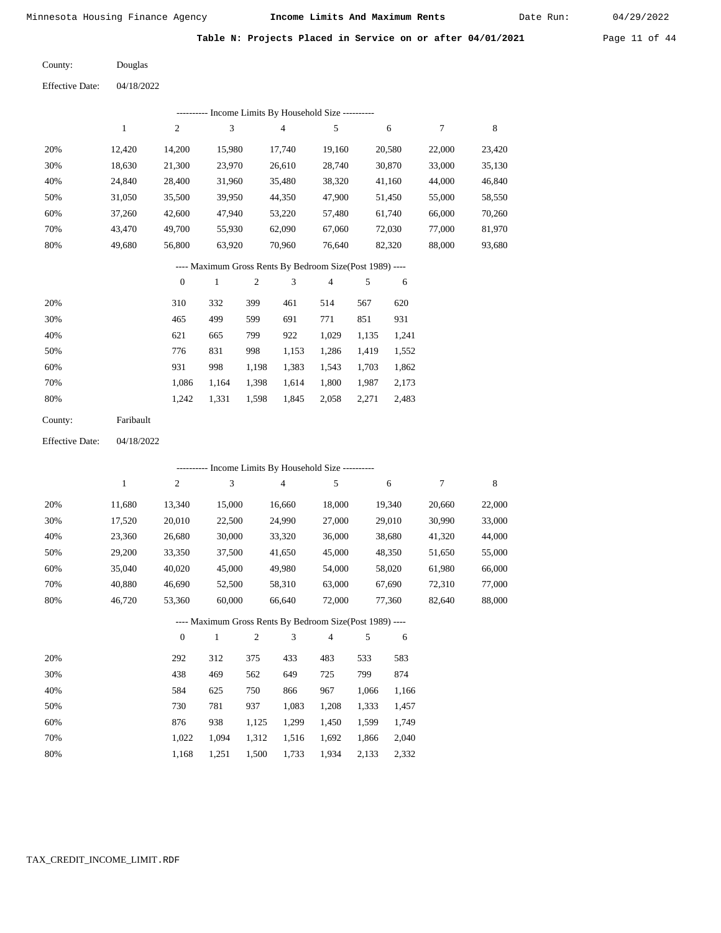Table N: Projects Placed in Service on or after 04/01/2021 Page 11 of 44

| County: | Douglas |
|---------|---------|
|         |         |

| Income Limits By Household Size ---------- |        |        |        |        |        |        |        |        |
|--------------------------------------------|--------|--------|--------|--------|--------|--------|--------|--------|
|                                            |        | 2      | 3      | 4      |        | 6      |        | 8      |
| 20%                                        | 12.420 | 14.200 | 15.980 | 17.740 | 19.160 | 20,580 | 22,000 | 23,420 |
| 30%                                        | 18,630 | 21,300 | 23,970 | 26,610 | 28,740 | 30,870 | 33,000 | 35,130 |
| 40%                                        | 24.840 | 28,400 | 31,960 | 35,480 | 38,320 | 41,160 | 44,000 | 46,840 |
| 50%                                        | 31,050 | 35,500 | 39,950 | 44,350 | 47,900 | 51,450 | 55,000 | 58,550 |
| 60%                                        | 37.260 | 42,600 | 47.940 | 53,220 | 57.480 | 61,740 | 66,000 | 70,260 |
| 70%                                        | 43.470 | 49,700 | 55,930 | 62,090 | 67,060 | 72,030 | 77,000 | 81,970 |
| 80%                                        | 49.680 | 56,800 | 63,920 | 70,960 | 76,640 | 82,320 | 88,000 | 93,680 |

### ---- Maximum Gross Rents By Bedroom Size(Post 1989) ----

|     | $\mathbf{0}$ |       | $\overline{c}$ | 3     | 4     | 5     | 6     |
|-----|--------------|-------|----------------|-------|-------|-------|-------|
| 20% | 310          | 332   | 399            | 461   | 514   | 567   | 620   |
| 30% | 465          | 499   | 599            | 691   | 771   | 851   | 931   |
| 40% | 621          | 665   | 799            | 922   | 1,029 | 1,135 | 1,241 |
| 50% | 776          | 831   | 998            | 1,153 | 1,286 | 1,419 | 1,552 |
| 60% | 931          | 998   | 1,198          | 1,383 | 1,543 | 1,703 | 1,862 |
| 70% | 1,086        | 1.164 | 1,398          | 1,614 | 1,800 | 1,987 | 2,173 |
| 80% | 1,242        | 1,331 | 1,598          | 1,845 | 2,058 | 2,271 | 2,483 |
|     |              |       |                |       |       |       |       |

| County: | Faribault |
|---------|-----------|
|---------|-----------|

04/18/2022 Effective Date:

|     |        |                |              |                |                | ---------- Income Limits By Household Size ----------    |       |        |        |        |
|-----|--------|----------------|--------------|----------------|----------------|----------------------------------------------------------|-------|--------|--------|--------|
|     | 1      | $\overline{c}$ | 3            |                | $\overline{4}$ | 5                                                        |       | 6      | 7      | 8      |
| 20% | 11,680 | 13,340         | 15,000       |                | 16,660         | 18,000                                                   |       | 19,340 | 20,660 | 22,000 |
| 30% | 17,520 | 20,010         | 22,500       |                | 24,990         | 27,000                                                   |       | 29,010 | 30,990 | 33,000 |
| 40% | 23,360 | 26,680         | 30,000       |                | 33,320         | 36,000                                                   |       | 38,680 | 41,320 | 44,000 |
| 50% | 29,200 | 33,350         | 37,500       |                | 41,650         | 45,000                                                   |       | 48,350 | 51,650 | 55,000 |
| 60% | 35,040 | 40,020         | 45,000       |                | 49,980         | 54,000                                                   |       | 58,020 | 61,980 | 66,000 |
| 70% | 40,880 | 46,690         | 52,500       |                | 58,310         | 63,000                                                   |       | 67,690 | 72,310 | 77,000 |
| 80% | 46,720 | 53,360         | 60,000       |                | 66,640         | 72,000                                                   |       | 77,360 | 82,640 | 88,000 |
|     |        |                |              |                |                | ---- Maximum Gross Rents By Bedroom Size(Post 1989) ---- |       |        |        |        |
|     |        | $\mathbf{0}$   | $\mathbf{1}$ | $\mathfrak{2}$ | 3              | 4                                                        | 5     | 6      |        |        |
| 20% |        | 292            | 312          | 375            | 433            | 483                                                      | 533   | 583    |        |        |
| 30% |        | 438            | 469          | 562            | 649            | 725                                                      | 799   | 874    |        |        |
| 40% |        | 584            | 625          | 750            | 866            | 967                                                      | 1,066 | 1,166  |        |        |
| 50% |        | 730            | 781          | 937            | 1,083          | 1,208                                                    | 1,333 | 1,457  |        |        |
| 60% |        | 876            | 938          | 1,125          | 1,299          | 1,450                                                    | 1,599 | 1,749  |        |        |
| 70% |        | 1,022          | 1,094        | 1,312          | 1,516          | 1,692                                                    | 1,866 | 2,040  |        |        |

1,168 1,251 1,500 1,733 1,934 2,133 2,332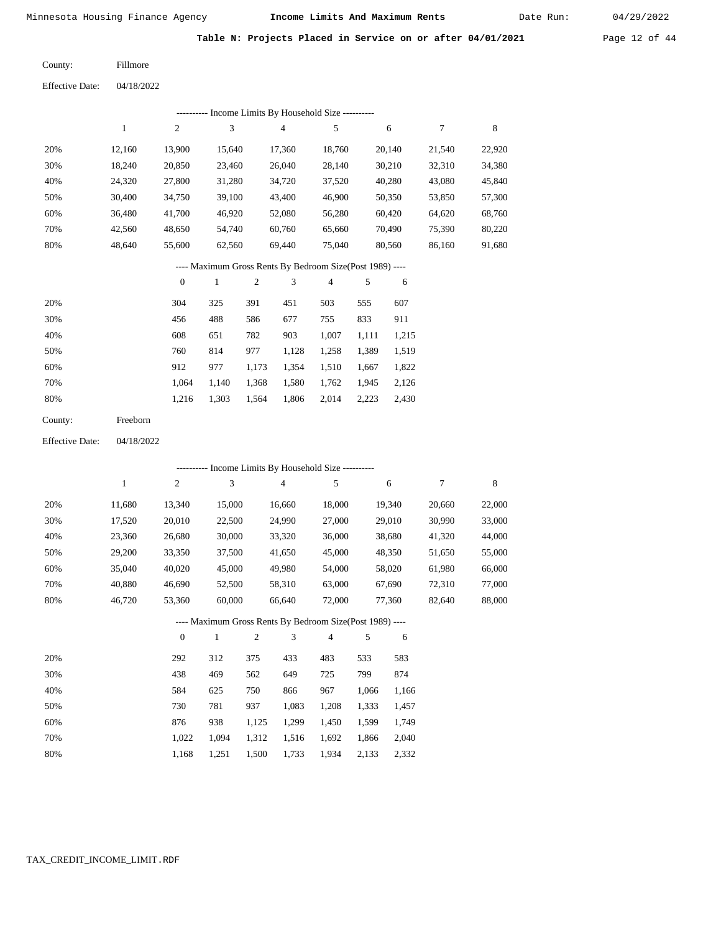Table N: Projects Placed in Service on or after 04/01/2021 Page 12 of 44

| County: | Fillmore |
|---------|----------|
|         |          |

| ---------- Income Limits By Household Size ---------- |        |        |        |        |        |        |        |        |  |
|-------------------------------------------------------|--------|--------|--------|--------|--------|--------|--------|--------|--|
|                                                       |        | 2      | 3      | 4      | 5      | 6      |        | 8      |  |
| 20%                                                   | 12.160 | 13.900 | 15.640 | 17.360 | 18.760 | 20,140 | 21,540 | 22,920 |  |
| 30%                                                   | 18,240 | 20,850 | 23,460 | 26,040 | 28,140 | 30,210 | 32,310 | 34,380 |  |
| 40%                                                   | 24,320 | 27,800 | 31,280 | 34,720 | 37,520 | 40,280 | 43,080 | 45,840 |  |
| 50%                                                   | 30.400 | 34,750 | 39,100 | 43,400 | 46,900 | 50,350 | 53,850 | 57,300 |  |
| 60%                                                   | 36.480 | 41,700 | 46,920 | 52,080 | 56,280 | 60,420 | 64,620 | 68,760 |  |
| 70%                                                   | 42.560 | 48,650 | 54,740 | 60,760 | 65.660 | 70.490 | 75,390 | 80,220 |  |
| 80%                                                   | 48,640 | 55,600 | 62,560 | 69,440 | 75,040 | 80,560 | 86,160 | 91,680 |  |
|                                                       |        |        |        |        |        |        |        |        |  |

### ---- Maximum Gross Rents By Bedroom Size(Post 1989) ----

|     | 0     |       | $\overline{c}$ | 3     | 4     | 5     | 6     |
|-----|-------|-------|----------------|-------|-------|-------|-------|
| 20% | 304   | 325   | 391            | 451   | 503   | 555   | 607   |
| 30% | 456   | 488   | 586            | 677   | 755   | 833   | 911   |
| 40% | 608   | 651   | 782            | 903   | 1,007 | 1,111 | 1,215 |
| 50% | 760   | 814   | 977            | 1,128 | 1,258 | 1,389 | 1,519 |
| 60% | 912   | 977   | 1,173          | 1,354 | 1,510 | 1,667 | 1,822 |
| 70% | 1.064 | 1.140 | 1,368          | 1,580 | 1,762 | 1,945 | 2,126 |
| 80% | 1,216 | 1,303 | 1,564          | 1,806 | 2,014 | 2,223 | 2,430 |
|     |       |       |                |       |       |       |       |

| County: | Freeborn |
|---------|----------|
|         |          |

04/18/2022 Effective Date:

| ---------- Income Limits By Household Size ---------- |                                                          |                |              |                |                |                |       |        |        |             |
|-------------------------------------------------------|----------------------------------------------------------|----------------|--------------|----------------|----------------|----------------|-------|--------|--------|-------------|
|                                                       | 1                                                        | $\overline{c}$ | 3            |                | $\overline{4}$ | 5              |       | 6      | 7      | $\,$ 8 $\,$ |
| 20%                                                   | 11,680                                                   | 13,340         | 15,000       |                | 16,660         | 18,000         |       | 19,340 | 20,660 | 22,000      |
| 30%                                                   | 17,520                                                   | 20,010         | 22,500       |                | 24,990         | 27,000         |       | 29,010 | 30,990 | 33,000      |
| 40%                                                   | 23,360                                                   | 26,680         | 30,000       |                | 33,320         | 36,000         |       | 38,680 | 41,320 | 44,000      |
| 50%                                                   | 29,200                                                   | 33,350         | 37,500       |                | 41,650         | 45,000         |       | 48,350 | 51,650 | 55,000      |
| 60%                                                   | 35,040                                                   | 40,020         | 45,000       |                | 49,980         | 54,000         |       | 58,020 | 61,980 | 66,000      |
| 70%                                                   | 40,880                                                   | 46,690         | 52,500       |                | 58,310         | 63,000         |       | 67,690 | 72,310 | 77,000      |
| 80%                                                   | 46,720                                                   | 53,360         | 60,000       |                | 66,640         | 72,000         |       | 77,360 | 82,640 | 88,000      |
|                                                       | ---- Maximum Gross Rents By Bedroom Size(Post 1989) ---- |                |              |                |                |                |       |        |        |             |
|                                                       |                                                          | $\overline{0}$ | $\mathbf{1}$ | $\overline{c}$ | 3              | $\overline{4}$ | 5     | 6      |        |             |
| 20%                                                   |                                                          | 292            | 312          | 375            | 433            | 483            | 533   | 583    |        |             |
| 30%                                                   |                                                          | 438            | 469          | 562            | 649            | 725            | 799   | 874    |        |             |
| 40%                                                   |                                                          | 584            | 625          | 750            | 866            | 967            | 1,066 | 1,166  |        |             |
| 50%                                                   |                                                          | 730            | 781          | 937            | 1,083          | 1,208          | 1,333 | 1,457  |        |             |
| 60%                                                   |                                                          | 876            | 938          | 1,125          | 1,299          | 1,450          | 1,599 | 1,749  |        |             |
| 70%                                                   |                                                          | 1,022          | 1,094        | 1,312          | 1,516          | 1,692          | 1,866 | 2,040  |        |             |

1,168

1,251

1,500

1,733

1,934

2,133

2,332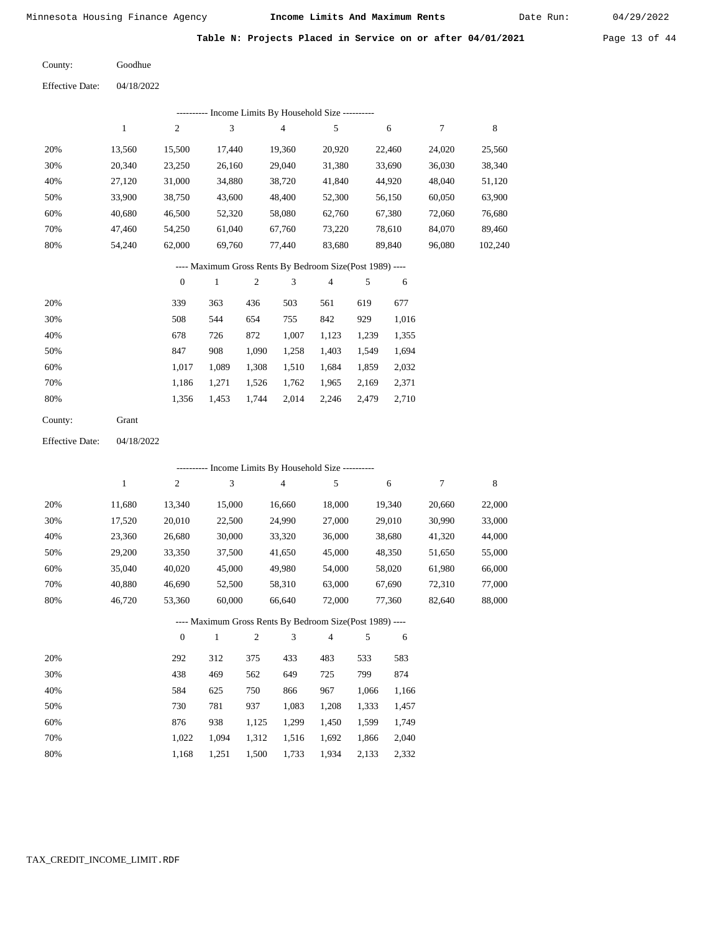Table N: Projects Placed in Service on or after 04/01/2021 Page 13 of 44

| County: | Goodhue |
|---------|---------|
|         |         |

| <b>Effective Date:</b> | 04/18/2022 |
|------------------------|------------|
|------------------------|------------|

|     | Income Limits By Household Size ---------- |                |        |        |        |        |        |         |  |  |  |  |  |
|-----|--------------------------------------------|----------------|--------|--------|--------|--------|--------|---------|--|--|--|--|--|
|     |                                            | $\overline{c}$ | 3      | 4      | 5      | 6      |        | 8       |  |  |  |  |  |
| 20% | 13.560                                     | 15.500         | 17.440 | 19,360 | 20,920 | 22.460 | 24,020 | 25,560  |  |  |  |  |  |
| 30% | 20,340                                     | 23,250         | 26,160 | 29,040 | 31,380 | 33,690 | 36,030 | 38,340  |  |  |  |  |  |
| 40% | 27,120                                     | 31,000         | 34,880 | 38,720 | 41,840 | 44,920 | 48,040 | 51,120  |  |  |  |  |  |
| 50% | 33,900                                     | 38,750         | 43,600 | 48,400 | 52,300 | 56,150 | 60,050 | 63,900  |  |  |  |  |  |
| 60% | 40,680                                     | 46,500         | 52,320 | 58,080 | 62,760 | 67,380 | 72,060 | 76,680  |  |  |  |  |  |
| 70% | 47.460                                     | 54,250         | 61,040 | 67,760 | 73,220 | 78,610 | 84,070 | 89,460  |  |  |  |  |  |
| 80% | 54,240                                     | 62,000         | 69,760 | 77,440 | 83,680 | 89,840 | 96,080 | 102,240 |  |  |  |  |  |

# ---- Maximum Gross Rents By Bedroom Size(Post 1989) ----

|     | $\overline{0}$ |       | $\overline{c}$ | 3     | 4     | 5     | 6     |
|-----|----------------|-------|----------------|-------|-------|-------|-------|
| 20% | 339            | 363   | 436            | 503   | 561   | 619   | 677   |
| 30% | 508            | 544   | 654            | 755   | 842   | 929   | 1,016 |
| 40% | 678            | 726   | 872            | 1,007 | 1,123 | 1,239 | 1,355 |
| 50% | 847            | 908   | 1,090          | 1,258 | 1,403 | 1,549 | 1,694 |
| 60% | 1.017          | 1,089 | 1,308          | 1,510 | 1,684 | 1,859 | 2,032 |
| 70% | 1.186          | 1.271 | 1,526          | 1,762 | 1,965 | 2.169 | 2,371 |
| 80% | 1,356          | 1,453 | 1,744          | 2,014 | 2,246 | 2,479 | 2,710 |
|     |                |       |                |       |       |       |       |

| County: | Grant |
|---------|-------|
|---------|-------|

04/18/2022 Effective Date:

|     | ---------- Income Limits By Household Size ---------- |                |        |                |                                                          |                |       |        |        |        |  |
|-----|-------------------------------------------------------|----------------|--------|----------------|----------------------------------------------------------|----------------|-------|--------|--------|--------|--|
|     | 1                                                     | 2              | 3      |                | $\overline{4}$                                           | 5              |       | 6      | 7      | 8      |  |
| 20% | 11,680                                                | 13,340         | 15,000 |                | 16,660                                                   | 18,000         |       | 19,340 | 20,660 | 22,000 |  |
| 30% | 17,520                                                | 20,010         | 22,500 |                | 24,990                                                   | 27,000         |       | 29,010 | 30,990 | 33,000 |  |
| 40% | 23,360                                                | 26,680         | 30,000 |                | 33,320                                                   | 36,000         |       | 38,680 | 41,320 | 44,000 |  |
| 50% | 29,200                                                | 33,350         | 37,500 |                | 41,650                                                   | 45,000         |       | 48,350 | 51,650 | 55,000 |  |
| 60% | 35,040                                                | 40,020         | 45,000 |                | 49,980                                                   | 54,000         |       | 58,020 | 61,980 | 66,000 |  |
| 70% | 40,880                                                | 46,690         | 52,500 |                | 58,310                                                   | 63,000         |       | 67,690 | 72,310 | 77,000 |  |
| 80% | 46,720                                                | 53,360         | 60,000 |                | 66,640                                                   | 72,000         |       | 77,360 | 82,640 | 88,000 |  |
|     |                                                       |                |        |                | ---- Maximum Gross Rents By Bedroom Size(Post 1989) ---- |                |       |        |        |        |  |
|     |                                                       | $\overline{0}$ | 1      | $\mathfrak{2}$ | 3                                                        | $\overline{4}$ | 5     | 6      |        |        |  |
| 20% |                                                       | 292            | 312    | 375            | 433                                                      | 483            | 533   | 583    |        |        |  |
| 30% |                                                       | 438            | 469    | 562            | 649                                                      | 725            | 799   | 874    |        |        |  |
| 40% |                                                       | 584            | 625    | 750            | 866                                                      | 967            | 1,066 | 1,166  |        |        |  |
| 50% |                                                       | 730            | 781    | 937            | 1,083                                                    | 1,208          | 1,333 | 1,457  |        |        |  |
| 60% |                                                       | 876            | 938    | 1,125          | 1,299                                                    | 1,450          | 1,599 | 1,749  |        |        |  |
| 70% |                                                       | 1,022          | 1,094  | 1,312          | 1,516                                                    | 1,692          | 1,866 | 2,040  |        |        |  |

1,168 1,251 1,500 1,733 1,934 2,133 2,332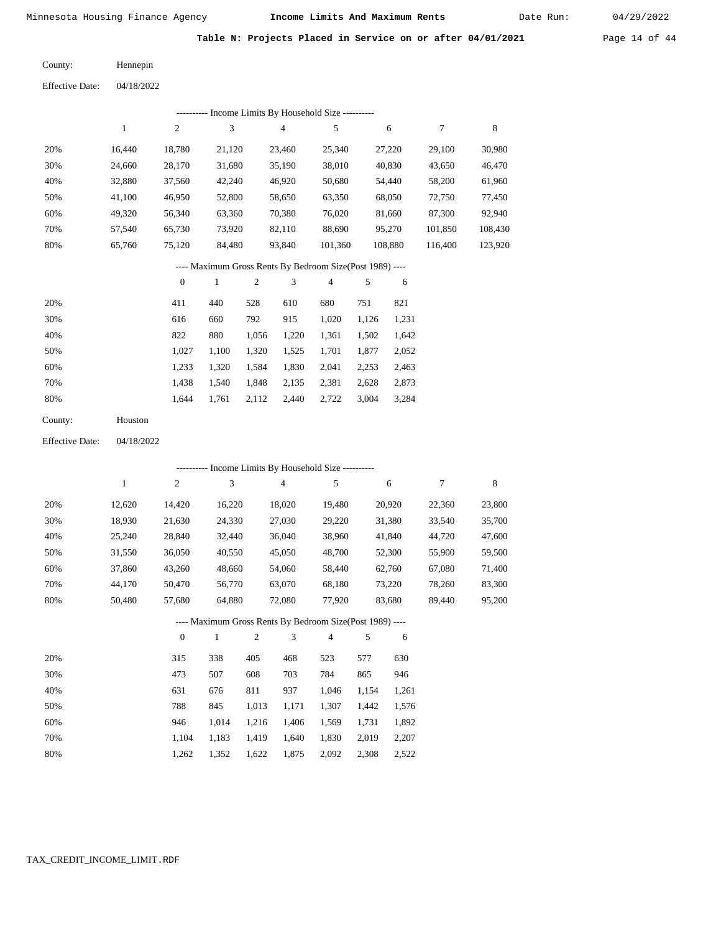Table N: Projects Placed in Service on or after 04/01/2021 Page 14 of 44

| County: | Hennepin |
|---------|----------|
|         |          |

|     | ---------- Income Limits By Household Size ---------- |        |        |        |         |         |         |         |  |  |  |  |  |
|-----|-------------------------------------------------------|--------|--------|--------|---------|---------|---------|---------|--|--|--|--|--|
|     |                                                       | 2      | 3      | 4      |         | 6       |         | 8       |  |  |  |  |  |
| 20% | 16.440                                                | 18,780 | 21,120 | 23.460 | 25,340  | 27,220  | 29.100  | 30,980  |  |  |  |  |  |
| 30% | 24,660                                                | 28,170 | 31,680 | 35,190 | 38,010  | 40,830  | 43,650  | 46,470  |  |  |  |  |  |
| 40% | 32,880                                                | 37,560 | 42,240 | 46,920 | 50,680  | 54,440  | 58,200  | 61,960  |  |  |  |  |  |
| 50% | 41,100                                                | 46,950 | 52,800 | 58,650 | 63,350  | 68,050  | 72,750  | 77,450  |  |  |  |  |  |
| 60% | 49,320                                                | 56,340 | 63,360 | 70,380 | 76,020  | 81,660  | 87,300  | 92,940  |  |  |  |  |  |
| 70% | 57,540                                                | 65,730 | 73,920 | 82,110 | 88,690  | 95,270  | 101,850 | 108,430 |  |  |  |  |  |
| 80% | 65,760                                                | 75,120 | 84,480 | 93,840 | 101,360 | 108,880 | 116,400 | 123,920 |  |  |  |  |  |

# ---- Maximum Gross Rents By Bedroom Size(Post 1989) ----

|     | $\theta$ |       | 2     | 3     | $\overline{4}$ | 5     | 6     |
|-----|----------|-------|-------|-------|----------------|-------|-------|
| 20% | 411      | 440   | 528   | 610   | 680            | 751   | 821   |
| 30% | 616      | 660   | 792   | 915   | 1.020          | 1,126 | 1,231 |
| 40% | 822      | 880   | 1,056 | 1,220 | 1,361          | 1,502 | 1,642 |
| 50% | 1,027    | 1,100 | 1,320 | 1,525 | 1,701          | 1,877 | 2,052 |
| 60% | 1,233    | 1,320 | 1,584 | 1,830 | 2,041          | 2,253 | 2,463 |
| 70% | 1.438    | 1,540 | 1,848 | 2,135 | 2,381          | 2,628 | 2,873 |
| 80% | 1.644    | 1,761 | 2,112 | 2,440 | 2,722          | 3,004 | 3,284 |
|     |          |       |       |       |                |       |       |

| County: | Houston |
|---------|---------|
|---------|---------|

04/18/2022 Effective Date:

|     | ---------- Income Limits By Household Size ---------- |                |              |                |                |                                                          |       |        |        |             |
|-----|-------------------------------------------------------|----------------|--------------|----------------|----------------|----------------------------------------------------------|-------|--------|--------|-------------|
|     | 1                                                     | $\overline{c}$ | 3            |                | $\overline{4}$ | 5                                                        |       | 6      | 7      | $\,$ 8 $\,$ |
| 20% | 12,620                                                | 14,420         | 16,220       |                | 18,020         | 19,480                                                   |       | 20,920 | 22,360 | 23,800      |
| 30% | 18,930                                                | 21,630         | 24,330       |                | 27,030         | 29,220                                                   |       | 31,380 | 33,540 | 35,700      |
| 40% | 25,240                                                | 28,840         | 32,440       |                | 36,040         | 38,960                                                   |       | 41,840 | 44,720 | 47,600      |
| 50% | 31,550                                                | 36,050         | 40,550       |                | 45,050         | 48,700                                                   |       | 52,300 | 55,900 | 59,500      |
| 60% | 37,860                                                | 43,260         | 48,660       |                | 54,060         | 58,440                                                   |       | 62,760 | 67,080 | 71,400      |
| 70% | 44,170                                                | 50,470         | 56,770       |                | 63,070         | 68,180                                                   |       | 73,220 | 78,260 | 83,300      |
| 80% | 50,480                                                | 57,680         | 64,880       |                | 72,080         | 77,920                                                   |       | 83,680 | 89,440 | 95,200      |
|     |                                                       |                |              |                |                | ---- Maximum Gross Rents By Bedroom Size(Post 1989) ---- |       |        |        |             |
|     |                                                       | $\overline{0}$ | $\mathbf{1}$ | $\overline{2}$ | 3              | $\overline{4}$                                           | 5     | 6      |        |             |
| 20% |                                                       | 315            | 338          | 405            | 468            | 523                                                      | 577   | 630    |        |             |
| 30% |                                                       | 473            | 507          | 608            | 703            | 784                                                      | 865   | 946    |        |             |
| 40% |                                                       | 631            | 676          | 811            | 937            | 1,046                                                    | 1,154 | 1,261  |        |             |
| 50% |                                                       | 788            | 845          | 1,013          | 1,171          | 1,307                                                    | 1,442 | 1,576  |        |             |
| 60% |                                                       | 946            | 1,014        | 1,216          | 1,406          | 1,569                                                    | 1,731 | 1,892  |        |             |
| 70% |                                                       | 1,104          | 1,183        | 1,419          | 1,640          | 1,830                                                    | 2,019 | 2,207  |        |             |

1,262

1,352

1,622

1,875

2,092

2,308

2,522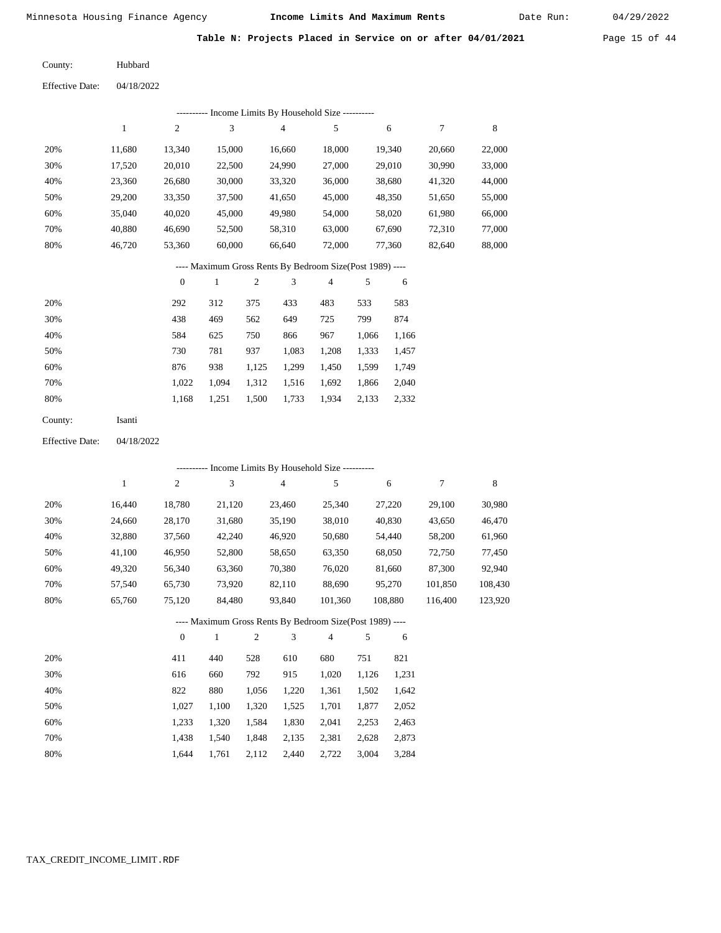Date Run:

Table N: Projects Placed in Service on or after 04/01/2021 Page 15 of 44

| County:                | Hubbard    |
|------------------------|------------|
| <b>Effective Date:</b> | 04/18/2022 |

|                        |              |                  |              |            | --------- Income Limits By Household Size ----------     |         |       |         |                  |             |
|------------------------|--------------|------------------|--------------|------------|----------------------------------------------------------|---------|-------|---------|------------------|-------------|
|                        | $\mathbf{1}$ | $\mathfrak{2}$   | 3            |            | 4                                                        | 5       |       | 6       | 7                | $\,$ 8 $\,$ |
| 20%                    | 11,680       | 13,340           | 15,000       |            | 16,660                                                   | 18,000  |       | 19,340  | 20,660           | 22,000      |
| 30%                    | 17,520       | 20,010           | 22,500       |            | 24,990                                                   | 27,000  |       | 29,010  | 30,990           | 33,000      |
| 40%                    | 23,360       | 26,680           | 30,000       |            | 33,320                                                   | 36,000  |       | 38,680  | 41,320           | 44,000      |
| 50%                    | 29,200       | 33,350           | 37,500       |            | 41,650                                                   | 45,000  |       | 48,350  | 51,650           | 55,000      |
| 60%                    | 35,040       | 40,020           | 45,000       |            | 49,980                                                   | 54,000  |       | 58,020  | 61,980           | 66,000      |
| 70%                    | 40,880       | 46,690           | 52,500       |            | 58,310                                                   | 63,000  |       | 67,690  | 72,310           | 77,000      |
| 80%                    | 46,720       | 53,360           | 60,000       |            | 66,640                                                   | 72,000  |       | 77,360  | 82,640           | 88,000      |
|                        |              |                  |              |            | ---- Maximum Gross Rents By Bedroom Size(Post 1989) ---- |         |       |         |                  |             |
|                        |              | $\boldsymbol{0}$ | $\mathbf{1}$ | $\sqrt{2}$ | 3                                                        | 4       | 5     | 6       |                  |             |
| 20%                    |              | 292              | 312          | 375        | 433                                                      | 483     | 533   | 583     |                  |             |
| 30%                    |              | 438              | 469          | 562        | 649                                                      | 725     | 799   | 874     |                  |             |
| 40%                    |              | 584              | 625          | 750        | 866                                                      | 967     | 1,066 | 1,166   |                  |             |
| 50%                    |              | 730              | 781          | 937        | 1,083                                                    | 1,208   | 1,333 | 1,457   |                  |             |
| 60%                    |              | 876              | 938          | 1,125      | 1,299                                                    | 1,450   | 1,599 | 1,749   |                  |             |
| 70%                    |              | 1,022            | 1,094        | 1,312      | 1,516                                                    | 1,692   | 1,866 | 2,040   |                  |             |
| 80%                    |              | 1,168            | 1,251        | 1,500      | 1,733                                                    | 1,934   | 2,133 | 2,332   |                  |             |
| County:                | Isanti       |                  |              |            |                                                          |         |       |         |                  |             |
| <b>Effective Date:</b> | 04/18/2022   |                  |              |            |                                                          |         |       |         |                  |             |
|                        |              |                  |              |            | --------- Income Limits By Household Size ----------     |         |       |         |                  |             |
|                        | $\mathbf{1}$ | $\overline{c}$   | $\sqrt{3}$   |            | $\overline{\mathbf{4}}$                                  | 5       |       | 6       | $\boldsymbol{7}$ | $\,$ 8 $\,$ |
| 20%                    | 16,440       | 18,780           | 21,120       |            | 23,460                                                   | 25,340  |       | 27,220  | 29,100           | 30,980      |
| 30%                    | 24,660       | 28,170           | 31,680       |            | 35,190                                                   | 38,010  |       | 40,830  | 43,650           | 46,470      |
| 40%                    | 32,880       | 37,560           | 42,240       |            | 46,920                                                   | 50,680  |       | 54,440  | 58,200           | 61,960      |
| 50%                    | 41,100       | 46,950           | 52,800       |            | 58,650                                                   | 63,350  |       | 68,050  | 72,750           | 77,450      |
| 60%                    | 49,320       | 56,340           | 63,360       |            | 70,380                                                   | 76,020  |       | 81,660  | 87,300           | 92,940      |
| 70%                    | 57,540       | 65,730           | 73,920       |            | 82,110                                                   | 88,690  |       | 95,270  | 101,850          | 108,430     |
| 80%                    | 65,760       | 75,120           | 84,480       |            | 93,840                                                   | 101,360 |       | 108,880 | 116,400          | 123,920     |
|                        |              |                  |              |            | ---- Maximum Gross Rents By Bedroom Size(Post 1989) ---- |         |       |         |                  |             |
|                        |              | $\boldsymbol{0}$ | $\mathbf{1}$ | $\sqrt{2}$ | 3                                                        | 4       | 5     | 6       |                  |             |
| 20%                    |              | 411              | 440          | 528        | 610                                                      | 680     | 751   | 821     |                  |             |
| 30%                    |              | 616              | 660          | 792        | 915                                                      | 1,020   | 1,126 | 1,231   |                  |             |
| 40%                    |              | 822              | 880          | 1,056      | 1,220                                                    | 1,361   | 1,502 | 1,642   |                  |             |
| 50%                    |              | 1,027            | 1,100        | 1,320      | 1,525                                                    | 1,701   | 1,877 | 2,052   |                  |             |
| 60%                    |              | 1,233            | 1,320        | 1,584      | 1,830                                                    | 2,041   | 2,253 | 2,463   |                  |             |
| 70%                    |              | 1,438            | 1,540        | 1,848      | 2,135                                                    | 2,381   | 2,628 | 2,873   |                  |             |
| 80%                    |              | 1,644            | 1,761        | 2,112      | 2,440                                                    | 2,722   | 3,004 | 3,284   |                  |             |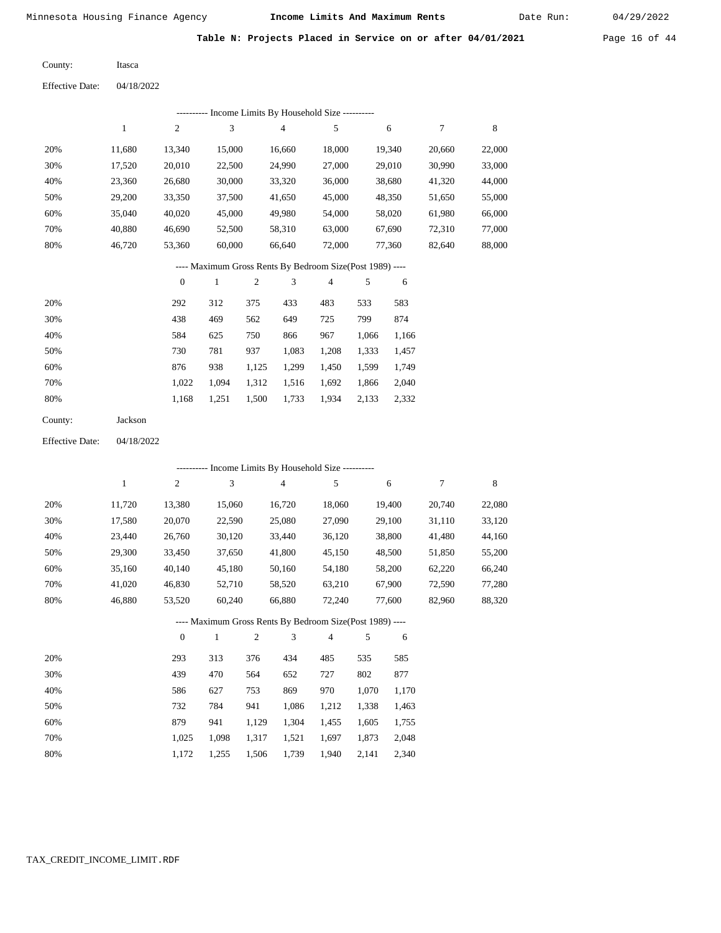Date Run:

Table N: Projects Placed in Service on or after 04/01/2021 Page 16 of 44

| County: | Itasca |
|---------|--------|
|---------|--------|

04/18/2022 Effective Date:

|                                                          |            |                  |               |                | --------- Income Limits By Household Size ---------      |                          |       |                |                  |             |  |
|----------------------------------------------------------|------------|------------------|---------------|----------------|----------------------------------------------------------|--------------------------|-------|----------------|------------------|-------------|--|
|                                                          | $\,1$      | $\overline{c}$   | $\mathfrak z$ |                | $\overline{\mathbf{4}}$                                  | 5                        |       | $\overline{6}$ | $\tau$           | $\,$ 8 $\,$ |  |
| 20%                                                      | 11,680     | 13,340           | 15,000        |                | 16,660                                                   | 18,000                   |       | 19,340         | 20,660           | 22,000      |  |
| 30%                                                      | 17,520     | 20,010           | 22,500        |                | 24,990                                                   | 27,000                   |       | 29,010         | 30,990           | 33,000      |  |
| 40%                                                      | 23,360     | 26,680           | 30,000        |                | 33,320                                                   | 36,000                   |       | 38,680         | 41,320           | 44,000      |  |
| 50%                                                      | 29,200     | 33,350           | 37,500        |                | 41,650                                                   | 45,000                   |       | 48,350         | 51,650           | 55,000      |  |
| 60%                                                      | 35,040     | 40,020           | 45,000        |                | 49,980                                                   | 54,000                   |       | 58,020         | 61,980           | 66,000      |  |
| 70%                                                      | 40,880     | 46,690           | 52,500        |                | 58,310                                                   | 63,000                   |       | 67,690         | 72,310           | 77,000      |  |
| 80%                                                      | 46,720     | 53,360           | 60,000        |                | 66,640                                                   | 72,000                   |       | 77,360         | 82,640           | 88,000      |  |
| ---- Maximum Gross Rents By Bedroom Size(Post 1989) ---- |            |                  |               |                |                                                          |                          |       |                |                  |             |  |
|                                                          |            | $\boldsymbol{0}$ | $\,1$         | $\mathfrak{2}$ | 3                                                        | $\overline{4}$           | 5     | 6              |                  |             |  |
| 20%                                                      |            | 292              | 312           | 375            | 433                                                      | 483                      | 533   | 583            |                  |             |  |
| 30%                                                      |            | 438              | 469           | 562            | 649                                                      | 725                      | 799   | 874            |                  |             |  |
| 40%                                                      |            | 584              | 625           | 750            | 866                                                      | 967                      | 1,066 | 1,166          |                  |             |  |
| 50%                                                      |            | 730              | 781           | 937            | 1,083                                                    | 1,208                    | 1,333 | 1,457          |                  |             |  |
| 60%                                                      |            | 876              | 938           | 1,125          | 1,299                                                    | 1,450                    | 1,599 | 1,749          |                  |             |  |
| 70%                                                      |            | 1,022            | 1,094         | 1,312          | 1,516                                                    | 1,692                    | 1,866 | 2,040          |                  |             |  |
| 80%                                                      |            | 1,168            | 1,251         | 1,500          | 1,733                                                    | 1,934                    | 2,133 | 2,332          |                  |             |  |
| County:                                                  | Jackson    |                  |               |                |                                                          |                          |       |                |                  |             |  |
| <b>Effective Date:</b>                                   | 04/18/2022 |                  |               |                |                                                          |                          |       |                |                  |             |  |
|                                                          |            |                  |               |                | --------- Income Limits By Household Size ----------     |                          |       |                |                  |             |  |
|                                                          | $\,1\,$    | $\mathfrak{2}$   | 3             |                | 4                                                        | 5                        |       | 6              | $\boldsymbol{7}$ | 8           |  |
| 20%                                                      | 11,720     | 13,380           | 15,060        |                | 16,720                                                   | 18,060                   |       | 19,400         | 20,740           | 22,080      |  |
| 30%                                                      | 17,580     | 20,070           | 22,590        |                | 25,080                                                   | 27,090                   |       | 29,100         | 31,110           | 33,120      |  |
| 40%                                                      | 23,440     | 26,760           | 30,120        |                | 33,440                                                   | 36,120                   |       | 38,800         | 41,480           | 44,160      |  |
| 50%                                                      | 29,300     | 33,450           | 37,650        |                | 41,800                                                   | 45,150                   |       | 48,500         | 51,850           | 55,200      |  |
| 60%                                                      | 35,160     | 40,140           | 45,180        |                | 50,160                                                   | 54,180                   |       | 58,200         | 62,220           | 66,240      |  |
| 70%                                                      | 41,020     | 46,830           | 52,710        |                | 58,520                                                   | 63,210                   |       | 67,900         | 72,590           | 77,280      |  |
| 80%                                                      | 46,880     | 53,520           | 60,240        |                | 66,880                                                   | 72,240                   |       | 77,600         | 82,960           | 88,320      |  |
|                                                          |            |                  |               |                | ---- Maximum Gross Rents By Bedroom Size(Post 1989) ---- |                          |       |                |                  |             |  |
|                                                          |            | $\boldsymbol{0}$ | $\,1$         | $\sqrt{2}$     | 3                                                        | $\overline{\mathcal{L}}$ | 5     | 6              |                  |             |  |
| 20%                                                      |            | 293              | 313           | 376            | 434                                                      | 485                      | 535   | 585            |                  |             |  |
| 30%                                                      |            | 439              | 470           | 564            | 652                                                      | 727                      | 802   | 877            |                  |             |  |
| 40%                                                      |            | 586              | 627           | 753            | 869                                                      | 970                      | 1,070 | 1,170          |                  |             |  |

| 40% | 586.  | 627 | 753                                 | 869 970 1.070 1.170         |       |       |
|-----|-------|-----|-------------------------------------|-----------------------------|-------|-------|
| 50% | 732   | 784 |                                     | 941 1,086 1,212 1,338 1,463 |       |       |
| 60% | 879   |     | 941 1,129 1,304 1,455 1,605 1,755   |                             |       |       |
| 70% | 1.025 |     | 1.098 1.317 1.521 1.697 1.873 2.048 |                             |       |       |
| 80% | 1.172 |     | 1,255 1,506 1,739                   | 1.940                       | 2,141 | 2,340 |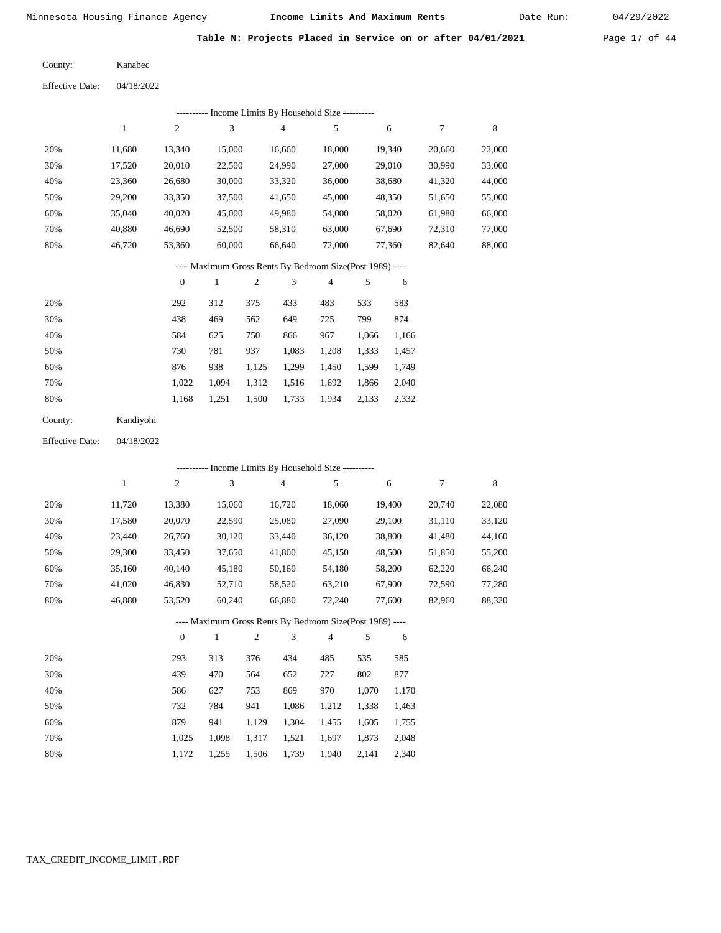Table N: Projects Placed in Service on or after 04/01/2021 Page 17 of 44

| County: | Kanabec |
|---------|---------|
|         |         |

|     | ---------- Income Limits By Household Size ---------- |        |        |        |        |        |        |        |  |  |
|-----|-------------------------------------------------------|--------|--------|--------|--------|--------|--------|--------|--|--|
|     |                                                       | 2      | 3      | 4      | 5      | 6      | 7      | 8      |  |  |
| 20% | 11.680                                                | 13,340 | 15,000 | 16.660 | 18,000 | 19,340 | 20,660 | 22,000 |  |  |
| 30% | 17.520                                                | 20,010 | 22,500 | 24,990 | 27,000 | 29,010 | 30,990 | 33,000 |  |  |
| 40% | 23,360                                                | 26,680 | 30,000 | 33,320 | 36,000 | 38,680 | 41,320 | 44,000 |  |  |
| 50% | 29,200                                                | 33,350 | 37,500 | 41,650 | 45,000 | 48,350 | 51,650 | 55,000 |  |  |
| 60% | 35,040                                                | 40,020 | 45,000 | 49,980 | 54,000 | 58,020 | 61,980 | 66,000 |  |  |
| 70% | 40,880                                                | 46,690 | 52,500 | 58,310 | 63,000 | 67,690 | 72,310 | 77,000 |  |  |
| 80% | 46,720                                                | 53,360 | 60,000 | 66,640 | 72,000 | 77,360 | 82,640 | 88,000 |  |  |

### ---- Maximum Gross Rents By Bedroom Size(Post 1989) ----

|     | $\mathbf{0}$ |       | $\overline{c}$ | 3     | 4     | 5     | 6     |
|-----|--------------|-------|----------------|-------|-------|-------|-------|
| 20% | 292          | 312   | 375            | 433   | 483   | 533   | 583   |
| 30% | 438          | 469   | 562            | 649   | 725   | 799   | 874   |
| 40% | 584          | 625   | 750            | 866   | 967   | 1,066 | 1,166 |
| 50% | 730          | 781   | 937            | 1,083 | 1,208 | 1,333 | 1,457 |
| 60% | 876          | 938   | 1,125          | 1,299 | 1,450 | 1,599 | 1,749 |
| 70% | 1.022        | 1.094 | 1,312          | 1,516 | 1,692 | 1,866 | 2,040 |
| 80% | 1,168        | 1,251 | 1,500          | 1,733 | 1,934 | 2,133 | 2,332 |
|     |              |       |                |       |       |       |       |

| County: | Kandiyohi |
|---------|-----------|
|         |           |

04/18/2022 Effective Date:

|     |        |                |        |                | ---------- Income Limits By Household Size ----------    |                |       |        |        |        |
|-----|--------|----------------|--------|----------------|----------------------------------------------------------|----------------|-------|--------|--------|--------|
|     | 1      | $\mathbf{2}$   | 3      |                | $\overline{4}$                                           | 5              |       | 6      | 7      | 8      |
| 20% | 11,720 | 13,380         | 15,060 |                | 16,720                                                   | 18,060         |       | 19,400 | 20,740 | 22,080 |
| 30% | 17,580 | 20,070         | 22,590 |                | 25,080                                                   | 27,090         |       | 29,100 | 31,110 | 33,120 |
| 40% | 23,440 | 26,760         | 30,120 |                | 33,440                                                   | 36,120         |       | 38,800 | 41,480 | 44,160 |
| 50% | 29,300 | 33,450         | 37,650 |                | 41,800                                                   | 45,150         |       | 48,500 | 51,850 | 55,200 |
| 60% | 35,160 | 40,140         | 45,180 |                | 50,160                                                   | 54,180         |       | 58,200 | 62,220 | 66,240 |
| 70% | 41,020 | 46,830         | 52,710 |                | 58,520                                                   | 63,210         |       | 67,900 | 72,590 | 77,280 |
| 80% | 46,880 | 53,520         | 60,240 |                | 66,880                                                   | 72,240         |       | 77,600 | 82,960 | 88,320 |
|     |        |                |        |                | ---- Maximum Gross Rents By Bedroom Size(Post 1989) ---- |                |       |        |        |        |
|     |        | $\overline{0}$ | 1      | $\mathfrak{2}$ | 3                                                        | $\overline{4}$ | 5     | 6      |        |        |
| 20% |        | 293            | 313    | 376            | 434                                                      | 485            | 535   | 585    |        |        |
| 30% |        | 439            | 470    | 564            | 652                                                      | 727            | 802   | 877    |        |        |
| 40% |        | 586            | 627    | 753            | 869                                                      | 970            | 1,070 | 1,170  |        |        |
| 50% |        | 732            | 784    | 941            | 1,086                                                    | 1,212          | 1,338 | 1,463  |        |        |
| 60% |        | 879            | 941    | 1,129          | 1,304                                                    | 1,455          | 1,605 | 1,755  |        |        |

 1,025 1,172

 1,098 1,255  1,317 1,506

 1,521 1,739  1,697 1,940  1,873 2,141  2,048 2,340

 70% 80%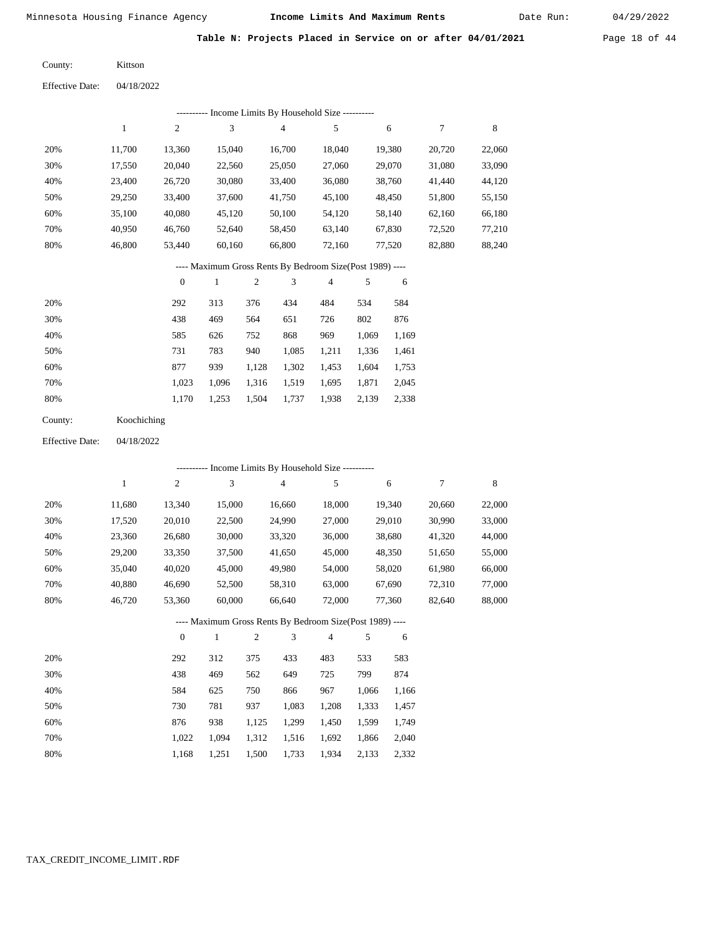Table N: Projects Placed in Service on or after 04/01/2021 Page 18 of 44

| County: | Kittson |
|---------|---------|
|         |         |

|     | Income Limits By Household Size ---------- |        |        |        |        |        |        |        |  |  |
|-----|--------------------------------------------|--------|--------|--------|--------|--------|--------|--------|--|--|
|     |                                            | 2      | 3      | 4      | 5      | 6      | 7      | 8      |  |  |
| 20% | 11.700                                     | 13,360 | 15.040 | 16,700 | 18,040 | 19,380 | 20,720 | 22,060 |  |  |
| 30% | 17,550                                     | 20,040 | 22,560 | 25,050 | 27,060 | 29,070 | 31,080 | 33,090 |  |  |
| 40% | 23,400                                     | 26,720 | 30,080 | 33,400 | 36,080 | 38,760 | 41,440 | 44,120 |  |  |
| 50% | 29,250                                     | 33,400 | 37,600 | 41,750 | 45,100 | 48,450 | 51,800 | 55,150 |  |  |
| 60% | 35,100                                     | 40,080 | 45,120 | 50,100 | 54,120 | 58,140 | 62,160 | 66,180 |  |  |
| 70% | 40.950                                     | 46,760 | 52.640 | 58,450 | 63,140 | 67,830 | 72,520 | 77,210 |  |  |
| 80% | 46,800                                     | 53,440 | 60,160 | 66,800 | 72,160 | 77,520 | 82,880 | 88,240 |  |  |

### ---- Maximum Gross Rents By Bedroom Size(Post 1989) ----

|     | $\theta$ |       | $\overline{c}$ | 3     | 4     | 5     | 6     |
|-----|----------|-------|----------------|-------|-------|-------|-------|
| 20% | 292      | 313   | 376            | 434   | 484   | 534   | 584   |
| 30% | 438      | 469   | 564            | 651   | 726   | 802   | 876   |
| 40% | 585      | 626   | 752            | 868   | 969   | 1,069 | 1,169 |
| 50% | 731      | 783   | 940            | 1,085 | 1.211 | 1,336 | 1,461 |
| 60% | 877      | 939   | 1,128          | 1,302 | 1,453 | 1,604 | 1,753 |
| 70% | 1,023    | 1.096 | 1,316          | 1,519 | 1,695 | 1,871 | 2,045 |
| 80% | 1,170    | 1,253 | 1,504          | 1,737 | 1,938 | 2,139 | 2,338 |

| County: | Koochiching |
|---------|-------------|
|---------|-------------|

04/18/2022 Effective Date:

|     | ---------- Income Limits By Household Size ---------- |                |              |                |                |                                                          |       |        |        |             |
|-----|-------------------------------------------------------|----------------|--------------|----------------|----------------|----------------------------------------------------------|-------|--------|--------|-------------|
|     | 1                                                     | $\overline{c}$ | 3            |                | $\overline{4}$ | 5                                                        |       | 6      | 7      | $\,$ 8 $\,$ |
| 20% | 11,680                                                | 13,340         | 15,000       |                | 16,660         | 18,000                                                   |       | 19,340 | 20,660 | 22,000      |
| 30% | 17,520                                                | 20,010         | 22,500       |                | 24,990         | 27,000                                                   |       | 29,010 | 30,990 | 33,000      |
| 40% | 23,360                                                | 26,680         | 30,000       |                | 33,320         | 36,000                                                   |       | 38,680 | 41,320 | 44,000      |
| 50% | 29,200                                                | 33,350         | 37,500       |                | 41,650         | 45,000                                                   |       | 48,350 | 51,650 | 55,000      |
| 60% | 35,040                                                | 40,020         | 45,000       |                | 49,980         | 54,000                                                   |       | 58,020 | 61,980 | 66,000      |
| 70% | 40,880                                                | 46,690         | 52,500       |                | 58,310         | 63,000                                                   |       | 67,690 | 72,310 | 77,000      |
| 80% | 46,720                                                | 53,360         | 60,000       |                | 66,640         | 72,000                                                   |       | 77,360 | 82,640 | 88,000      |
|     |                                                       |                |              |                |                | ---- Maximum Gross Rents By Bedroom Size(Post 1989) ---- |       |        |        |             |
|     |                                                       | $\overline{0}$ | $\mathbf{1}$ | $\overline{2}$ | 3              | $\overline{4}$                                           | 5     | 6      |        |             |
| 20% |                                                       | 292            | 312          | 375            | 433            | 483                                                      | 533   | 583    |        |             |
| 30% |                                                       | 438            | 469          | 562            | 649            | 725                                                      | 799   | 874    |        |             |
| 40% |                                                       | 584            | 625          | 750            | 866            | 967                                                      | 1,066 | 1,166  |        |             |
| 50% |                                                       | 730            | 781          | 937            | 1,083          | 1,208                                                    | 1,333 | 1,457  |        |             |
| 60% |                                                       | 876            | 938          | 1,125          | 1,299          | 1,450                                                    | 1,599 | 1,749  |        |             |
| 70% |                                                       | 1,022          | 1,094        | 1,312          | 1,516          | 1,692                                                    | 1,866 | 2,040  |        |             |

1,168

1,251

1,500

1,733

1,934

2,133 2,332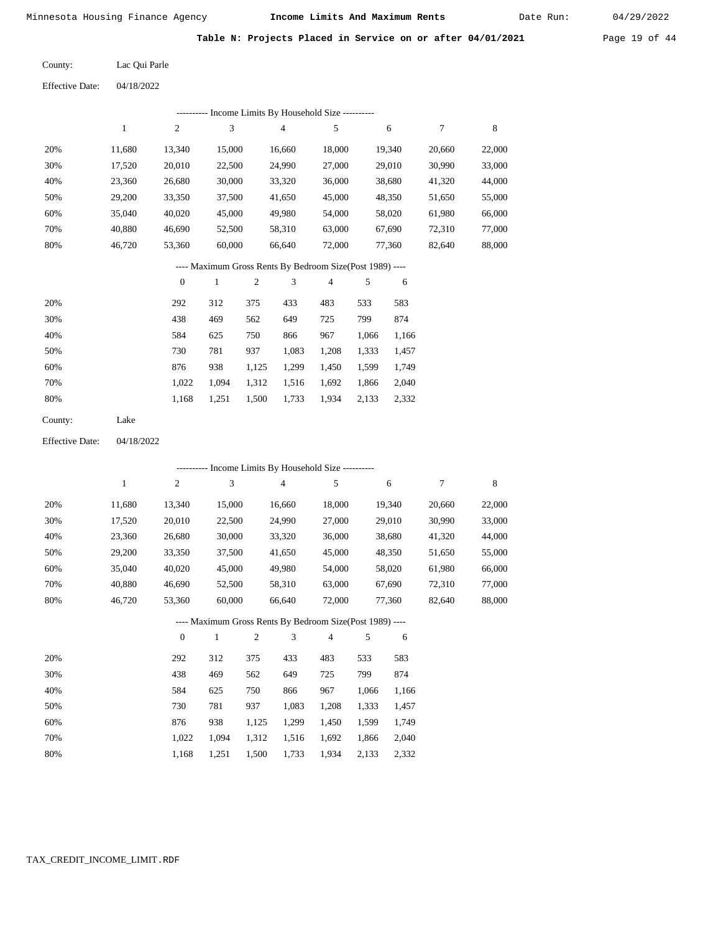Date Run: 04/29/2022

Table N: Projects Placed in Service on or after 04/01/2021 Page 19 of 44

| County: | Lac Qui Parle |
|---------|---------------|
|---------|---------------|

04/18/2022 Effective Date:

| ---------- Income Limits By Household Size ---------<br>$\mathbf{1}$<br>3<br>$\overline{4}$<br>$\sqrt{6}$<br>$\boldsymbol{7}$<br>$\,8\,$<br>2<br>5<br>20%<br>11,680<br>13,340<br>15,000<br>16,660<br>18,000<br>19,340<br>20,660<br>30%<br>22,500<br>27,000<br>17,520<br>20,010<br>24,990<br>29,010<br>30,990<br>40%<br>23,360<br>26,680<br>30,000<br>33,320<br>36,000<br>38,680<br>41,320<br>50%<br>29,200<br>33,350<br>37,500<br>41,650<br>45,000<br>48,350<br>51,650<br>60%<br>35,040<br>40,020<br>45,000<br>49,980<br>54,000<br>58,020<br>61,980<br>70%<br>40,880<br>46,690<br>52,500<br>58,310<br>63,000<br>67,690<br>72,310<br>80%<br>46,720<br>53,360<br>60,000<br>66,640<br>72,000<br>77,360<br>82,640<br>---- Maximum Gross Rents By Bedroom Size(Post 1989) ----<br>$\boldsymbol{0}$<br>$\sqrt{2}$<br>3<br>$\overline{4}$<br>5<br>$\mathbf{1}$<br>6<br>20%<br>292<br>312<br>375<br>433<br>483<br>533<br>583<br>874<br>30%<br>438<br>469<br>562<br>649<br>725<br>799<br>40%<br>584<br>625<br>750<br>866<br>967<br>1,066<br>1,166<br>50%<br>730<br>781<br>937<br>1,083<br>1,208<br>1,333<br>1,457<br>60%<br>876<br>938<br>1,125<br>1,299<br>1,450<br>1,599<br>1,749<br>70%<br>1,022<br>1,094<br>1,312<br>1,516<br>1,692<br>1,866<br>2,040<br>80%<br>1,168<br>1,251<br>1,500<br>1,733<br>1,934<br>2,133<br>2,332<br>County:<br>Lake<br><b>Effective Date:</b><br>04/18/2022<br>---------- Income Limits By Household Size ----------<br>$\sqrt{2}$<br>3<br>5<br>$\,$ 8 $\,$<br>$\mathbf{1}$<br>4<br>6<br>7<br>20%<br>11,680<br>13,340<br>15,000<br>16,660<br>18,000<br>19,340<br>20,660<br>30%<br>17,520<br>20,010<br>22,500<br>24,990<br>27,000<br>29,010<br>30,990<br>40%<br>23,360<br>26,680<br>30,000<br>33,320<br>36,000<br>38,680<br>41,320<br>50%<br>29,200<br>33,350<br>37,500<br>41,650<br>45,000<br>48,350<br>51,650<br>60%<br>35,040<br>40,020<br>45,000<br>49,980<br>54,000<br>58,020<br>61,980<br>70%<br>40,880<br>46,690<br>52,500<br>58,310<br>63,000<br>67,690<br>72,310<br>77,000<br>80%<br>46,720<br>53,360<br>60,000<br>66,640<br>72,000<br>77,360<br>82,640<br>---- Maximum Gross Rents By Bedroom Size(Post 1989) ----<br>$\boldsymbol{0}$<br>$\mathbf{1}$<br>$\sqrt{2}$<br>$\ensuremath{\mathfrak{Z}}$<br>$\overline{4}$<br>$\sqrt{5}$<br>6<br>292<br>312<br>533<br>583<br>20%<br>375<br>433<br>483<br>874<br>30%<br>438<br>649<br>799<br>469<br>562<br>725<br>40%<br>584<br>866<br>967<br>625<br>750<br>1,066<br>1,166<br>730<br>1,083<br>50%<br>781<br>937<br>1,208<br>1,333<br>1,457<br>60%<br>876<br>938<br>1,125<br>1,299<br>1,450<br>1,599<br>1,749<br>70%<br>1,022<br>1,312<br>1,094<br>1,516<br>1,692<br>1,866<br>2,040<br>80%<br>1,168<br>1,733<br>1,934<br>2,133<br>1,251<br>1,500<br>2,332 |  |  |  |  |  |        |
|-----------------------------------------------------------------------------------------------------------------------------------------------------------------------------------------------------------------------------------------------------------------------------------------------------------------------------------------------------------------------------------------------------------------------------------------------------------------------------------------------------------------------------------------------------------------------------------------------------------------------------------------------------------------------------------------------------------------------------------------------------------------------------------------------------------------------------------------------------------------------------------------------------------------------------------------------------------------------------------------------------------------------------------------------------------------------------------------------------------------------------------------------------------------------------------------------------------------------------------------------------------------------------------------------------------------------------------------------------------------------------------------------------------------------------------------------------------------------------------------------------------------------------------------------------------------------------------------------------------------------------------------------------------------------------------------------------------------------------------------------------------------------------------------------------------------------------------------------------------------------------------------------------------------------------------------------------------------------------------------------------------------------------------------------------------------------------------------------------------------------------------------------------------------------------------------------------------------------------------------------------------------------------------------------------------------------------------------------------------------------------------------------------------------------------------------------------------------------------------------------------------------------------------------------------------------------------------------------------------------------------------------------------------------------------------------------------------------------------------|--|--|--|--|--|--------|
|                                                                                                                                                                                                                                                                                                                                                                                                                                                                                                                                                                                                                                                                                                                                                                                                                                                                                                                                                                                                                                                                                                                                                                                                                                                                                                                                                                                                                                                                                                                                                                                                                                                                                                                                                                                                                                                                                                                                                                                                                                                                                                                                                                                                                                                                                                                                                                                                                                                                                                                                                                                                                                                                                                                                   |  |  |  |  |  |        |
|                                                                                                                                                                                                                                                                                                                                                                                                                                                                                                                                                                                                                                                                                                                                                                                                                                                                                                                                                                                                                                                                                                                                                                                                                                                                                                                                                                                                                                                                                                                                                                                                                                                                                                                                                                                                                                                                                                                                                                                                                                                                                                                                                                                                                                                                                                                                                                                                                                                                                                                                                                                                                                                                                                                                   |  |  |  |  |  |        |
|                                                                                                                                                                                                                                                                                                                                                                                                                                                                                                                                                                                                                                                                                                                                                                                                                                                                                                                                                                                                                                                                                                                                                                                                                                                                                                                                                                                                                                                                                                                                                                                                                                                                                                                                                                                                                                                                                                                                                                                                                                                                                                                                                                                                                                                                                                                                                                                                                                                                                                                                                                                                                                                                                                                                   |  |  |  |  |  | 22,000 |
|                                                                                                                                                                                                                                                                                                                                                                                                                                                                                                                                                                                                                                                                                                                                                                                                                                                                                                                                                                                                                                                                                                                                                                                                                                                                                                                                                                                                                                                                                                                                                                                                                                                                                                                                                                                                                                                                                                                                                                                                                                                                                                                                                                                                                                                                                                                                                                                                                                                                                                                                                                                                                                                                                                                                   |  |  |  |  |  | 33,000 |
|                                                                                                                                                                                                                                                                                                                                                                                                                                                                                                                                                                                                                                                                                                                                                                                                                                                                                                                                                                                                                                                                                                                                                                                                                                                                                                                                                                                                                                                                                                                                                                                                                                                                                                                                                                                                                                                                                                                                                                                                                                                                                                                                                                                                                                                                                                                                                                                                                                                                                                                                                                                                                                                                                                                                   |  |  |  |  |  | 44,000 |
|                                                                                                                                                                                                                                                                                                                                                                                                                                                                                                                                                                                                                                                                                                                                                                                                                                                                                                                                                                                                                                                                                                                                                                                                                                                                                                                                                                                                                                                                                                                                                                                                                                                                                                                                                                                                                                                                                                                                                                                                                                                                                                                                                                                                                                                                                                                                                                                                                                                                                                                                                                                                                                                                                                                                   |  |  |  |  |  | 55,000 |
|                                                                                                                                                                                                                                                                                                                                                                                                                                                                                                                                                                                                                                                                                                                                                                                                                                                                                                                                                                                                                                                                                                                                                                                                                                                                                                                                                                                                                                                                                                                                                                                                                                                                                                                                                                                                                                                                                                                                                                                                                                                                                                                                                                                                                                                                                                                                                                                                                                                                                                                                                                                                                                                                                                                                   |  |  |  |  |  | 66,000 |
|                                                                                                                                                                                                                                                                                                                                                                                                                                                                                                                                                                                                                                                                                                                                                                                                                                                                                                                                                                                                                                                                                                                                                                                                                                                                                                                                                                                                                                                                                                                                                                                                                                                                                                                                                                                                                                                                                                                                                                                                                                                                                                                                                                                                                                                                                                                                                                                                                                                                                                                                                                                                                                                                                                                                   |  |  |  |  |  | 77,000 |
|                                                                                                                                                                                                                                                                                                                                                                                                                                                                                                                                                                                                                                                                                                                                                                                                                                                                                                                                                                                                                                                                                                                                                                                                                                                                                                                                                                                                                                                                                                                                                                                                                                                                                                                                                                                                                                                                                                                                                                                                                                                                                                                                                                                                                                                                                                                                                                                                                                                                                                                                                                                                                                                                                                                                   |  |  |  |  |  | 88,000 |
|                                                                                                                                                                                                                                                                                                                                                                                                                                                                                                                                                                                                                                                                                                                                                                                                                                                                                                                                                                                                                                                                                                                                                                                                                                                                                                                                                                                                                                                                                                                                                                                                                                                                                                                                                                                                                                                                                                                                                                                                                                                                                                                                                                                                                                                                                                                                                                                                                                                                                                                                                                                                                                                                                                                                   |  |  |  |  |  |        |
|                                                                                                                                                                                                                                                                                                                                                                                                                                                                                                                                                                                                                                                                                                                                                                                                                                                                                                                                                                                                                                                                                                                                                                                                                                                                                                                                                                                                                                                                                                                                                                                                                                                                                                                                                                                                                                                                                                                                                                                                                                                                                                                                                                                                                                                                                                                                                                                                                                                                                                                                                                                                                                                                                                                                   |  |  |  |  |  |        |
|                                                                                                                                                                                                                                                                                                                                                                                                                                                                                                                                                                                                                                                                                                                                                                                                                                                                                                                                                                                                                                                                                                                                                                                                                                                                                                                                                                                                                                                                                                                                                                                                                                                                                                                                                                                                                                                                                                                                                                                                                                                                                                                                                                                                                                                                                                                                                                                                                                                                                                                                                                                                                                                                                                                                   |  |  |  |  |  |        |
|                                                                                                                                                                                                                                                                                                                                                                                                                                                                                                                                                                                                                                                                                                                                                                                                                                                                                                                                                                                                                                                                                                                                                                                                                                                                                                                                                                                                                                                                                                                                                                                                                                                                                                                                                                                                                                                                                                                                                                                                                                                                                                                                                                                                                                                                                                                                                                                                                                                                                                                                                                                                                                                                                                                                   |  |  |  |  |  |        |
|                                                                                                                                                                                                                                                                                                                                                                                                                                                                                                                                                                                                                                                                                                                                                                                                                                                                                                                                                                                                                                                                                                                                                                                                                                                                                                                                                                                                                                                                                                                                                                                                                                                                                                                                                                                                                                                                                                                                                                                                                                                                                                                                                                                                                                                                                                                                                                                                                                                                                                                                                                                                                                                                                                                                   |  |  |  |  |  |        |
|                                                                                                                                                                                                                                                                                                                                                                                                                                                                                                                                                                                                                                                                                                                                                                                                                                                                                                                                                                                                                                                                                                                                                                                                                                                                                                                                                                                                                                                                                                                                                                                                                                                                                                                                                                                                                                                                                                                                                                                                                                                                                                                                                                                                                                                                                                                                                                                                                                                                                                                                                                                                                                                                                                                                   |  |  |  |  |  |        |
|                                                                                                                                                                                                                                                                                                                                                                                                                                                                                                                                                                                                                                                                                                                                                                                                                                                                                                                                                                                                                                                                                                                                                                                                                                                                                                                                                                                                                                                                                                                                                                                                                                                                                                                                                                                                                                                                                                                                                                                                                                                                                                                                                                                                                                                                                                                                                                                                                                                                                                                                                                                                                                                                                                                                   |  |  |  |  |  |        |
|                                                                                                                                                                                                                                                                                                                                                                                                                                                                                                                                                                                                                                                                                                                                                                                                                                                                                                                                                                                                                                                                                                                                                                                                                                                                                                                                                                                                                                                                                                                                                                                                                                                                                                                                                                                                                                                                                                                                                                                                                                                                                                                                                                                                                                                                                                                                                                                                                                                                                                                                                                                                                                                                                                                                   |  |  |  |  |  |        |
|                                                                                                                                                                                                                                                                                                                                                                                                                                                                                                                                                                                                                                                                                                                                                                                                                                                                                                                                                                                                                                                                                                                                                                                                                                                                                                                                                                                                                                                                                                                                                                                                                                                                                                                                                                                                                                                                                                                                                                                                                                                                                                                                                                                                                                                                                                                                                                                                                                                                                                                                                                                                                                                                                                                                   |  |  |  |  |  |        |
|                                                                                                                                                                                                                                                                                                                                                                                                                                                                                                                                                                                                                                                                                                                                                                                                                                                                                                                                                                                                                                                                                                                                                                                                                                                                                                                                                                                                                                                                                                                                                                                                                                                                                                                                                                                                                                                                                                                                                                                                                                                                                                                                                                                                                                                                                                                                                                                                                                                                                                                                                                                                                                                                                                                                   |  |  |  |  |  |        |
|                                                                                                                                                                                                                                                                                                                                                                                                                                                                                                                                                                                                                                                                                                                                                                                                                                                                                                                                                                                                                                                                                                                                                                                                                                                                                                                                                                                                                                                                                                                                                                                                                                                                                                                                                                                                                                                                                                                                                                                                                                                                                                                                                                                                                                                                                                                                                                                                                                                                                                                                                                                                                                                                                                                                   |  |  |  |  |  |        |
|                                                                                                                                                                                                                                                                                                                                                                                                                                                                                                                                                                                                                                                                                                                                                                                                                                                                                                                                                                                                                                                                                                                                                                                                                                                                                                                                                                                                                                                                                                                                                                                                                                                                                                                                                                                                                                                                                                                                                                                                                                                                                                                                                                                                                                                                                                                                                                                                                                                                                                                                                                                                                                                                                                                                   |  |  |  |  |  |        |
|                                                                                                                                                                                                                                                                                                                                                                                                                                                                                                                                                                                                                                                                                                                                                                                                                                                                                                                                                                                                                                                                                                                                                                                                                                                                                                                                                                                                                                                                                                                                                                                                                                                                                                                                                                                                                                                                                                                                                                                                                                                                                                                                                                                                                                                                                                                                                                                                                                                                                                                                                                                                                                                                                                                                   |  |  |  |  |  |        |
|                                                                                                                                                                                                                                                                                                                                                                                                                                                                                                                                                                                                                                                                                                                                                                                                                                                                                                                                                                                                                                                                                                                                                                                                                                                                                                                                                                                                                                                                                                                                                                                                                                                                                                                                                                                                                                                                                                                                                                                                                                                                                                                                                                                                                                                                                                                                                                                                                                                                                                                                                                                                                                                                                                                                   |  |  |  |  |  | 22,000 |
|                                                                                                                                                                                                                                                                                                                                                                                                                                                                                                                                                                                                                                                                                                                                                                                                                                                                                                                                                                                                                                                                                                                                                                                                                                                                                                                                                                                                                                                                                                                                                                                                                                                                                                                                                                                                                                                                                                                                                                                                                                                                                                                                                                                                                                                                                                                                                                                                                                                                                                                                                                                                                                                                                                                                   |  |  |  |  |  | 33,000 |
|                                                                                                                                                                                                                                                                                                                                                                                                                                                                                                                                                                                                                                                                                                                                                                                                                                                                                                                                                                                                                                                                                                                                                                                                                                                                                                                                                                                                                                                                                                                                                                                                                                                                                                                                                                                                                                                                                                                                                                                                                                                                                                                                                                                                                                                                                                                                                                                                                                                                                                                                                                                                                                                                                                                                   |  |  |  |  |  | 44,000 |
|                                                                                                                                                                                                                                                                                                                                                                                                                                                                                                                                                                                                                                                                                                                                                                                                                                                                                                                                                                                                                                                                                                                                                                                                                                                                                                                                                                                                                                                                                                                                                                                                                                                                                                                                                                                                                                                                                                                                                                                                                                                                                                                                                                                                                                                                                                                                                                                                                                                                                                                                                                                                                                                                                                                                   |  |  |  |  |  | 55,000 |
|                                                                                                                                                                                                                                                                                                                                                                                                                                                                                                                                                                                                                                                                                                                                                                                                                                                                                                                                                                                                                                                                                                                                                                                                                                                                                                                                                                                                                                                                                                                                                                                                                                                                                                                                                                                                                                                                                                                                                                                                                                                                                                                                                                                                                                                                                                                                                                                                                                                                                                                                                                                                                                                                                                                                   |  |  |  |  |  | 66,000 |
|                                                                                                                                                                                                                                                                                                                                                                                                                                                                                                                                                                                                                                                                                                                                                                                                                                                                                                                                                                                                                                                                                                                                                                                                                                                                                                                                                                                                                                                                                                                                                                                                                                                                                                                                                                                                                                                                                                                                                                                                                                                                                                                                                                                                                                                                                                                                                                                                                                                                                                                                                                                                                                                                                                                                   |  |  |  |  |  |        |
|                                                                                                                                                                                                                                                                                                                                                                                                                                                                                                                                                                                                                                                                                                                                                                                                                                                                                                                                                                                                                                                                                                                                                                                                                                                                                                                                                                                                                                                                                                                                                                                                                                                                                                                                                                                                                                                                                                                                                                                                                                                                                                                                                                                                                                                                                                                                                                                                                                                                                                                                                                                                                                                                                                                                   |  |  |  |  |  | 88,000 |
|                                                                                                                                                                                                                                                                                                                                                                                                                                                                                                                                                                                                                                                                                                                                                                                                                                                                                                                                                                                                                                                                                                                                                                                                                                                                                                                                                                                                                                                                                                                                                                                                                                                                                                                                                                                                                                                                                                                                                                                                                                                                                                                                                                                                                                                                                                                                                                                                                                                                                                                                                                                                                                                                                                                                   |  |  |  |  |  |        |
|                                                                                                                                                                                                                                                                                                                                                                                                                                                                                                                                                                                                                                                                                                                                                                                                                                                                                                                                                                                                                                                                                                                                                                                                                                                                                                                                                                                                                                                                                                                                                                                                                                                                                                                                                                                                                                                                                                                                                                                                                                                                                                                                                                                                                                                                                                                                                                                                                                                                                                                                                                                                                                                                                                                                   |  |  |  |  |  |        |
|                                                                                                                                                                                                                                                                                                                                                                                                                                                                                                                                                                                                                                                                                                                                                                                                                                                                                                                                                                                                                                                                                                                                                                                                                                                                                                                                                                                                                                                                                                                                                                                                                                                                                                                                                                                                                                                                                                                                                                                                                                                                                                                                                                                                                                                                                                                                                                                                                                                                                                                                                                                                                                                                                                                                   |  |  |  |  |  |        |
|                                                                                                                                                                                                                                                                                                                                                                                                                                                                                                                                                                                                                                                                                                                                                                                                                                                                                                                                                                                                                                                                                                                                                                                                                                                                                                                                                                                                                                                                                                                                                                                                                                                                                                                                                                                                                                                                                                                                                                                                                                                                                                                                                                                                                                                                                                                                                                                                                                                                                                                                                                                                                                                                                                                                   |  |  |  |  |  |        |
|                                                                                                                                                                                                                                                                                                                                                                                                                                                                                                                                                                                                                                                                                                                                                                                                                                                                                                                                                                                                                                                                                                                                                                                                                                                                                                                                                                                                                                                                                                                                                                                                                                                                                                                                                                                                                                                                                                                                                                                                                                                                                                                                                                                                                                                                                                                                                                                                                                                                                                                                                                                                                                                                                                                                   |  |  |  |  |  |        |
|                                                                                                                                                                                                                                                                                                                                                                                                                                                                                                                                                                                                                                                                                                                                                                                                                                                                                                                                                                                                                                                                                                                                                                                                                                                                                                                                                                                                                                                                                                                                                                                                                                                                                                                                                                                                                                                                                                                                                                                                                                                                                                                                                                                                                                                                                                                                                                                                                                                                                                                                                                                                                                                                                                                                   |  |  |  |  |  |        |
|                                                                                                                                                                                                                                                                                                                                                                                                                                                                                                                                                                                                                                                                                                                                                                                                                                                                                                                                                                                                                                                                                                                                                                                                                                                                                                                                                                                                                                                                                                                                                                                                                                                                                                                                                                                                                                                                                                                                                                                                                                                                                                                                                                                                                                                                                                                                                                                                                                                                                                                                                                                                                                                                                                                                   |  |  |  |  |  |        |
|                                                                                                                                                                                                                                                                                                                                                                                                                                                                                                                                                                                                                                                                                                                                                                                                                                                                                                                                                                                                                                                                                                                                                                                                                                                                                                                                                                                                                                                                                                                                                                                                                                                                                                                                                                                                                                                                                                                                                                                                                                                                                                                                                                                                                                                                                                                                                                                                                                                                                                                                                                                                                                                                                                                                   |  |  |  |  |  |        |
|                                                                                                                                                                                                                                                                                                                                                                                                                                                                                                                                                                                                                                                                                                                                                                                                                                                                                                                                                                                                                                                                                                                                                                                                                                                                                                                                                                                                                                                                                                                                                                                                                                                                                                                                                                                                                                                                                                                                                                                                                                                                                                                                                                                                                                                                                                                                                                                                                                                                                                                                                                                                                                                                                                                                   |  |  |  |  |  |        |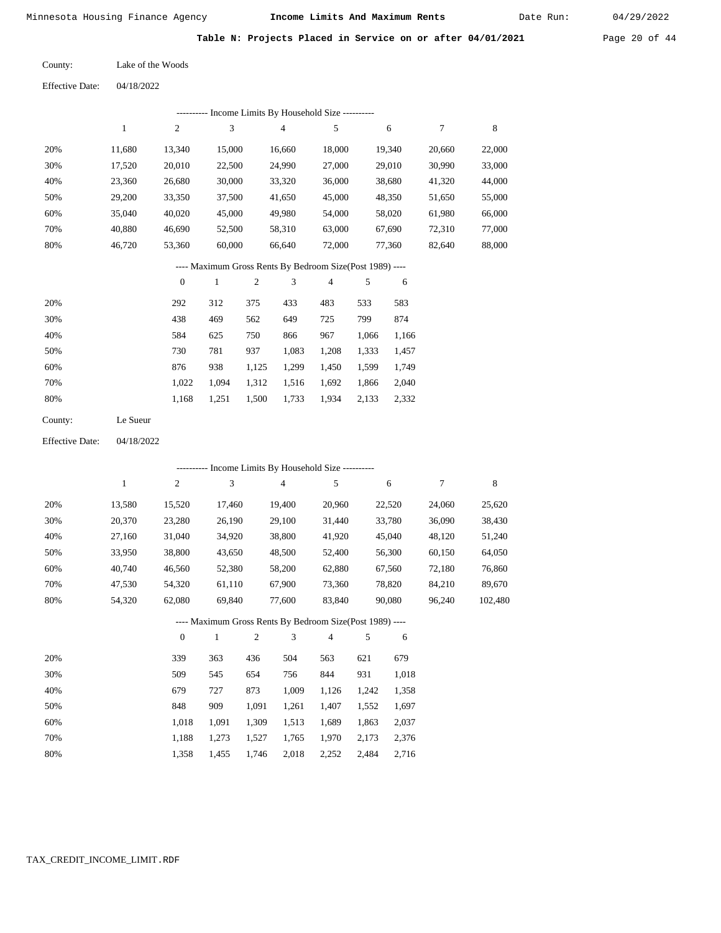Date Run:

Table N: Projects Placed in Service on or after 04/01/2021 Page 20 of 44

Effective Date: 04/18/2022

|     |        |                  |        |                |                | --------- Income Limits By Household Size ----------     |       |        |                |        |
|-----|--------|------------------|--------|----------------|----------------|----------------------------------------------------------|-------|--------|----------------|--------|
|     | 1      | $\overline{c}$   | 3      |                | $\overline{4}$ | 5                                                        |       | 6      | $\overline{7}$ | 8      |
| 20% | 11,680 | 13,340           | 15,000 |                | 16,660         | 18,000                                                   |       | 19,340 | 20,660         | 22,000 |
| 30% | 17,520 | 20,010           | 22,500 |                | 24,990         | 27,000                                                   |       | 29,010 | 30,990         | 33,000 |
| 40% | 23,360 | 26,680           | 30,000 |                | 33,320         | 36,000                                                   |       | 38,680 | 41,320         | 44,000 |
| 50% | 29,200 | 33,350           | 37,500 |                | 41,650         | 45,000                                                   |       | 48,350 | 51,650         | 55,000 |
| 60% | 35,040 | 40,020           | 45,000 |                | 49,980         | 54,000                                                   |       | 58,020 | 61,980         | 66,000 |
| 70% | 40,880 | 46,690           | 52,500 |                | 58,310         | 63,000                                                   |       | 67,690 | 72,310         | 77,000 |
| 80% | 46,720 | 53,360           | 60,000 |                | 66,640         | 72,000                                                   |       | 77,360 | 82,640         | 88,000 |
|     |        |                  |        |                |                | ---- Maximum Gross Rents By Bedroom Size(Post 1989) ---- |       |        |                |        |
|     |        | $\boldsymbol{0}$ | 1      | $\overline{c}$ | 3              | 4                                                        | 5     | 6      |                |        |
| 20% |        | 292              | 312    | 375            | 433            | 483                                                      | 533   | 583    |                |        |
| 30% |        | 438              | 469    | 562            | 649            | 725                                                      | 799   | 874    |                |        |
| 40% |        | 584              | 625    | 750            | 866            | 967                                                      | 1,066 | 1,166  |                |        |
| 50% |        | 730              | 781    | 937            | 1,083          | 1,208                                                    | 1,333 | 1,457  |                |        |
| 60% |        | 876              | 938    | 1,125          | 1,299          | 1,450                                                    | 1,599 | 1,749  |                |        |
| 70% |        | 1,022            | 1,094  | 1,312          | 1,516          | 1,692                                                    | 1,866 | 2,040  |                |        |
| 80% |        | 1,168            | 1,251  | 1,500          | 1,733          | 1,934                                                    | 2,133 | 2,332  |                |        |

| Le Sueur |
|----------|
|          |

Effective Date: 04/18/2022

|     | ---------- Income Limits By Household Size ---------- |              |        |     |        |                                                          |     |        |        |         |
|-----|-------------------------------------------------------|--------------|--------|-----|--------|----------------------------------------------------------|-----|--------|--------|---------|
|     | 1                                                     | $\mathbf{2}$ | 3      |     | 4      | 5                                                        |     | 6      | 7      | 8       |
| 20% | 13,580                                                | 15,520       | 17,460 |     | 19,400 | 20,960                                                   |     | 22,520 | 24,060 | 25,620  |
| 30% | 20,370                                                | 23,280       | 26,190 |     | 29,100 | 31,440                                                   |     | 33,780 | 36,090 | 38,430  |
| 40% | 27,160                                                | 31,040       | 34,920 |     | 38,800 | 41,920                                                   |     | 45,040 | 48,120 | 51,240  |
| 50% | 33,950                                                | 38,800       | 43,650 |     | 48,500 | 52,400                                                   |     | 56,300 | 60,150 | 64,050  |
| 60% | 40,740                                                | 46,560       | 52,380 |     | 58,200 | 62,880                                                   |     | 67,560 | 72,180 | 76,860  |
| 70% | 47,530                                                | 54,320       | 61,110 |     | 67,900 | 73,360                                                   |     | 78,820 | 84,210 | 89,670  |
| 80% | 54,320                                                | 62,080       | 69,840 |     | 77.600 | 83,840                                                   |     | 90,080 | 96,240 | 102,480 |
|     |                                                       |              |        |     |        | ---- Maximum Gross Rents By Bedroom Size(Post 1989) ---- |     |        |        |         |
|     |                                                       | $\theta$     | 1      | 2   | 3      | $\overline{4}$                                           | 5   | 6      |        |         |
| 20% |                                                       | 339          | 363    | 436 | 504    | 563                                                      | 621 | 679    |        |         |

| 30% | 509   | 545   | 654   | 756   | 844   | 931   | 1,018 |
|-----|-------|-------|-------|-------|-------|-------|-------|
| 40% | 679   | 727   | 873   | 1.009 | 1.126 | 1.242 | 1,358 |
| 50% | 848   | 909   | 1.091 | 1.261 | 1.407 | 1.552 | 1.697 |
| 60% | 1.018 | 1.091 | 1.309 | 1.513 | 1.689 | 1.863 | 2,037 |
| 70% | 1.188 | 1.273 | 1.527 | 1.765 | 1.970 | 2,173 | 2,376 |
| 80% | 1.358 | 1.455 | 1,746 | 2,018 | 2,252 | 2.484 | 2,716 |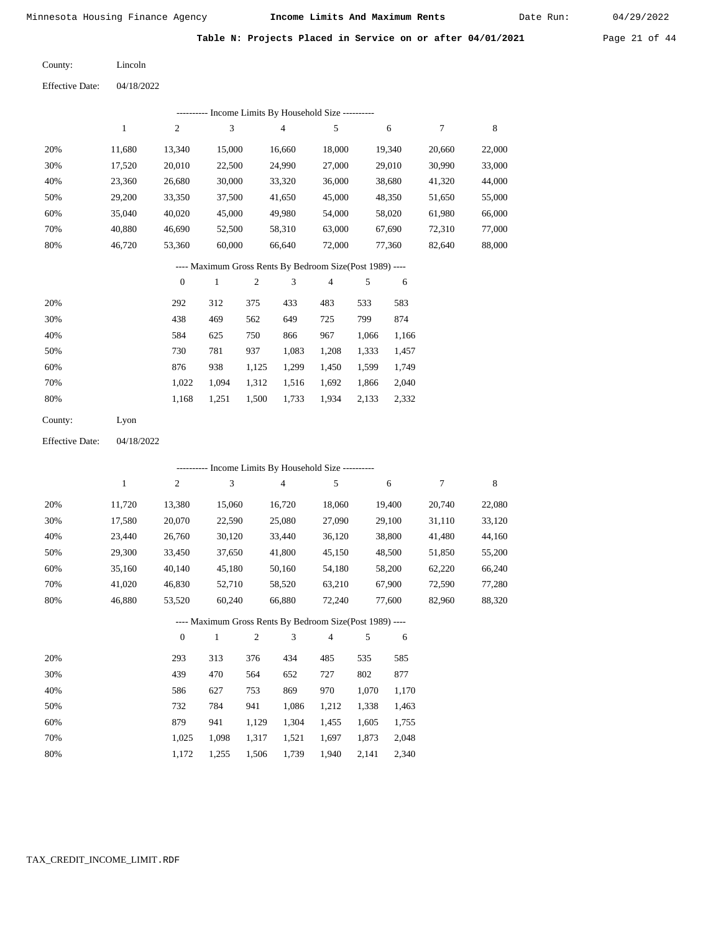Table N: Projects Placed in Service on or after 04/01/2021 Page 21 of 44

| County: | Lincoln |
|---------|---------|
|         |         |

04/18/2022 Effective Date:

|     | --------- Income Limits By Household Size ---------- |                |        |     |                |                                                          |       |        |        |        |  |
|-----|------------------------------------------------------|----------------|--------|-----|----------------|----------------------------------------------------------|-------|--------|--------|--------|--|
|     | 1                                                    | $\mathfrak{2}$ | 3      |     | $\overline{4}$ | 5                                                        |       | 6      | $\tau$ | 8      |  |
| 20% | 11,680                                               | 13,340         | 15,000 |     | 16,660         | 18,000                                                   |       | 19,340 | 20,660 | 22,000 |  |
| 30% | 17,520                                               | 20,010         | 22,500 |     | 24,990         | 27,000                                                   |       | 29,010 | 30,990 | 33,000 |  |
| 40% | 23,360                                               | 26,680         | 30,000 |     | 33,320         | 36,000                                                   |       | 38,680 | 41,320 | 44,000 |  |
| 50% | 29,200                                               | 33,350         | 37,500 |     | 41,650         | 45,000                                                   |       | 48,350 | 51,650 | 55,000 |  |
| 60% | 35,040                                               | 40,020         | 45,000 |     | 49,980         | 54,000                                                   |       | 58,020 | 61,980 | 66,000 |  |
| 70% | 40,880                                               | 46,690         | 52,500 |     | 58,310         | 63,000                                                   |       | 67,690 | 72,310 | 77,000 |  |
| 80% | 46,720                                               | 53,360         | 60,000 |     | 66,640         | 72,000                                                   |       | 77,360 | 82,640 | 88,000 |  |
|     |                                                      |                |        |     |                | ---- Maximum Gross Rents By Bedroom Size(Post 1989) ---- |       |        |        |        |  |
|     |                                                      | $\theta$       | 1      | 2   | 3              | 4                                                        | 5     | 6      |        |        |  |
| 20% |                                                      | 292            | 312    | 375 | 433            | 483                                                      | 533   | 583    |        |        |  |
| 30% |                                                      | 438            | 469    | 562 | 649            | 725                                                      | 799   | 874    |        |        |  |
| 40% |                                                      | 584            | 625    | 750 | 866            | 967                                                      | 1,066 | 1,166  |        |        |  |

| 50% | 730.  | 781 |  | 937 1.083 1.208 1.333 1.457               |  |
|-----|-------|-----|--|-------------------------------------------|--|
| 60% | 876   |     |  | 938 1,125 1,299 1,450 1,599 1,749         |  |
| 70% |       |     |  | 1,022 1,094 1,312 1,516 1,692 1,866 2,040 |  |
| 80% | 1.168 |     |  | 1,251 1,500 1,733 1,934 2,133 2,332       |  |
|     |       |     |  |                                           |  |

Lyon County:

04/18/2022 Effective Date:

|     |        |                |              |                | ---------- Income Limits By Household Size ----------    |                |       |        |        |        |
|-----|--------|----------------|--------------|----------------|----------------------------------------------------------|----------------|-------|--------|--------|--------|
|     | 1      | 2              | 3            |                | $\overline{4}$                                           | 5              |       | 6      | $\tau$ | 8      |
| 20% | 11,720 | 13,380         | 15,060       |                | 16,720                                                   | 18,060         |       | 19,400 | 20,740 | 22,080 |
| 30% | 17,580 | 20,070         | 22,590       |                | 25,080                                                   | 27,090         |       | 29,100 | 31,110 | 33,120 |
| 40% | 23,440 | 26,760         | 30,120       |                | 33,440                                                   | 36,120         |       | 38,800 | 41,480 | 44,160 |
| 50% | 29,300 | 33,450         | 37,650       |                | 41,800                                                   | 45,150         |       | 48,500 | 51,850 | 55,200 |
| 60% | 35,160 | 40,140         | 45,180       |                | 50,160                                                   | 54,180         |       | 58,200 | 62,220 | 66,240 |
| 70% | 41,020 | 46,830         | 52,710       |                | 58,520                                                   | 63,210         |       | 67,900 | 72,590 | 77,280 |
| 80% | 46,880 | 53,520         | 60,240       |                | 66,880                                                   | 72,240         |       | 77,600 | 82,960 | 88,320 |
|     |        |                |              |                | ---- Maximum Gross Rents By Bedroom Size(Post 1989) ---- |                |       |        |        |        |
|     |        | $\overline{0}$ | $\mathbf{1}$ | $\overline{c}$ | 3                                                        | $\overline{4}$ | 5     | 6      |        |        |
| 20% |        | 293            | 313          | 376            | 434                                                      | 485            | 535   | 585    |        |        |
| 30% |        | 439            | 470          | 564            | 652                                                      | 727            | 802   | 877    |        |        |
| 40% |        | 586            | 627          | 753            | 869                                                      | 970            | 1,070 | 1,170  |        |        |
| 50% |        | 732            | 784          | 941            | 1,086                                                    | 1,212          | 1,338 | 1,463  |        |        |

941 1,129 1,304 1,455 1,605 1,755

| 70% |                                           |  |  | 1,025 1,098 1,317 1,521 1,697 1,873 2,048 |  |
|-----|-------------------------------------------|--|--|-------------------------------------------|--|
| 80% | 1,172 1,255 1,506 1,739 1,940 2,141 2,340 |  |  |                                           |  |

879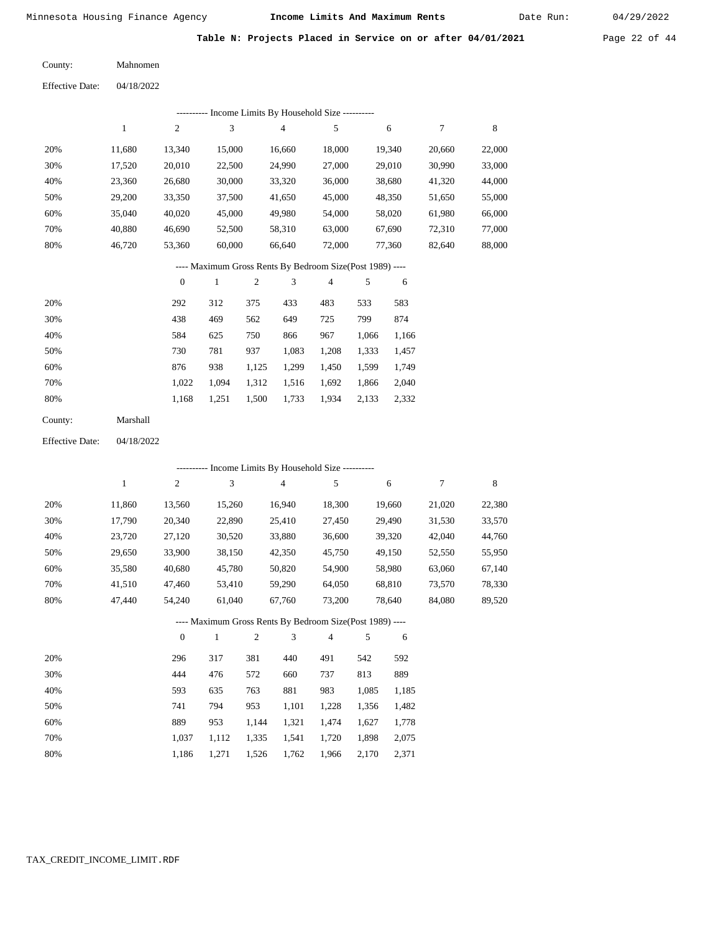Date Run:

Table N: Projects Placed in Service on or after 04/01/2021 Page 22 of 44

| County:                | Mahnomen   |
|------------------------|------------|
| <b>Effective Date:</b> | 04/18/2022 |

|                        |              |                  |                |            | ---------- Income Limits By Household Size ----------    |                |       |        |        |             |
|------------------------|--------------|------------------|----------------|------------|----------------------------------------------------------|----------------|-------|--------|--------|-------------|
|                        | $\mathbf{1}$ | $\sqrt{2}$       | $\mathfrak{Z}$ |            | $\overline{4}$                                           | 5              |       | 6      | 7      | $\,$ 8 $\,$ |
| 20%                    | 11,680       | 13,340           | 15,000         |            | 16,660                                                   | 18,000         |       | 19,340 | 20,660 | 22,000      |
| 30%                    | 17,520       | 20,010           | 22,500         |            | 24,990                                                   | 27,000         |       | 29,010 | 30,990 | 33,000      |
| 40%                    | 23,360       | 26,680           | 30,000         |            | 33,320                                                   | 36,000         |       | 38,680 | 41,320 | 44,000      |
| 50%                    | 29,200       | 33,350           | 37,500         |            | 41,650                                                   | 45,000         |       | 48,350 | 51,650 | 55,000      |
| 60%                    | 35,040       | 40,020           | 45,000         |            | 49,980                                                   | 54,000         |       | 58,020 | 61,980 | 66,000      |
| 70%                    | 40,880       | 46,690           | 52,500         |            | 58,310                                                   | 63,000         |       | 67,690 | 72,310 | 77,000      |
| 80%                    | 46,720       | 53,360           | 60,000         |            | 66,640                                                   | 72,000         |       | 77,360 | 82,640 | 88,000      |
|                        |              |                  |                |            | ---- Maximum Gross Rents By Bedroom Size(Post 1989) ---- |                |       |        |        |             |
|                        |              | $\boldsymbol{0}$ | $\mathbf{1}$   | $\sqrt{2}$ | 3                                                        | $\overline{4}$ | 5     | 6      |        |             |
| 20%                    |              | 292              | 312            | 375        | 433                                                      | 483            | 533   | 583    |        |             |
| 30%                    |              | 438              | 469            | 562        | 649                                                      | 725            | 799   | 874    |        |             |
| 40%                    |              | 584              | 625            | 750        | 866                                                      | 967            | 1,066 | 1,166  |        |             |
| 50%                    |              | 730              | 781            | 937        | 1,083                                                    | 1,208          | 1,333 | 1,457  |        |             |
| 60%                    |              | 876              | 938            | 1,125      | 1,299                                                    | 1,450          | 1,599 | 1,749  |        |             |
| 70%                    |              | 1,022            | 1,094          | 1,312      | 1,516                                                    | 1,692          | 1,866 | 2,040  |        |             |
| 80%                    |              | 1,168            | 1,251          | 1,500      | 1,733                                                    | 1,934          | 2,133 | 2,332  |        |             |
| County:                | Marshall     |                  |                |            |                                                          |                |       |        |        |             |
| <b>Effective Date:</b> | 04/18/2022   |                  |                |            |                                                          |                |       |        |        |             |
|                        |              |                  |                |            | ---------- Income Limits By Household Size ----------    |                |       |        |        |             |
|                        | 1            | $\boldsymbol{2}$ | 3              |            | $\overline{4}$                                           | 5              |       | 6      | 7      | 8           |
| 20%                    | 11,860       | 13,560           | 15,260         |            | 16,940                                                   | 18,300         |       | 19,660 | 21,020 | 22,380      |
| 30%                    | 17,790       | 20,340           | 22,890         |            | 25,410                                                   | 27,450         |       | 29,490 | 31,530 | 33,570      |
| 40%                    | 23,720       | 27,120           | 30,520         |            | 33,880                                                   | 36,600         |       | 39,320 | 42,040 | 44,760      |
| 50%                    | 29,650       | 33,900           | 38,150         |            | 42,350                                                   | 45,750         |       | 49,150 | 52,550 | 55,950      |
| 60%                    | 35,580       | 40,680           | 45,780         |            | 50,820                                                   | 54,900         |       | 58,980 | 63,060 | 67,140      |
| 70%                    | 41,510       | 47,460           | 53,410         |            | 59,290                                                   | 64,050         |       | 68,810 | 73,570 | 78,330      |
| 80%                    | 47,440       | 54,240           | 61,040         |            | 67,760                                                   | 73,200         |       | 78,640 | 84,080 | 89,520      |
|                        |              |                  |                |            | -- Maximum Gross Rents By Bedroom Size(Post 1989)        |                |       |        |        |             |
|                        |              | $\boldsymbol{0}$ | $\mathbf{1}$   | 2          | 3                                                        | 4              | 5     | 6      |        |             |
| 20%                    |              | 296              | 317            | 381        | 440                                                      | 491            | 542   | 592    |        |             |
| 30%                    |              | 444              | 476            | 572        | 660                                                      | 737            | 813   | 889    |        |             |
| 40%                    |              | 593              | 635            | 763        | 881                                                      | 983            | 1,085 | 1,185  |        |             |
| 50%                    |              | 741              | 794            | 953        | 1,101                                                    | 1,228          | 1,356 | 1,482  |        |             |
| 60%                    |              | 889              | 953            | 1,144      | 1,321                                                    | 1,474          | 1,627 | 1,778  |        |             |
| 70%                    |              | 1,037            | 1,112          | 1,335      | 1,541                                                    | 1,720          | 1,898 | 2,075  |        |             |
| 80%                    |              | 1,186            | 1,271          | 1,526      | 1,762                                                    | 1,966          | 2,170 | 2,371  |        |             |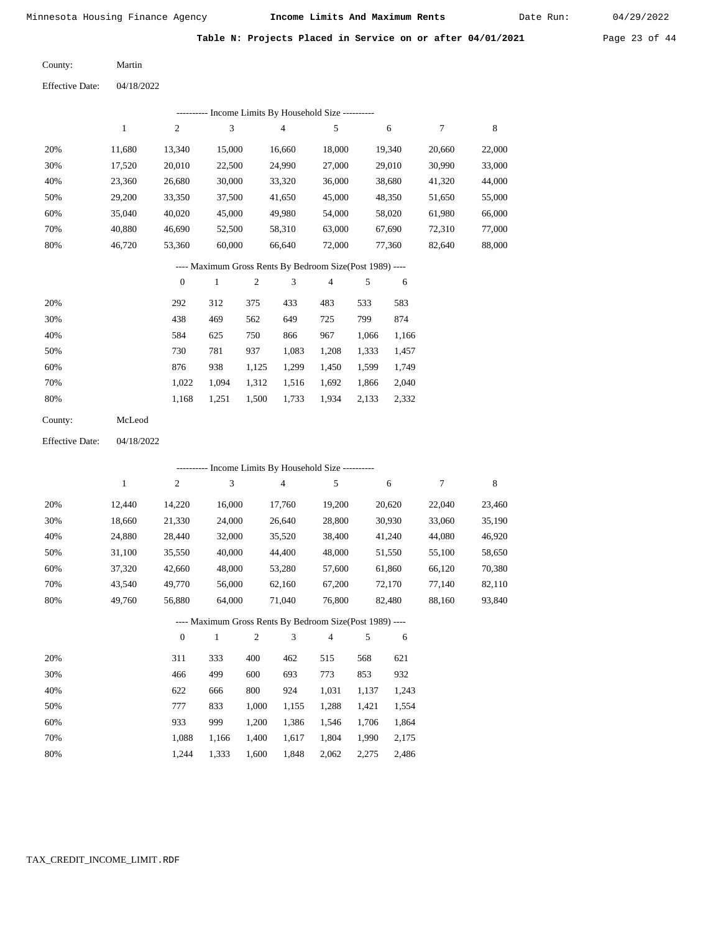Table N: Projects Placed in Service on or after 04/01/2021 Page 23 of 44

| County:         | Martin     |
|-----------------|------------|
| Effective Date: | 04/18/2022 |

| - Income Limits By Household Size ---------- |        |        |        |        |        |        |        |        |  |  |
|----------------------------------------------|--------|--------|--------|--------|--------|--------|--------|--------|--|--|
|                                              |        | 2      | 3      | 4      | 5      | 6      | 7      | 8      |  |  |
| 20%                                          | 11,680 | 13,340 | 15.000 | 16,660 | 18,000 | 19.340 | 20,660 | 22,000 |  |  |
| 30%                                          | 17,520 | 20,010 | 22,500 | 24,990 | 27,000 | 29,010 | 30,990 | 33,000 |  |  |
| 40%                                          | 23,360 | 26.680 | 30,000 | 33,320 | 36,000 | 38,680 | 41,320 | 44,000 |  |  |
| 50%                                          | 29,200 | 33,350 | 37,500 | 41,650 | 45,000 | 48,350 | 51,650 | 55,000 |  |  |
| 60%                                          | 35,040 | 40.020 | 45,000 | 49,980 | 54,000 | 58,020 | 61,980 | 66,000 |  |  |
| 70%                                          | 40,880 | 46.690 | 52,500 | 58,310 | 63,000 | 67,690 | 72,310 | 77,000 |  |  |
| 80%                                          | 46.720 | 53,360 | 60,000 | 66,640 | 72,000 | 77,360 | 82,640 | 88,000 |  |  |

### ---- Maximum Gross Rents By Bedroom Size(Post 1989) ----

|     | $\theta$ |       | $\overline{c}$ | 3     | $\overline{4}$ | 5     | 6     |
|-----|----------|-------|----------------|-------|----------------|-------|-------|
| 20% | 292      | 312   | 375            | 433   | 483            | 533   | 583   |
| 30% | 438      | 469   | 562            | 649   | 725            | 799   | 874   |
| 40% | 584      | 625   | 750            | 866   | 967            | 1,066 | 1,166 |
| 50% | 730      | 781   | 937            | 1,083 | 1,208          | 1,333 | 1,457 |
| 60% | 876      | 938   | 1,125          | 1,299 | 1,450          | 1,599 | 1,749 |
| 70% | 1.022    | 1.094 | 1,312          | 1,516 | 1,692          | 1,866 | 2,040 |
| 80% | 1,168    | 1,251 | 1,500          | 1,733 | 1,934          | 2,133 | 2,332 |
|     |          |       |                |       |                |       |       |

04/18/2022 Effective Date:

|     |              |                |              |                |                | ---------- Income Limits By Household Size ----------    |       |        |        |        |
|-----|--------------|----------------|--------------|----------------|----------------|----------------------------------------------------------|-------|--------|--------|--------|
|     | $\mathbf{1}$ | $\overline{c}$ | 3            |                | $\overline{4}$ | 5                                                        |       | 6      | 7      | 8      |
| 20% | 12,440       | 14,220         | 16,000       |                | 17,760         | 19,200                                                   |       | 20,620 | 22,040 | 23,460 |
| 30% | 18,660       | 21,330         | 24,000       |                | 26,640         | 28,800                                                   |       | 30,930 | 33,060 | 35,190 |
| 40% | 24,880       | 28,440         | 32,000       |                | 35,520         | 38,400                                                   |       | 41,240 | 44,080 | 46,920 |
| 50% | 31,100       | 35,550         | 40,000       |                | 44,400         | 48,000                                                   |       | 51,550 | 55,100 | 58,650 |
| 60% | 37,320       | 42,660         | 48,000       |                | 53,280         | 57,600                                                   |       | 61,860 | 66,120 | 70,380 |
| 70% | 43,540       | 49,770         | 56,000       |                | 62,160         | 67,200                                                   |       | 72,170 | 77,140 | 82,110 |
| 80% | 49,760       | 56,880         | 64,000       |                | 71,040         | 76,800                                                   |       | 82,480 | 88,160 | 93,840 |
|     |              |                |              |                |                | ---- Maximum Gross Rents By Bedroom Size(Post 1989) ---- |       |        |        |        |
|     |              | $\overline{0}$ | $\mathbf{1}$ | $\overline{2}$ | 3              | $\overline{4}$                                           | 5     | 6      |        |        |
| 20% |              | 311            | 333          | 400            | 462            | 515                                                      | 568   | 621    |        |        |
| 30% |              | 466            | 499          | 600            | 693            | 773                                                      | 853   | 932    |        |        |
| 40% |              | 622            | 666          | 800            | 924            | 1,031                                                    | 1,137 | 1,243  |        |        |
| 50% |              | 777            | 833          | 1,000          | 1,155          | 1,288                                                    | 1,421 | 1,554  |        |        |
| 60% |              | 933            | 999          | 1,200          | 1,386          | 1,546                                                    | 1,706 | 1,864  |        |        |
| 70% |              | 1,088          | 1,166        | 1,400          | 1,617          | 1,804                                                    | 1,990 | 2,175  |        |        |

1,244

1,333

1,600

1,848

2,062

2,275

2,486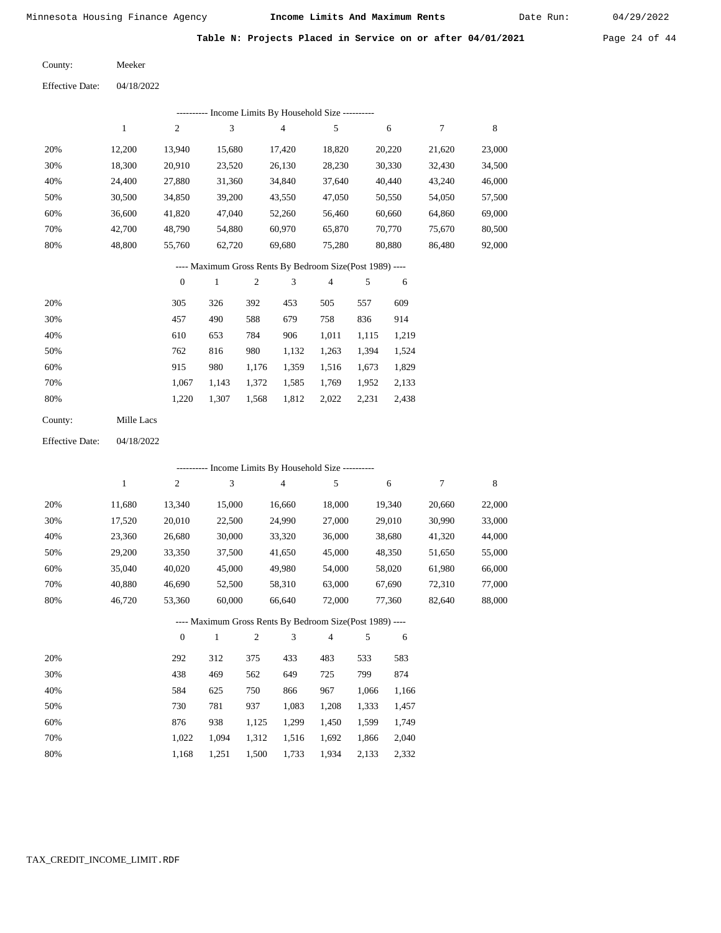Table N: Projects Placed in Service on or after 04/01/2021 Page 24 of 44

| County: | Meeker |
|---------|--------|
|         |        |

04/18/2022 Effective Date:

| ---------- Income Limits By Household Size ----------     |        |        |        |        |        |        |        |        |  |  |
|-----------------------------------------------------------|--------|--------|--------|--------|--------|--------|--------|--------|--|--|
|                                                           | 1      | 2      | 3      | 4      | 5      | 6      | 7      | 8      |  |  |
| 20%                                                       | 12.200 | 13.940 | 15.680 | 17.420 | 18.820 | 20,220 | 21,620 | 23,000 |  |  |
| 30%                                                       | 18.300 | 20.910 | 23,520 | 26,130 | 28,230 | 30,330 | 32.430 | 34,500 |  |  |
| 40%                                                       | 24,400 | 27,880 | 31,360 | 34,840 | 37.640 | 40.440 | 43.240 | 46,000 |  |  |
| 50%                                                       | 30.500 | 34.850 | 39.200 | 43,550 | 47,050 | 50,550 | 54,050 | 57,500 |  |  |
| 60%                                                       | 36,600 | 41,820 | 47,040 | 52,260 | 56,460 | 60.660 | 64,860 | 69,000 |  |  |
| 70%                                                       | 42,700 | 48,790 | 54,880 | 60,970 | 65,870 | 70,770 | 75,670 | 80,500 |  |  |
| 80%                                                       | 48,800 | 55,760 | 62,720 | 69,680 | 75,280 | 80,880 | 86,480 | 92,000 |  |  |
| ---- Maximum Gross Rents By Bedroom Size (Post 1989) ---- |        |        |        |        |        |        |        |        |  |  |

|     | $\mathbf{0}$ |       | 2     | 3     | 4     | 5     | 6     |
|-----|--------------|-------|-------|-------|-------|-------|-------|
| 20% | 305          | 326   | 392   | 453   | 505   | 557   | 609   |
| 30% | 457          | 490   | 588   | 679   | 758   | 836   | 914   |
| 40% | 610          | 653   | 784   | 906   | 1,011 | 1,115 | 1,219 |
| 50% | 762          | 816   | 980   | 1,132 | 1,263 | 1,394 | 1,524 |
| 60% | 915          | 980   | 1,176 | 1,359 | 1,516 | 1,673 | 1,829 |
| 70% | 1,067        | 1.143 | 1,372 | 1,585 | 1,769 | 1,952 | 2,133 |
| 80% | 1,220        | 1,307 | 1,568 | 1,812 | 2,022 | 2,231 | 2,438 |
|     |              |       |       |       |       |       |       |

04/18/2022 Effective Date:

|     | ---------- Income Limits By Household Size ---------- |                |        |                |                                                          |                |       |        |        |        |
|-----|-------------------------------------------------------|----------------|--------|----------------|----------------------------------------------------------|----------------|-------|--------|--------|--------|
|     | 1                                                     | $\overline{c}$ | 3      |                | $\overline{4}$                                           | 5              |       | 6      | 7      | 8      |
| 20% | 11,680                                                | 13,340         | 15,000 |                | 16,660                                                   | 18,000         |       | 19,340 | 20,660 | 22,000 |
| 30% | 17,520                                                | 20,010         | 22,500 |                | 24,990                                                   | 27,000         |       | 29,010 | 30,990 | 33,000 |
| 40% | 23,360                                                | 26,680         | 30,000 |                | 33,320                                                   | 36,000         |       | 38,680 | 41,320 | 44,000 |
| 50% | 29,200                                                | 33,350         | 37,500 |                | 41,650                                                   | 45,000         |       | 48,350 | 51,650 | 55,000 |
| 60% | 35,040                                                | 40,020         | 45,000 |                | 49,980                                                   | 54,000         |       | 58,020 | 61,980 | 66,000 |
| 70% | 40,880                                                | 46,690         | 52,500 |                | 58,310                                                   | 63,000         |       | 67,690 | 72,310 | 77,000 |
| 80% | 46,720                                                | 53,360         | 60,000 |                | 66,640                                                   | 72,000         |       | 77,360 | 82,640 | 88,000 |
|     |                                                       |                |        |                | ---- Maximum Gross Rents By Bedroom Size(Post 1989) ---- |                |       |        |        |        |
|     |                                                       | $\overline{0}$ | 1      | $\overline{c}$ | 3                                                        | $\overline{4}$ | 5     | 6      |        |        |
| 20% |                                                       | 292            | 312    | 375            | 433                                                      | 483            | 533   | 583    |        |        |
| 30% |                                                       | 438            | 469    | 562            | 649                                                      | 725            | 799   | 874    |        |        |
| 40% |                                                       | 584            | 625    | 750            | 866                                                      | 967            | 1,066 | 1,166  |        |        |
| 50% |                                                       | 730            | 781    | 937            | 1,083                                                    | 1,208          | 1,333 | 1,457  |        |        |
| 60% |                                                       | 876            | 938    | 1,125          | 1,299                                                    | 1,450          | 1,599 | 1,749  |        |        |

 1,312 1,516 1,692 1,866 2,040 1,500 1,733 1,934 2,133 2,332

 1,022 1,094 1,168

1,251

 70% 80%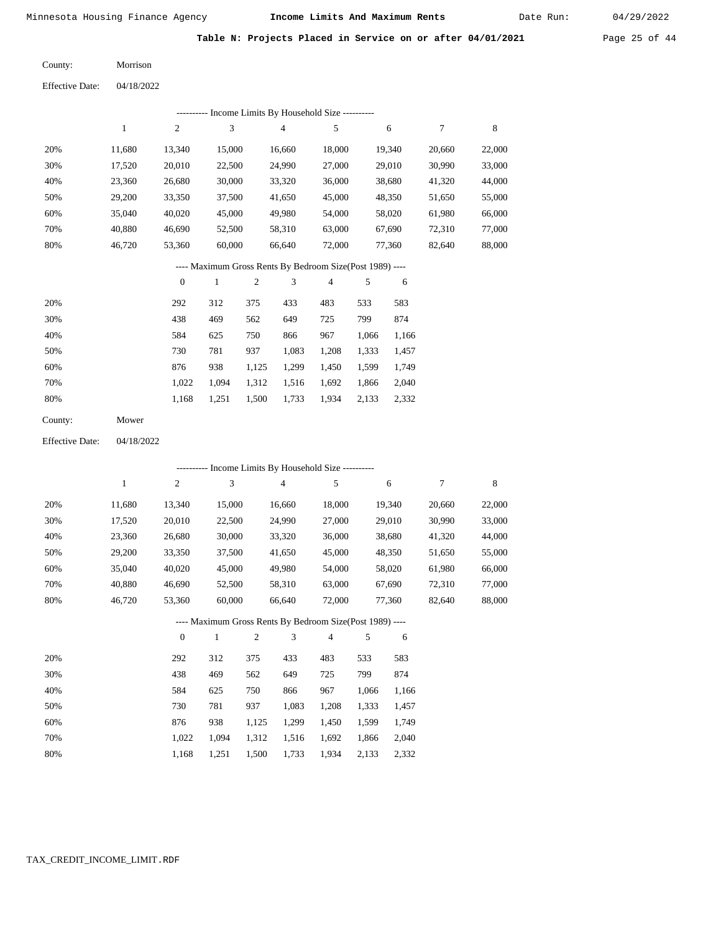Table N: Projects Placed in Service on or after 04/01/2021 Page 25 of 44

| County:                | Morrison   |
|------------------------|------------|
| <b>Effective Date:</b> | 04/18/2022 |

|                        |              |                  |                |            | ---------- Income Limits By Household Size ----------    |        |       |        |        |        |
|------------------------|--------------|------------------|----------------|------------|----------------------------------------------------------|--------|-------|--------|--------|--------|
|                        | $\mathbf{1}$ | $\sqrt{2}$       | 3              |            | 4                                                        | 5      |       | 6      | 7      | 8      |
| 20%                    | 11,680       | 13,340           | 15,000         |            | 16,660                                                   | 18,000 |       | 19,340 | 20,660 | 22,000 |
| 30%                    | 17,520       | 20,010           | 22,500         |            | 24,990                                                   | 27,000 |       | 29,010 | 30,990 | 33,000 |
| 40%                    | 23,360       | 26,680           | 30,000         |            | 33,320                                                   | 36,000 |       | 38,680 | 41,320 | 44,000 |
| 50%                    | 29,200       | 33,350           | 37,500         |            | 41,650                                                   | 45,000 |       | 48,350 | 51,650 | 55,000 |
| 60%                    | 35,040       | 40,020           | 45,000         |            | 49,980                                                   | 54,000 |       | 58,020 | 61,980 | 66,000 |
| 70%                    | 40,880       | 46,690           | 52,500         |            | 58,310                                                   | 63,000 |       | 67,690 | 72,310 | 77,000 |
| $80\%$                 | 46,720       | 53,360           | 60,000         |            | 66,640                                                   | 72,000 |       | 77,360 | 82,640 | 88,000 |
|                        |              |                  |                |            | ---- Maximum Gross Rents By Bedroom Size(Post 1989) ---- |        |       |        |        |        |
|                        |              | $\boldsymbol{0}$ | $\mathbf{1}$   | $\sqrt{2}$ | 3                                                        | 4      | 5     | 6      |        |        |
| 20%                    |              | 292              | 312            | 375        | 433                                                      | 483    | 533   | 583    |        |        |
| 30%                    |              | 438              | 469            | 562        | 649                                                      | 725    | 799   | 874    |        |        |
| 40%                    |              | 584              | 625            | 750        | 866                                                      | 967    | 1,066 | 1,166  |        |        |
| 50%                    |              | 730              | 781            | 937        | 1,083                                                    | 1,208  | 1,333 | 1,457  |        |        |
| 60%                    |              | 876              | 938            | 1,125      | 1,299                                                    | 1,450  | 1,599 | 1,749  |        |        |
| 70%                    |              | 1,022            | 1,094          | 1,312      | 1,516                                                    | 1,692  | 1,866 | 2,040  |        |        |
| 80%                    |              | 1,168            | 1,251          | 1,500      | 1,733                                                    | 1,934  | 2,133 | 2,332  |        |        |
| County:                | Mower        |                  |                |            |                                                          |        |       |        |        |        |
| <b>Effective Date:</b> | 04/18/2022   |                  |                |            |                                                          |        |       |        |        |        |
|                        |              |                  |                |            | ---------- Income Limits By Household Size ----------    |        |       |        |        |        |
|                        | $\mathbf{1}$ | $\mathfrak{2}$   | $\mathfrak{Z}$ |            | 4                                                        | 5      |       | 6      | 7      | 8      |
| 20%                    | 11,680       | 13,340           | 15,000         |            | 16,660                                                   | 18,000 |       | 19,340 | 20,660 | 22,000 |
| 30%                    | 17,520       | 20,010           | 22,500         |            | 24,990                                                   | 27,000 |       | 29,010 | 30,990 | 33,000 |
| 40%                    | 23,360       | 26,680           | 30,000         |            | 33,320                                                   | 36,000 |       | 38,680 | 41,320 | 44,000 |
| 50%                    | 29,200       | 33,350           | 37,500         |            | 41,650                                                   | 45,000 |       | 48,350 | 51,650 | 55,000 |
| 60%                    | 35,040       | 40,020           | 45,000         |            | 49,980                                                   | 54,000 |       | 58,020 | 61,980 | 66,000 |
| 70%                    | 40,880       | 46,690           | 52,500         |            | 58,310                                                   | 63,000 |       | 67,690 | 72,310 | 77,000 |
| 80%                    | 46,720       | 53,360           | 60,000         |            | 66,640                                                   | 72,000 |       | 77,360 | 82,640 | 88,000 |
|                        |              |                  |                |            | ---- Maximum Gross Rents By Bedroom Size(Post 1989) ---- |        |       |        |        |        |
|                        |              | $\boldsymbol{0}$ | $\mathbf{1}$   | 2          | 3                                                        | 4      | 5     | 6      |        |        |
| 20%                    |              | 292              | 312            | 375        | 433                                                      | 483    | 533   | 583    |        |        |
| 30%                    |              | 438              | 469            | 562        | 649                                                      | 725    | 799   | 874    |        |        |
| 40%                    |              | 584              | 625            | 750        | 866                                                      | 967    | 1,066 | 1,166  |        |        |
| 50%                    |              | 730              | 781            | 937        | 1,083                                                    | 1,208  | 1,333 | 1,457  |        |        |
| 60%                    |              | 876              | 938            | 1,125      | 1,299                                                    | 1,450  | 1,599 | 1,749  |        |        |
| 70%                    |              | 1,022            | 1,094          | 1,312      | 1,516                                                    | 1,692  | 1,866 | 2,040  |        |        |
| 80%                    |              | 1,168            | 1,251          | 1,500      | 1,733                                                    | 1,934  | 2,133 | 2,332  |        |        |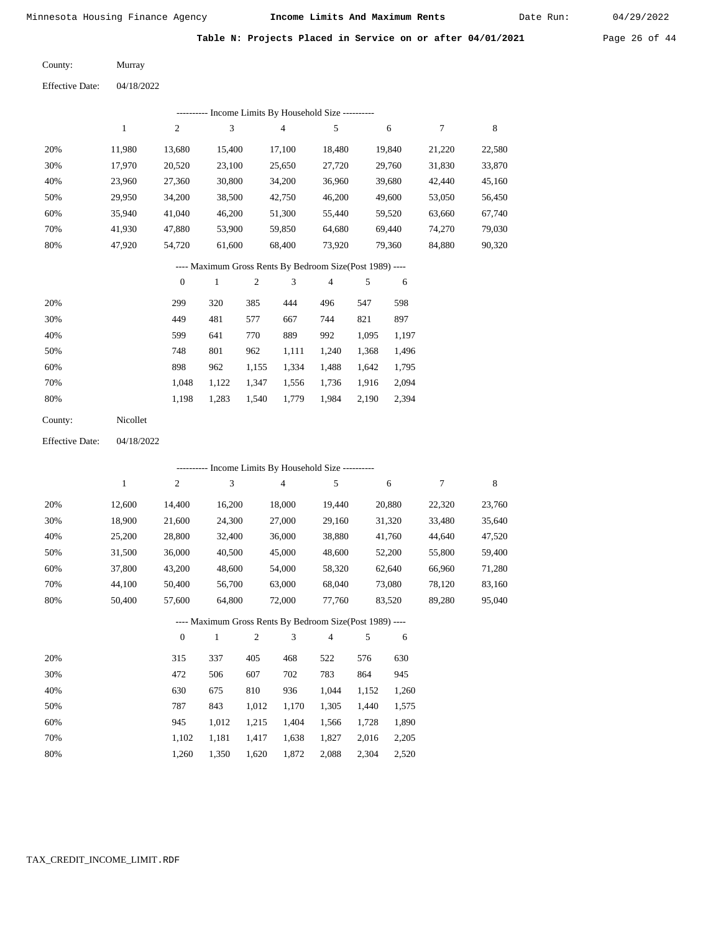Table N: Projects Placed in Service on or after 04/01/2021 Page 26 of 44

| County: | Murray |
|---------|--------|
|         |        |

04/18/2022 Effective Date:

|     |        |                  |        |                |        | ---------- Income Limits By Household Size ----------    |       |        |        |        |
|-----|--------|------------------|--------|----------------|--------|----------------------------------------------------------|-------|--------|--------|--------|
|     | 1      | $\mathfrak{2}$   | 3      |                | 4      | 5                                                        |       | 6      | 7      | 8      |
| 20% | 11,980 | 13,680           | 15,400 |                | 17,100 | 18,480                                                   |       | 19,840 | 21,220 | 22,580 |
| 30% | 17,970 | 20,520           | 23,100 |                | 25,650 | 27,720                                                   |       | 29,760 | 31,830 | 33,870 |
| 40% | 23,960 | 27,360           | 30,800 |                | 34,200 | 36,960                                                   |       | 39,680 | 42,440 | 45,160 |
| 50% | 29,950 | 34,200           | 38,500 |                | 42,750 | 46,200                                                   |       | 49,600 | 53,050 | 56,450 |
| 60% | 35,940 | 41,040           | 46,200 |                | 51,300 | 55,440                                                   |       | 59,520 | 63,660 | 67,740 |
| 70% | 41,930 | 47,880           | 53,900 |                | 59,850 | 64,680                                                   |       | 69,440 | 74,270 | 79,030 |
| 80% | 47,920 | 54,720           | 61,600 |                | 68,400 | 73,920                                                   |       | 79,360 | 84,880 | 90,320 |
|     |        |                  |        |                |        | ---- Maximum Gross Rents By Bedroom Size(Post 1989) ---- |       |        |        |        |
|     |        | $\boldsymbol{0}$ | 1      | $\overline{c}$ | 3      | $\overline{4}$                                           | 5     | 6      |        |        |
| 20% |        | 299              | 320    | 385            | 444    | 496                                                      | 547   | 598    |        |        |
| 30% |        | 449              | 481    | 577            | 667    | 744                                                      | 821   | 897    |        |        |
| 40% |        | 599              | 641    | 770            | 889    | 992                                                      | 1,095 | 1,197  |        |        |

 50% 60% 70% 80% 748 898 1,048 1,198 801 962 1,122 1,283 962 1,155 1,347 1,540 1,111 1,240 1,334 1,556 1,779 1,488 1,736 1,984 1,368 1,642 1,916 2,190 1,496 1,795 2,094 2,394

| County: | Nicollet |
|---------|----------|
|---------|----------|

04/18/2022 Effective Date:

|     |        |                  | ---------- Income Limits By Household Size ----------    |                |                |                |       |        |        |        |
|-----|--------|------------------|----------------------------------------------------------|----------------|----------------|----------------|-------|--------|--------|--------|
|     | 1      | $\overline{c}$   | 3                                                        |                | $\overline{4}$ | 5              |       | 6      | 7      | 8      |
| 20% | 12,600 | 14,400           | 16,200                                                   |                | 18,000         | 19,440         |       | 20,880 | 22,320 | 23,760 |
| 30% | 18,900 | 21,600           | 24,300                                                   |                | 27,000         | 29,160         |       | 31,320 | 33,480 | 35,640 |
| 40% | 25,200 | 28,800           | 32,400                                                   |                | 36,000         | 38,880         |       | 41,760 | 44,640 | 47,520 |
| 50% | 31,500 | 36,000           | 40,500                                                   |                | 45,000         | 48,600         |       | 52,200 | 55,800 | 59,400 |
| 60% | 37,800 | 43,200           | 48,600                                                   |                | 54,000         | 58,320         |       | 62,640 | 66,960 | 71,280 |
| 70% | 44,100 | 50,400           | 56,700                                                   |                | 63,000         | 68,040         |       | 73,080 | 78,120 | 83,160 |
| 80% | 50,400 | 57,600           | 64,800                                                   |                | 72,000         | 77,760         |       | 83,520 | 89,280 | 95,040 |
|     |        |                  | ---- Maximum Gross Rents By Bedroom Size(Post 1989) ---- |                |                |                |       |        |        |        |
|     |        | $\boldsymbol{0}$ | 1                                                        | $\overline{c}$ | 3              | $\overline{4}$ | 5     | 6      |        |        |
| 20% |        | 315              | 337                                                      | 405            | 468            | 522            | 576   | 630    |        |        |
| 30% |        | 472              | 506                                                      | 607            | 702            | 783            | 864   | 945    |        |        |
| 40% |        | 630              | 675                                                      | 810            | 936            | 1,044          | 1,152 | 1,260  |        |        |
| 50% |        | 787              | 843                                                      | 1,012          | 1,170          | 1,305          | 1,440 | 1,575  |        |        |

| 70% |  |  | 1.102 1.181 1.417 1.638 1.827 2.016 2.205 |  |
|-----|--|--|-------------------------------------------|--|
| 80% |  |  | 1.260 1.350 1.620 1.872 2.088 2.304 2.520 |  |

1,215

1,404

1,566

1,728

1,890

1,012

945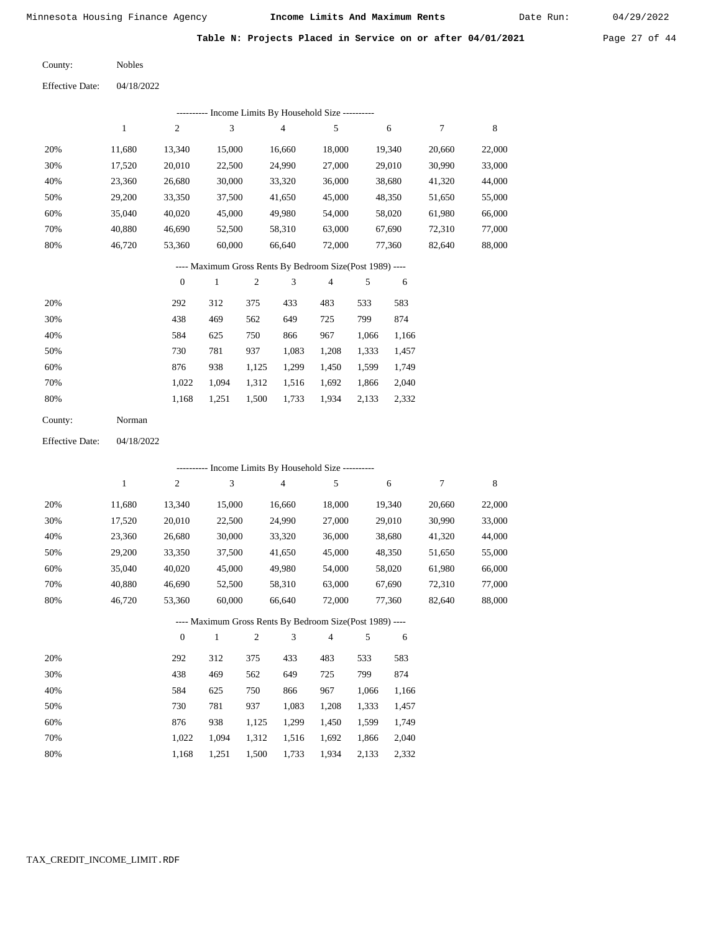Table N: Projects Placed in Service on or after 04/01/2021 Page 27 of 44

| County: | <b>Nobles</b> |
|---------|---------------|
|         |               |

04/18/2022 Effective Date:

|     | --------- Income Limits By Household Size ---------- |                  |        |     |                |                                                          |       |        |        |        |
|-----|------------------------------------------------------|------------------|--------|-----|----------------|----------------------------------------------------------|-------|--------|--------|--------|
|     | $\mathbf{1}$                                         | $\mathfrak{2}$   | 3      |     | $\overline{4}$ | 5                                                        |       | 6      | 7      | 8      |
| 20% | 11,680                                               | 13,340           | 15,000 |     | 16,660         | 18,000                                                   |       | 19,340 | 20,660 | 22,000 |
| 30% | 17,520                                               | 20,010           | 22,500 |     | 24,990         | 27,000                                                   |       | 29,010 | 30,990 | 33,000 |
| 40% | 23,360                                               | 26,680           | 30,000 |     | 33,320         | 36,000                                                   |       | 38,680 | 41,320 | 44,000 |
| 50% | 29,200                                               | 33,350           | 37,500 |     | 41,650         | 45,000                                                   |       | 48,350 | 51,650 | 55,000 |
| 60% | 35,040                                               | 40,020           | 45,000 |     | 49,980         | 54,000                                                   |       | 58,020 | 61,980 | 66,000 |
| 70% | 40,880                                               | 46,690           | 52,500 |     | 58,310         | 63,000                                                   |       | 67,690 | 72,310 | 77,000 |
| 80% | 46,720                                               | 53,360           | 60,000 |     | 66,640         | 72,000                                                   |       | 77,360 | 82,640 | 88,000 |
|     |                                                      |                  |        |     |                | ---- Maximum Gross Rents By Bedroom Size(Post 1989) ---- |       |        |        |        |
|     |                                                      | $\boldsymbol{0}$ | 1      | 2   | 3              | $\overline{4}$                                           | 5     | 6      |        |        |
| 20% |                                                      | 292              | 312    | 375 | 433            | 483                                                      | 533   | 583    |        |        |
| 30% |                                                      | 438              | 469    | 562 | 649            | 725                                                      | 799   | 874    |        |        |
| 40% |                                                      | 584              | 625    | 750 | 866            | 967                                                      | 1,066 | 1,166  |        |        |

| 50% | 730 | 781 |  | 937 1.083 1.208 1.333 1.457               |  |
|-----|-----|-----|--|-------------------------------------------|--|
| 60% | 876 |     |  | 938 1.125 1.299 1.450 1.599 1.749         |  |
| 70% |     |     |  | 1,022 1,094 1,312 1,516 1,692 1,866 2,040 |  |
| 80% |     |     |  | 1,168 1,251 1,500 1,733 1,934 2,133 2,332 |  |
|     |     |     |  |                                           |  |

| County: | Norman |
|---------|--------|
|---------|--------|

04/18/2022 Effective Date:

|     |              |                |        |                | ---------- Income Limits By Household Size ----------    |                |       |        |        |        |
|-----|--------------|----------------|--------|----------------|----------------------------------------------------------|----------------|-------|--------|--------|--------|
|     | $\mathbf{1}$ | $\overline{c}$ | 3      |                | $\overline{4}$                                           | 5              |       | 6      | 7      | 8      |
| 20% | 11,680       | 13,340         | 15,000 |                | 16,660                                                   | 18,000         |       | 19,340 | 20,660 | 22,000 |
| 30% | 17,520       | 20,010         | 22,500 |                | 24,990                                                   | 27,000         |       | 29,010 | 30,990 | 33,000 |
| 40% | 23,360       | 26,680         | 30,000 |                | 33,320                                                   | 36,000         |       | 38,680 | 41,320 | 44,000 |
| 50% | 29,200       | 33,350         | 37,500 |                | 41,650                                                   | 45,000         |       | 48,350 | 51,650 | 55,000 |
| 60% | 35,040       | 40,020         | 45,000 |                | 49,980                                                   | 54,000         |       | 58,020 | 61,980 | 66,000 |
| 70% | 40,880       | 46,690         | 52,500 |                | 58,310                                                   | 63,000         |       | 67,690 | 72,310 | 77,000 |
| 80% | 46,720       | 53,360         | 60,000 |                | 66,640                                                   | 72,000         |       | 77,360 | 82,640 | 88,000 |
|     |              |                |        |                | ---- Maximum Gross Rents By Bedroom Size(Post 1989) ---- |                |       |        |        |        |
|     |              | $\mathbf{0}$   | 1      | $\mathfrak{2}$ | 3                                                        | $\overline{4}$ | 5     | 6      |        |        |
| 20% |              | 292            | 312    | 375            | 433                                                      | 483            | 533   | 583    |        |        |
| 30% |              | 438            | 469    | 562            | 649                                                      | 725            | 799   | 874    |        |        |
| 40% |              | 584            | 625    | 750            | 866                                                      | 967            | 1,066 | 1,166  |        |        |
| 50% |              | 730            | 781    | 937            | 1,083                                                    | 1,208          | 1,333 | 1,457  |        |        |
| 60% |              | 876            | 938    | 1,125          | 1,299                                                    | 1,450          | 1,599 | 1,749  |        |        |

1,094 1,312 1,516 1,692 1,866 2,040

1,500 1,733 1,934 2,133 2,332

 1,022 1,168

1,251

 70% 80%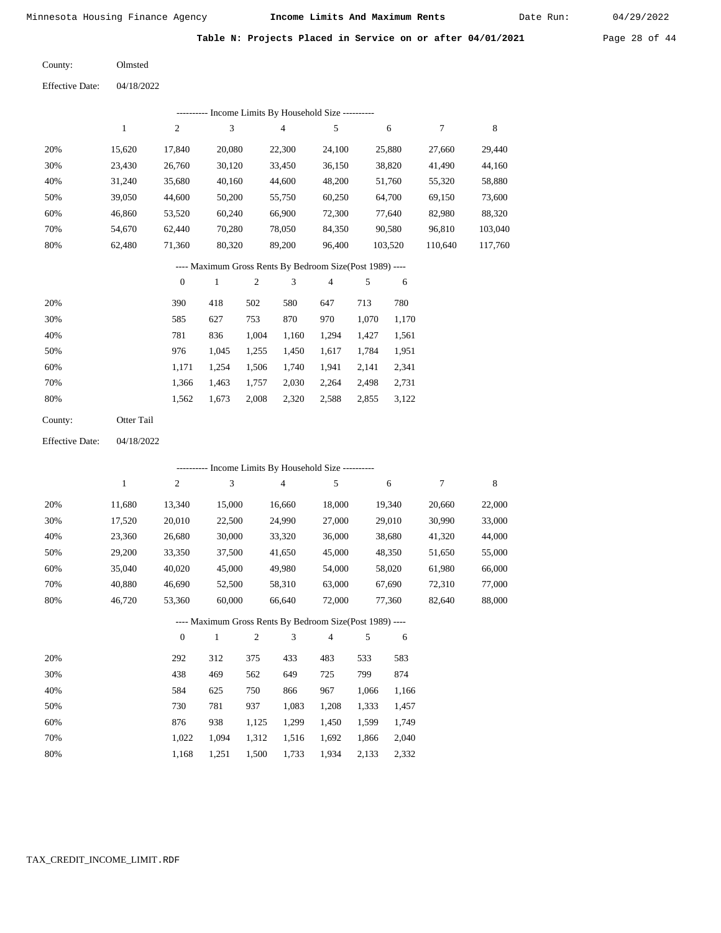Table N: Projects Placed in Service on or after 04/01/2021 Page 28 of 44

| County: | Olmsted |
|---------|---------|
|         |         |

|     | Income Limits By Household Size ---------- |                |        |        |        |         |         |         |  |
|-----|--------------------------------------------|----------------|--------|--------|--------|---------|---------|---------|--|
|     |                                            | $\overline{c}$ | 3      | 4      | 5      | 6       | 7       | 8       |  |
| 20% | 15,620                                     | 17.840         | 20,080 | 22,300 | 24.100 | 25,880  | 27,660  | 29,440  |  |
| 30% | 23,430                                     | 26,760         | 30,120 | 33,450 | 36,150 | 38,820  | 41,490  | 44,160  |  |
| 40% | 31,240                                     | 35,680         | 40,160 | 44,600 | 48,200 | 51,760  | 55,320  | 58,880  |  |
| 50% | 39,050                                     | 44,600         | 50,200 | 55,750 | 60,250 | 64,700  | 69,150  | 73,600  |  |
| 60% | 46,860                                     | 53,520         | 60,240 | 66,900 | 72,300 | 77,640  | 82,980  | 88,320  |  |
| 70% | 54.670                                     | 62.440         | 70.280 | 78.050 | 84,350 | 90,580  | 96,810  | 103,040 |  |
| 80% | 62,480                                     | 71,360         | 80,320 | 89,200 | 96,400 | 103,520 | 110,640 | 117,760 |  |

# ---- Maximum Gross Rents By Bedroom Size(Post 1989) ----

|     | $\mathbf{0}$ |       | $\overline{c}$ | 3     | 4     | 5     | 6     |
|-----|--------------|-------|----------------|-------|-------|-------|-------|
| 20% | 390          | 418   | 502            | 580   | 647   | 713   | 780   |
| 30% | 585          | 627   | 753            | 870   | 970   | 1.070 | 1,170 |
| 40% | 781          | 836   | 1,004          | 1,160 | 1,294 | 1,427 | 1,561 |
| 50% | 976          | 1,045 | 1,255          | 1,450 | 1,617 | 1,784 | 1,951 |
| 60% | 1.171        | 1.254 | 1,506          | 1,740 | 1,941 | 2,141 | 2,341 |
| 70% | 1,366        | 1,463 | 1,757          | 2,030 | 2,264 | 2,498 | 2,731 |
| 80% | 1,562        | 1,673 | 2,008          | 2,320 | 2,588 | 2,855 | 3,122 |
|     |              |       |                |       |       |       |       |

| County: | Otter Tail |
|---------|------------|
|         |            |

04/18/2022 Effective Date:

|     | ---------- Income Limits By Household Size ---------- |                |              |                |                |                                                          |       |        |        |             |
|-----|-------------------------------------------------------|----------------|--------------|----------------|----------------|----------------------------------------------------------|-------|--------|--------|-------------|
|     | 1                                                     | $\overline{c}$ | 3            |                | $\overline{4}$ | 5                                                        |       | 6      | 7      | $\,$ 8 $\,$ |
| 20% | 11,680                                                | 13,340         | 15,000       |                | 16,660         | 18,000                                                   |       | 19,340 | 20,660 | 22,000      |
| 30% | 17,520                                                | 20,010         | 22,500       |                | 24,990         | 27,000                                                   |       | 29,010 | 30,990 | 33,000      |
| 40% | 23,360                                                | 26,680         | 30,000       |                | 33,320         | 36,000                                                   |       | 38,680 | 41,320 | 44,000      |
| 50% | 29,200                                                | 33,350         | 37,500       |                | 41,650         | 45,000                                                   |       | 48,350 | 51,650 | 55,000      |
| 60% | 35,040                                                | 40,020         | 45,000       |                | 49,980         | 54,000                                                   |       | 58,020 | 61,980 | 66,000      |
| 70% | 40,880                                                | 46,690         | 52,500       |                | 58,310         | 63,000                                                   |       | 67,690 | 72,310 | 77,000      |
| 80% | 46,720                                                | 53,360         | 60,000       |                | 66,640         | 72,000                                                   |       | 77,360 | 82,640 | 88,000      |
|     |                                                       |                |              |                |                | ---- Maximum Gross Rents By Bedroom Size(Post 1989) ---- |       |        |        |             |
|     |                                                       | $\overline{0}$ | $\mathbf{1}$ | $\overline{2}$ | 3              | $\overline{4}$                                           | 5     | 6      |        |             |
| 20% |                                                       | 292            | 312          | 375            | 433            | 483                                                      | 533   | 583    |        |             |
| 30% |                                                       | 438            | 469          | 562            | 649            | 725                                                      | 799   | 874    |        |             |
| 40% |                                                       | 584            | 625          | 750            | 866            | 967                                                      | 1,066 | 1,166  |        |             |
| 50% |                                                       | 730            | 781          | 937            | 1,083          | 1,208                                                    | 1,333 | 1,457  |        |             |
| 60% |                                                       | 876            | 938          | 1,125          | 1,299          | 1,450                                                    | 1,599 | 1,749  |        |             |
| 70% |                                                       | 1,022          | 1,094        | 1,312          | 1,516          | 1,692                                                    | 1,866 | 2,040  |        |             |

1,168

1,251

1,500

1,733

1,934

2,133

2,332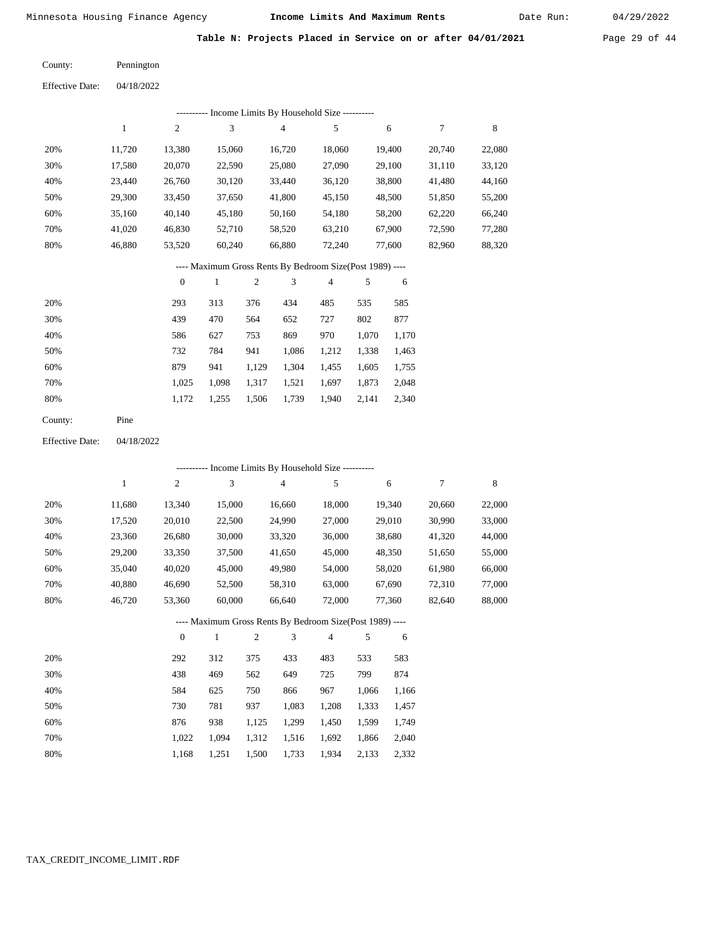Date Run:

Table N: Projects Placed in Service on or after 04/01/2021 Page 29 of 44

| County:                | Pennington |
|------------------------|------------|
| <b>Effective Date:</b> | 04/18/2022 |

|                        |              |                  |              |                |                | ---------- Income Limits By Household Size ----------    |       |        |                  |             |
|------------------------|--------------|------------------|--------------|----------------|----------------|----------------------------------------------------------|-------|--------|------------------|-------------|
|                        | $\mathbf{1}$ | $\sqrt{2}$       | 3            |                | $\overline{4}$ | $\sqrt{5}$                                               |       | 6      | $\boldsymbol{7}$ | $\,$ 8 $\,$ |
| 20%                    | 11,720       | 13,380           | 15,060       |                | 16,720         | 18,060                                                   |       | 19,400 | 20,740           | 22,080      |
| 30%                    | 17,580       | 20,070           | 22,590       |                | 25,080         | 27,090                                                   |       | 29,100 | 31,110           | 33,120      |
| 40%                    | 23,440       | 26,760           | 30,120       |                | 33,440         | 36,120                                                   |       | 38,800 | 41,480           | 44,160      |
| 50%                    | 29,300       | 33,450           | 37,650       |                | 41,800         | 45,150                                                   |       | 48,500 | 51,850           | 55,200      |
| 60%                    | 35,160       | 40,140           | 45,180       |                | 50,160         | 54,180                                                   |       | 58,200 | 62,220           | 66,240      |
| 70%                    | 41,020       | 46,830           | 52,710       |                | 58,520         | 63,210                                                   |       | 67,900 | 72,590           | 77,280      |
| $80\%$                 | 46,880       | 53,520           | 60,240       |                | 66,880         | 72,240                                                   |       | 77,600 | 82,960           | 88,320      |
|                        |              |                  |              |                |                | ---- Maximum Gross Rents By Bedroom Size(Post 1989) ---- |       |        |                  |             |
|                        |              | $\boldsymbol{0}$ | $\mathbf{1}$ | $\mathfrak{2}$ | 3              | $\overline{\mathbf{4}}$                                  | 5     | 6      |                  |             |
| 20%                    |              | 293              | 313          | 376            | 434            | 485                                                      | 535   | 585    |                  |             |
| 30%                    |              | 439              | 470          | 564            | 652            | 727                                                      | 802   | 877    |                  |             |
| 40%                    |              | 586              | 627          | 753            | 869            | 970                                                      | 1,070 | 1,170  |                  |             |
| 50%                    |              | 732              | 784          | 941            | 1,086          | 1,212                                                    | 1,338 | 1,463  |                  |             |
| 60%                    |              | 879              | 941          | 1,129          | 1,304          | 1,455                                                    | 1,605 | 1,755  |                  |             |
| 70%                    |              | 1,025            | 1,098        | 1,317          | 1,521          | 1,697                                                    | 1,873 | 2,048  |                  |             |
| 80%                    |              | 1,172            | 1,255        | 1,506          | 1,739          | 1,940                                                    | 2,141 | 2,340  |                  |             |
| County:                | Pine         |                  |              |                |                |                                                          |       |        |                  |             |
| <b>Effective Date:</b> | 04/18/2022   |                  |              |                |                |                                                          |       |        |                  |             |
|                        |              |                  |              |                |                | ---------- Income Limits By Household Size ----------    |       |        |                  |             |
|                        | $\mathbf{1}$ | $\sqrt{2}$       | 3            |                | $\overline{4}$ | 5                                                        |       | 6      | 7                | $\,$ 8 $\,$ |
| 20%                    | 11,680       | 13,340           | 15,000       |                | 16,660         | 18,000                                                   |       | 19,340 | 20,660           | 22,000      |
| 30%                    | 17,520       | 20,010           | 22,500       |                | 24,990         | 27,000                                                   |       | 29,010 | 30,990           | 33,000      |
| 40%                    | 23,360       | 26,680           | 30,000       |                | 33,320         | 36,000                                                   |       | 38,680 | 41,320           | 44,000      |
| 50%                    | 29,200       | 33,350           | 37,500       |                | 41,650         | 45,000                                                   |       | 48,350 | 51,650           | 55,000      |
| 60%                    | 35,040       | 40,020           | 45,000       |                | 49,980         | 54,000                                                   |       | 58,020 | 61,980           | 66,000      |
| 70%                    | 40,880       | 46,690           | 52,500       |                | 58,310         | 63,000                                                   |       | 67,690 | 72,310           | 77,000      |
| 80%                    | 46,720       | 53,360           | 60,000       |                | 66,640         | 72,000                                                   |       | 77,360 | 82,640           | 88,000      |
|                        |              |                  |              |                |                | ---- Maximum Gross Rents By Bedroom Size(Post 1989) ---- |       |        |                  |             |
|                        |              | $\boldsymbol{0}$ | $\mathbf{1}$ | 2              | $\mathfrak{Z}$ | 4                                                        | 5     | 6      |                  |             |
| 20%                    |              | 292              | 312          | 375            | 433            | 483                                                      | 533   | 583    |                  |             |
| 30%                    |              | 438              | 469          | 562            | 649            | 725                                                      | 799   | 874    |                  |             |
| 40%                    |              | 584              | 625          | 750            | 866            | 967                                                      | 1,066 | 1,166  |                  |             |
| 50%                    |              | 730              | 781          | 937            | 1,083          | 1,208                                                    | 1,333 | 1,457  |                  |             |
| 60%                    |              | 876              | 938          | 1,125          | 1,299          | 1,450                                                    | 1,599 | 1,749  |                  |             |
| 70%                    |              | 1,022            | 1,094        | 1,312          | 1,516          | 1,692                                                    | 1,866 | 2,040  |                  |             |
| $80\%$                 |              | 1,168            | 1,251        | 1,500          | 1,733          | 1,934                                                    | 2,133 | 2,332  |                  |             |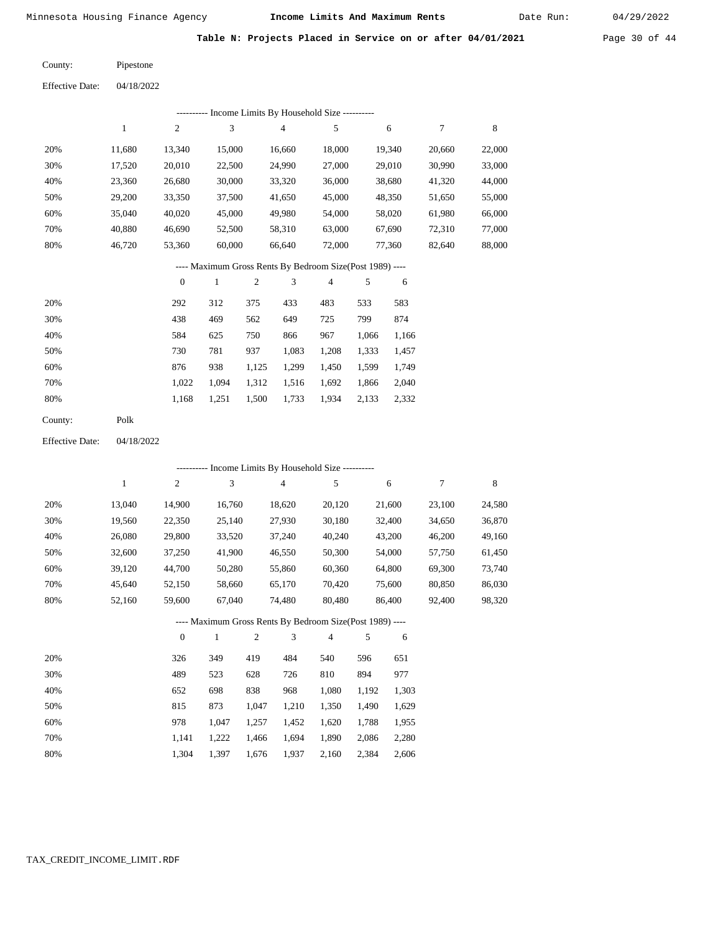Table N: Projects Placed in Service on or after 04/01/2021 Page 30 of 44

| County:                | Pipestone  |
|------------------------|------------|
| <b>Effective Date:</b> | 04/18/2022 |

|     |        |        |        |                | --------- Income Limits By Household Size ---------- |        |        |        |
|-----|--------|--------|--------|----------------|------------------------------------------------------|--------|--------|--------|
|     | 1      | 2      | 3      | $\overline{4}$ | 5                                                    | 6      | 7      | 8      |
| 20% | 11.680 | 13.340 | 15,000 | 16.660         | 18,000                                               | 19.340 | 20,660 | 22,000 |
| 30% | 17,520 | 20,010 | 22,500 | 24,990         | 27,000                                               | 29,010 | 30,990 | 33,000 |
| 40% | 23.360 | 26.680 | 30,000 | 33,320         | 36,000                                               | 38,680 | 41,320 | 44,000 |
| 50% | 29.200 | 33,350 | 37,500 | 41,650         | 45,000                                               | 48,350 | 51,650 | 55,000 |
| 60% | 35,040 | 40,020 | 45,000 | 49,980         | 54,000                                               | 58,020 | 61,980 | 66,000 |
| 70% | 40.880 | 46.690 | 52,500 | 58,310         | 63,000                                               | 67.690 | 72.310 | 77,000 |
| 80% | 46.720 | 53,360 | 60,000 | 66.640         | 72,000                                               | 77,360 | 82,640 | 88,000 |

|     |       |       | $\overline{c}$ | 3     | 4     | 5     | 6     |
|-----|-------|-------|----------------|-------|-------|-------|-------|
| 20% | 292   | 312   | 375            | 433   | 483   | 533   | 583   |
| 30% | 438   | 469   | 562            | 649   | 725   | 799   | 874   |
| 40% | 584   | 625   | 750            | 866   | 967   | 1,066 | 1,166 |
| 50% | 730   | 781   | 937            | 1,083 | 1,208 | 1,333 | 1,457 |
| 60% | 876   | 938   | 1,125          | 1,299 | 1,450 | 1,599 | 1,749 |
| 70% | 1.022 | 1.094 | 1,312          | 1,516 | 1,692 | 1,866 | 2,040 |
| 80% | 1,168 | 1,251 | 1,500          | 1,733 | 1,934 | 2,133 | 2,332 |
|     |       |       |                |       |       |       |       |

| County: | Polk |
|---------|------|
|---------|------|

04/18/2022 Effective Date:

|     |        |                |              |                |                | ---------- Income Limits By Household Size ----------    |       |        |        |        |
|-----|--------|----------------|--------------|----------------|----------------|----------------------------------------------------------|-------|--------|--------|--------|
|     | 1      | $\overline{c}$ | 3            |                | $\overline{4}$ | 5                                                        |       | 6      | 7      | 8      |
| 20% | 13,040 | 14,900         | 16,760       |                | 18,620         | 20,120                                                   |       | 21,600 | 23,100 | 24,580 |
| 30% | 19,560 | 22,350         | 25,140       |                | 27,930         | 30,180                                                   |       | 32,400 | 34,650 | 36,870 |
| 40% | 26,080 | 29,800         | 33,520       |                | 37,240         | 40,240                                                   |       | 43,200 | 46,200 | 49,160 |
| 50% | 32,600 | 37,250         | 41,900       |                | 46,550         | 50,300                                                   |       | 54,000 | 57,750 | 61,450 |
| 60% | 39,120 | 44,700         | 50,280       |                | 55,860         | 60,360                                                   |       | 64,800 | 69,300 | 73,740 |
| 70% | 45,640 | 52,150         | 58,660       |                | 65,170         | 70,420                                                   |       | 75,600 | 80,850 | 86,030 |
| 80% | 52,160 | 59,600         | 67,040       |                | 74,480         | 80,480                                                   |       | 86,400 | 92,400 | 98,320 |
|     |        |                |              |                |                | ---- Maximum Gross Rents By Bedroom Size(Post 1989) ---- |       |        |        |        |
|     |        | $\mathbf{0}$   | $\mathbf{1}$ | $\mathfrak{2}$ | 3              | 4                                                        | 5     | 6      |        |        |
| 20% |        | 326            | 349          | 419            | 484            | 540                                                      | 596   | 651    |        |        |
| 30% |        | 489            | 523          | 628            | 726            | 810                                                      | 894   | 977    |        |        |
| 40% |        | 652            | 698          | 838            | 968            | 1,080                                                    | 1,192 | 1,303  |        |        |
| 50% |        | 815            | 873          | 1,047          | 1,210          | 1,350                                                    | 1,490 | 1,629  |        |        |
| 60% |        | 978            | 1,047        | 1,257          | 1,452          | 1,620                                                    | 1,788 | 1,955  |        |        |

1,141 1,222 1,466 1,694 1,890 2,086 2,280

1,937

2,160 2,384

2,606

1,304

1,397 1,676

 70% 80%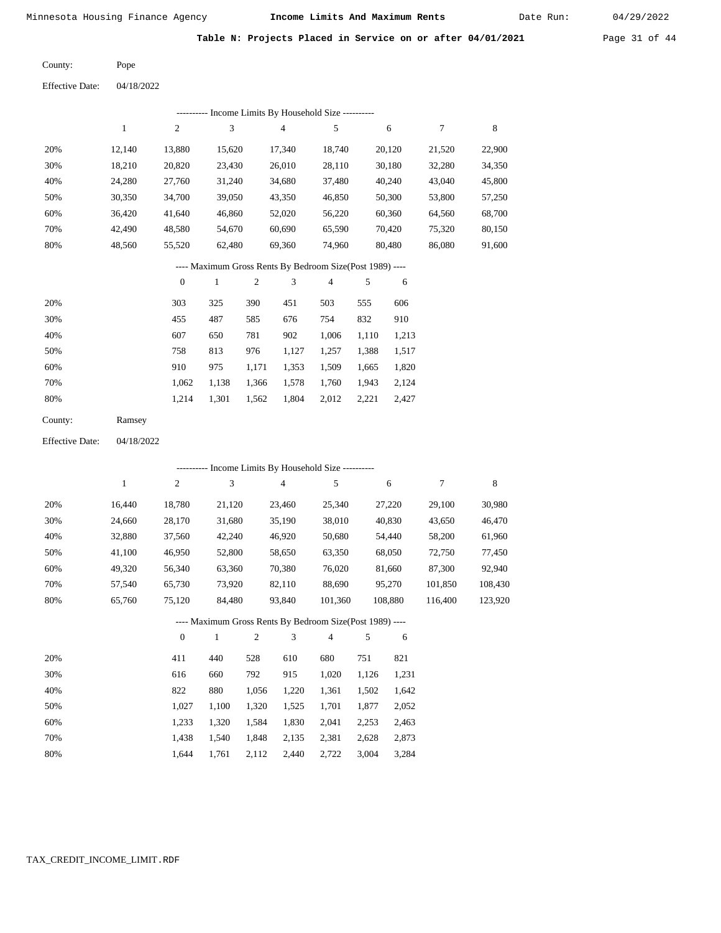Table N: Projects Placed in Service on or after 04/01/2021 Page 31 of 44

| County: | Pope |
|---------|------|
|         |      |

| <b>Effective Date:</b> | 04/18/2022 |
|------------------------|------------|
|------------------------|------------|

| ---------- Income Limits By Household Size ---------- |        |        |        |                                                          |        |        |        |        |
|-------------------------------------------------------|--------|--------|--------|----------------------------------------------------------|--------|--------|--------|--------|
|                                                       |        | 2      | 3      | $\overline{4}$                                           | 5      | 6      | 7      | 8      |
| 20%                                                   | 12.140 | 13.880 | 15.620 | 17.340                                                   | 18.740 | 20,120 | 21,520 | 22,900 |
| 30%                                                   | 18.210 | 20,820 | 23.430 | 26,010                                                   | 28,110 | 30.180 | 32.280 | 34,350 |
| 40%                                                   | 24.280 | 27,760 | 31.240 | 34,680                                                   | 37,480 | 40.240 | 43,040 | 45,800 |
| 50%                                                   | 30,350 | 34,700 | 39.050 | 43,350                                                   | 46,850 | 50,300 | 53,800 | 57,250 |
| 60%                                                   | 36.420 | 41,640 | 46,860 | 52,020                                                   | 56,220 | 60,360 | 64,560 | 68,700 |
| 70%                                                   | 42,490 | 48,580 | 54.670 | 60.690                                                   | 65,590 | 70.420 | 75,320 | 80,150 |
| 80%                                                   | 48.560 | 55,520 | 62.480 | 69.360                                                   | 74.960 | 80,480 | 86,080 | 91,600 |
|                                                       |        |        |        | ---- Maximum Gross Rents By Bedroom Size(Post 1989) ---- |        |        |        |        |

|     | $\mathbf{0}$ |       | 2     | 3     | 4     | 5     | 6     |
|-----|--------------|-------|-------|-------|-------|-------|-------|
| 20% | 303          | 325   | 390   | 451   | 503   | 555   | 606   |
| 30% | 455          | 487   | 585   | 676   | 754   | 832   | 910   |
| 40% | 607          | 650   | 781   | 902   | 1,006 | 1,110 | 1,213 |
| 50% | 758          | 813   | 976   | 1,127 | 1,257 | 1,388 | 1,517 |
| 60% | 910          | 975   | 1,171 | 1,353 | 1,509 | 1,665 | 1,820 |
| 70% | 1,062        | 1,138 | 1,366 | 1,578 | 1,760 | 1,943 | 2,124 |
| 80% | 1.214        | 1,301 | 1,562 | 1,804 | 2,012 | 2,221 | 2,427 |

| County: | Ramsey |
|---------|--------|
|---------|--------|

Effective Date: 04/18/2022

|     |        |              |        |     |        | ---------- Income Limits By Household Size ----------    |       |         |         |         |
|-----|--------|--------------|--------|-----|--------|----------------------------------------------------------|-------|---------|---------|---------|
|     | 1      | 2            | 3      |     | 4      | 5                                                        |       | 6       | 7       | 8       |
| 20% | 16,440 | 18,780       | 21,120 |     | 23,460 | 25,340                                                   |       | 27,220  | 29,100  | 30,980  |
| 30% | 24,660 | 28,170       | 31,680 |     | 35,190 | 38,010                                                   |       | 40,830  | 43,650  | 46,470  |
| 40% | 32,880 | 37,560       | 42,240 |     | 46,920 | 50,680                                                   |       | 54,440  | 58,200  | 61,960  |
| 50% | 41,100 | 46,950       | 52,800 |     | 58,650 | 63,350                                                   |       | 68,050  | 72,750  | 77,450  |
| 60% | 49,320 | 56,340       | 63,360 |     | 70,380 | 76,020                                                   |       | 81,660  | 87,300  | 92,940  |
| 70% | 57,540 | 65,730       | 73,920 |     | 82,110 | 88,690                                                   |       | 95,270  | 101,850 | 108,430 |
| 80% | 65,760 | 75,120       | 84,480 |     | 93,840 | 101,360                                                  |       | 108,880 | 116,400 | 123,920 |
|     |        |              |        |     |        | ---- Maximum Gross Rents By Bedroom Size(Post 1989) ---- |       |         |         |         |
|     |        | $\mathbf{0}$ | 1      | 2   | 3      | $\overline{4}$                                           | 5     | 6       |         |         |
| 20% |        | 411          | 440    | 528 | 610    | 680                                                      | 751   | 821     |         |         |
| 200 |        | 616          | 660    | 702 | 015    | 1.020                                                    | 1.126 | 1.231   |         |         |

| 30% | 616   | 660   | 792   | 915         | 1.020 | 1,126 1,231 |       |
|-----|-------|-------|-------|-------------|-------|-------------|-------|
| 40% | 822   | 880   | 1.056 | 1.220       | 1.361 | 1.502       | 1,642 |
| 50% | 1.027 | 1.100 | 1.320 | 1.525 1.701 |       | 1.877       | 2,052 |
| 60% | 1.233 | 1.320 | 1.584 | 1.830       | 2.041 | 2.253       | 2,463 |
| 70% | 1.438 | 1.540 | 1.848 | 2.135       | 2,381 | 2.628       | 2,873 |
| 80% | 1.644 | 1.761 | 2,112 | 2,440       | 2,722 | 3,004       | 3,284 |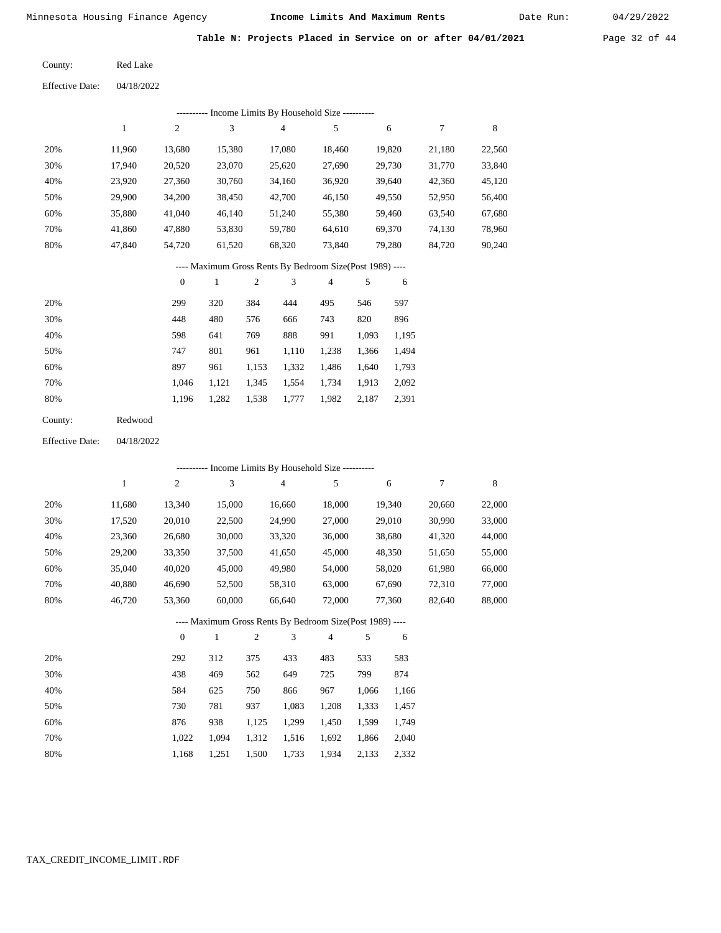Table N: Projects Placed in Service on or after 04/01/2021 Page 32 of 44

| County: | <b>Red Lake</b> |
|---------|-----------------|
|         |                 |

| 04/18/2022 |
|------------|
|            |

|     | Income Limits By Household Size ---------- |                |        |        |        |        |        |        |  |  |  |  |  |
|-----|--------------------------------------------|----------------|--------|--------|--------|--------|--------|--------|--|--|--|--|--|
|     |                                            | $\overline{c}$ | 3      | 4      | 5      | 6      |        | 8      |  |  |  |  |  |
| 20% | 11.960                                     | 13,680         | 15,380 | 17.080 | 18.460 | 19,820 | 21,180 | 22,560 |  |  |  |  |  |
| 30% | 17,940                                     | 20,520         | 23,070 | 25,620 | 27,690 | 29,730 | 31,770 | 33,840 |  |  |  |  |  |
| 40% | 23,920                                     | 27,360         | 30,760 | 34,160 | 36,920 | 39,640 | 42,360 | 45,120 |  |  |  |  |  |
| 50% | 29,900                                     | 34,200         | 38,450 | 42,700 | 46,150 | 49,550 | 52,950 | 56,400 |  |  |  |  |  |
| 60% | 35,880                                     | 41,040         | 46.140 | 51,240 | 55,380 | 59,460 | 63,540 | 67,680 |  |  |  |  |  |
| 70% | 41.860                                     | 47,880         | 53,830 | 59.780 | 64.610 | 69,370 | 74,130 | 78,960 |  |  |  |  |  |
| 80% | 47.840                                     | 54.720         | 61,520 | 68,320 | 73,840 | 79,280 | 84,720 | 90,240 |  |  |  |  |  |

### ---- Maximum Gross Rents By Bedroom Size(Post 1989) ----

|     | $\mathbf{0}$ |       | $\overline{c}$ | 3     | 4     | 5     | 6     |
|-----|--------------|-------|----------------|-------|-------|-------|-------|
| 20% | 299          | 320   | 384            | 444   | 495   | 546   | 597   |
| 30% | 448          | 480   | 576            | 666   | 743   | 820   | 896   |
| 40% | 598          | 641   | 769            | 888   | 991   | 1,093 | 1,195 |
| 50% | 747          | 801   | 961            | 1,110 | 1,238 | 1,366 | 1,494 |
| 60% | 897          | 961   | 1,153          | 1,332 | 1,486 | 1,640 | 1,793 |
| 70% | 1.046        | 1,121 | 1,345          | 1,554 | 1,734 | 1,913 | 2,092 |
| 80% | 1,196        | 1,282 | 1,538          | 1,777 | 1,982 | 2,187 | 2,391 |
|     |              |       |                |       |       |       |       |

| Redwood |
|---------|
|         |

04/18/2022 Effective Date:

|     | ---------- Income Limits By Household Size ---------- |                |              |                |                |                                                          |       |        |        |        |
|-----|-------------------------------------------------------|----------------|--------------|----------------|----------------|----------------------------------------------------------|-------|--------|--------|--------|
|     | 1                                                     | $\overline{c}$ | 3            |                | $\overline{4}$ | 5                                                        |       | 6      | 7      | 8      |
| 20% | 11,680                                                | 13,340         | 15,000       |                | 16,660         | 18,000                                                   |       | 19,340 | 20,660 | 22,000 |
| 30% | 17,520                                                | 20,010         | 22,500       |                | 24,990         | 27,000                                                   |       | 29,010 | 30,990 | 33,000 |
| 40% | 23,360                                                | 26,680         | 30,000       |                | 33,320         | 36,000                                                   |       | 38,680 | 41,320 | 44,000 |
| 50% | 29,200                                                | 33,350         | 37,500       |                | 41,650         | 45,000                                                   |       | 48,350 | 51,650 | 55,000 |
| 60% | 35,040                                                | 40,020         | 45,000       |                | 49,980         | 54,000                                                   |       | 58,020 | 61,980 | 66,000 |
| 70% | 40,880                                                | 46,690         | 52,500       |                | 58,310         | 63,000                                                   |       | 67,690 | 72,310 | 77,000 |
| 80% | 46,720                                                | 53,360         | 60,000       |                | 66,640         | 72,000                                                   |       | 77,360 | 82,640 | 88,000 |
|     |                                                       |                |              |                |                | ---- Maximum Gross Rents By Bedroom Size(Post 1989) ---- |       |        |        |        |
|     |                                                       | $\overline{0}$ | $\mathbf{1}$ | $\overline{c}$ | 3              | $\overline{4}$                                           | 5     | 6      |        |        |
| 20% |                                                       | 292            | 312          | 375            | 433            | 483                                                      | 533   | 583    |        |        |
| 30% |                                                       | 438            | 469          | 562            | 649            | 725                                                      | 799   | 874    |        |        |
| 40% |                                                       | 584            | 625          | 750            | 866            | 967                                                      | 1,066 | 1,166  |        |        |
| 50% |                                                       | 730            | 781          | 937            | 1,083          | 1,208                                                    | 1,333 | 1,457  |        |        |
| 60% |                                                       | 876            | 938          | 1,125          | 1,299          | 1,450                                                    | 1,599 | 1,749  |        |        |
| 70% |                                                       | 1,022          | 1,094        | 1,312          | 1,516          | 1,692                                                    | 1,866 | 2,040  |        |        |

1,168

1,251

1,500

1,733

1,934

2,133

2,332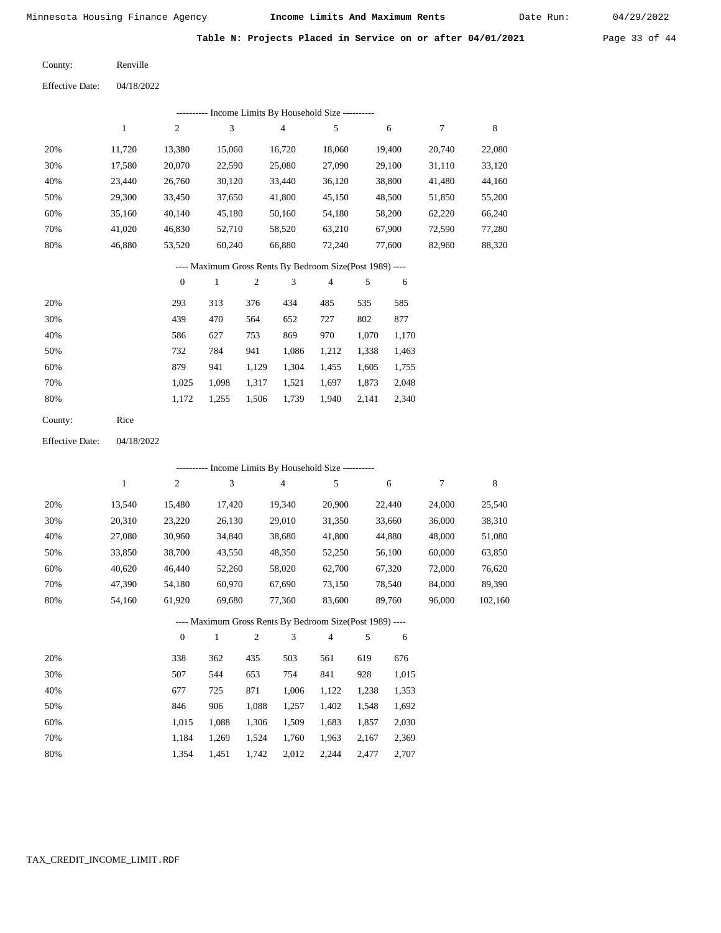Table N: Projects Placed in Service on or after 04/01/2021 Page 33 of 44

| County: | Renville |
|---------|----------|
|         |          |

| <b>Effective Date:</b> | 04/18/2022 |
|------------------------|------------|
|------------------------|------------|

| ---------- Income Limits By Household Size ---------- |        |        |        |        |        |        |        |        |  |  |  |
|-------------------------------------------------------|--------|--------|--------|--------|--------|--------|--------|--------|--|--|--|
|                                                       |        | 2      | 3      | 4      | 5      | 6      |        | 8      |  |  |  |
| 20%                                                   | 11.720 | 13,380 | 15,060 | 16.720 | 18.060 | 19.400 | 20.740 | 22,080 |  |  |  |
| 30%                                                   | 17,580 | 20,070 | 22,590 | 25,080 | 27,090 | 29,100 | 31,110 | 33,120 |  |  |  |
| 40%                                                   | 23.440 | 26,760 | 30,120 | 33,440 | 36,120 | 38,800 | 41,480 | 44,160 |  |  |  |
| 50%                                                   | 29,300 | 33,450 | 37,650 | 41,800 | 45,150 | 48,500 | 51,850 | 55,200 |  |  |  |
| 60%                                                   | 35,160 | 40,140 | 45,180 | 50,160 | 54,180 | 58,200 | 62,220 | 66,240 |  |  |  |
| 70%                                                   | 41.020 | 46,830 | 52,710 | 58,520 | 63,210 | 67,900 | 72,590 | 77,280 |  |  |  |
| 80%                                                   | 46,880 | 53,520 | 60,240 | 66,880 | 72,240 | 77,600 | 82,960 | 88,320 |  |  |  |

# ---- Maximum Gross Rents By Bedroom Size(Post 1989) ----

|     | $\mathbf{0}$ |       | $\overline{2}$ | 3     | 4     | 5     | 6     |
|-----|--------------|-------|----------------|-------|-------|-------|-------|
| 20% | 293          | 313   | 376            | 434   | 485   | 535   | 585   |
| 30% | 439          | 470   | 564            | 652   | 727   | 802   | 877   |
| 40% | 586          | 627   | 753            | 869   | 970   | 1,070 | 1,170 |
| 50% | 732          | 784   | 941            | 1,086 | 1,212 | 1,338 | 1,463 |
| 60% | 879          | 941   | 1,129          | 1,304 | 1,455 | 1,605 | 1,755 |
| 70% | 1,025        | 1,098 | 1,317          | 1,521 | 1,697 | 1,873 | 2,048 |
| 80% | 1,172        | 1,255 | 1,506          | 1,739 | 1,940 | 2,141 | 2,340 |
|     |              |       |                |       |       |       |       |

| County: | Rice |
|---------|------|
|---------|------|

04/18/2022 Effective Date:

|     | ---------- Income Limits By Household Size ---------- |                |                                                          |                |        |                |       |        |        |         |  |
|-----|-------------------------------------------------------|----------------|----------------------------------------------------------|----------------|--------|----------------|-------|--------|--------|---------|--|
|     | $\mathbf{1}$                                          | $\overline{c}$ | 3                                                        |                | 4      | 5              |       | 6      | 7      | 8       |  |
| 20% | 13,540                                                | 15,480         | 17,420                                                   |                | 19,340 | 20,900         |       | 22,440 | 24,000 | 25,540  |  |
| 30% | 20,310                                                | 23,220         | 26,130                                                   |                | 29,010 | 31,350         |       | 33,660 | 36,000 | 38,310  |  |
| 40% | 27,080                                                | 30,960         | 34,840                                                   |                | 38,680 | 41,800         |       | 44,880 | 48,000 | 51,080  |  |
| 50% | 33,850                                                | 38,700         | 43,550                                                   |                | 48,350 | 52,250         |       | 56,100 | 60,000 | 63,850  |  |
| 60% | 40,620                                                | 46,440         | 52,260                                                   |                | 58,020 | 62,700         |       | 67,320 | 72,000 | 76,620  |  |
| 70% | 47,390                                                | 54,180         | 60,970                                                   |                | 67,690 | 73,150         |       | 78,540 | 84,000 | 89,390  |  |
| 80% | 54,160                                                | 61,920         | 69,680                                                   |                | 77,360 | 83,600         |       | 89,760 | 96,000 | 102,160 |  |
|     |                                                       |                | ---- Maximum Gross Rents By Bedroom Size(Post 1989) ---- |                |        |                |       |        |        |         |  |
|     |                                                       | $\theta$       | $\mathbf{1}$                                             | $\mathfrak{2}$ | 3      | $\overline{4}$ | 5     | 6      |        |         |  |
| 20% |                                                       | 338            | 362                                                      | 435            | 503    | 561            | 619   | 676    |        |         |  |
| 30% |                                                       | 507            | 544                                                      | 653            | 754    | 841            | 928   | 1,015  |        |         |  |
| 40% |                                                       | 677            | 725                                                      | 871            | 1,006  | 1,122          | 1,238 | 1,353  |        |         |  |
| 50% |                                                       | 846            | 906                                                      | 1,088          | 1,257  | 1,402          | 1,548 | 1,692  |        |         |  |

| 70%  | 1.184 1.269 1.524 1.760 1.963 2.167 2.369 |  |  |  |
|------|-------------------------------------------|--|--|--|
| -80% | 1,354 1,451 1,742 2,012 2,244 2,477 2,707 |  |  |  |

1,306

1,509

1,683

1,857

2,030

1,088

1,015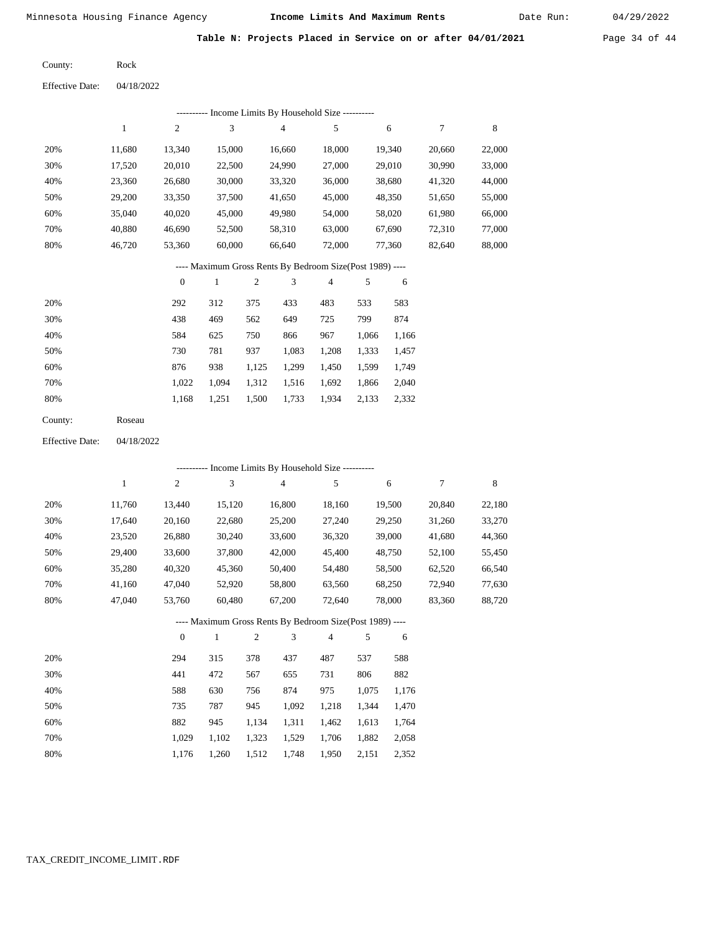Date Run: 04/29/2022

Table N: Projects Placed in Service on or after 04/01/2021 Page 34 of 44

| County: | Rock |
|---------|------|
|         |      |

04/18/2022 Effective Date:

|                        |              |                  |                             |            | --------- Income Limits By Household Size ----------     |                          |       |        |                  |             |
|------------------------|--------------|------------------|-----------------------------|------------|----------------------------------------------------------|--------------------------|-------|--------|------------------|-------------|
|                        | $\mathbf{1}$ | $\sqrt{2}$       | 3                           |            | $\overline{4}$                                           | 5                        |       | 6      | $\boldsymbol{7}$ | 8           |
| 20%                    | 11,680       | 13,340           | 15,000                      |            | 16,660                                                   | 18,000                   |       | 19,340 | 20,660           | 22,000      |
| 30%                    | 17,520       | 20,010           | 22,500                      |            | 24,990                                                   | 27,000                   |       | 29,010 | 30,990           | 33,000      |
| 40%                    | 23,360       | 26,680           | 30,000                      |            | 33,320                                                   | 36,000                   |       | 38,680 | 41,320           | 44,000      |
| 50%                    | 29,200       | 33,350           | 37,500                      |            | 41,650                                                   | 45,000                   |       | 48,350 | 51,650           | 55,000      |
| 60%                    | 35,040       | 40,020           | 45,000                      |            | 49,980                                                   | 54,000                   |       | 58,020 | 61,980           | 66,000      |
| 70%                    | 40,880       | 46,690           | 52,500                      |            | 58,310                                                   | 63,000                   |       | 67,690 | 72,310           | 77,000      |
| 80%                    | 46,720       | 53,360           | 60,000                      |            | 66,640                                                   | 72,000                   |       | 77,360 | 82,640           | 88,000      |
|                        |              |                  |                             |            | ---- Maximum Gross Rents By Bedroom Size(Post 1989) ---- |                          |       |        |                  |             |
|                        |              | $\boldsymbol{0}$ | $\mathbf{1}$                | $\sqrt{2}$ | 3                                                        | 4                        | 5     | 6      |                  |             |
| 20%                    |              | 292              | 312                         | 375        | 433                                                      | 483                      | 533   | 583    |                  |             |
| 30%                    |              | 438              | 469                         | 562        | 649                                                      | 725                      | 799   | 874    |                  |             |
| 40%                    |              | 584              | 625                         | 750        | 866                                                      | 967                      | 1,066 | 1,166  |                  |             |
| 50%                    |              | 730              | 781                         | 937        | 1,083                                                    | 1,208                    | 1,333 | 1,457  |                  |             |
| 60%                    |              | 876              | 938                         | 1,125      | 1,299                                                    | 1,450                    | 1,599 | 1,749  |                  |             |
| 70%                    |              | 1,022            | 1,094                       | 1,312      | 1,516                                                    | 1,692                    | 1,866 | 2,040  |                  |             |
| 80%                    |              | 1,168            | 1,251                       | 1,500      | 1,733                                                    | 1,934                    | 2,133 | 2,332  |                  |             |
| County:                | Roseau       |                  |                             |            |                                                          |                          |       |        |                  |             |
| <b>Effective Date:</b> | 04/18/2022   |                  |                             |            |                                                          |                          |       |        |                  |             |
|                        |              |                  |                             |            | ---------- Income Limits By Household Size ----------    |                          |       |        |                  |             |
|                        | $\mathbf{1}$ | $\overline{2}$   | $\ensuremath{\mathfrak{Z}}$ |            | $\overline{4}$                                           | 5                        |       | 6      | 7                | $\,$ 8 $\,$ |
| 20%                    | 11,760       | 13,440           | 15,120                      |            | 16,800                                                   | 18,160                   |       | 19,500 | 20,840           | 22,180      |
| 30%                    | 17,640       | 20,160           | 22,680                      |            | 25,200                                                   | 27,240                   |       | 29,250 | 31,260           | 33,270      |
| 40%                    | 23,520       | 26,880           | 30,240                      |            | 33,600                                                   | 36,320                   |       | 39,000 | 41,680           | 44,360      |
| 50%                    | 29,400       | 33,600           | 37,800                      |            | 42,000                                                   | 45,400                   |       | 48,750 | 52,100           | 55,450      |
| 60%                    | 35,280       | 40,320           | 45,360                      |            | 50,400                                                   | 54,480                   |       | 58,500 | 62,520           | 66,540      |
| 70%                    | 41,160       | 47,040           | 52,920                      |            | 58,800                                                   | 63,560                   |       | 68,250 | 72,940           | 77,630      |
| 80%                    | 47,040       | 53,760           | 60,480                      |            | 67,200                                                   | 72,640                   |       | 78,000 | 83,360           | 88,720      |
|                        |              |                  |                             |            | ---- Maximum Gross Rents By Bedroom Size(Post 1989) ---- |                          |       |        |                  |             |
|                        |              | $\boldsymbol{0}$ | $\mathbf{1}$                | $\sqrt{2}$ | 3                                                        | $\overline{\mathcal{L}}$ | 5     | 6      |                  |             |
| 20%                    |              | 294              | 315                         | 378        | 437                                                      | 487                      | 537   | 588    |                  |             |
| 30%                    |              | 441              | 472                         | 567        | 655                                                      | 731                      | 806   | 882    |                  |             |
| 40%                    |              | 588              | 630                         | 756        | 874                                                      | 975                      | 1,075 | 1,176  |                  |             |
| 50%                    |              | 735              | 787                         | 945        | 1,092                                                    | 1,218                    | 1,344 | 1,470  |                  |             |
| 60%                    |              | 882              | 945                         | 1,134      | 1,311                                                    | 1,462                    | 1,613 | 1,764  |                  |             |
| 70%                    |              | 1,029            | 1,102                       | 1,323      | 1,529                                                    | 1,706                    | 1,882 | 2,058  |                  |             |

1,176 1,260 1,512 1,748 1,950 2,151 2,352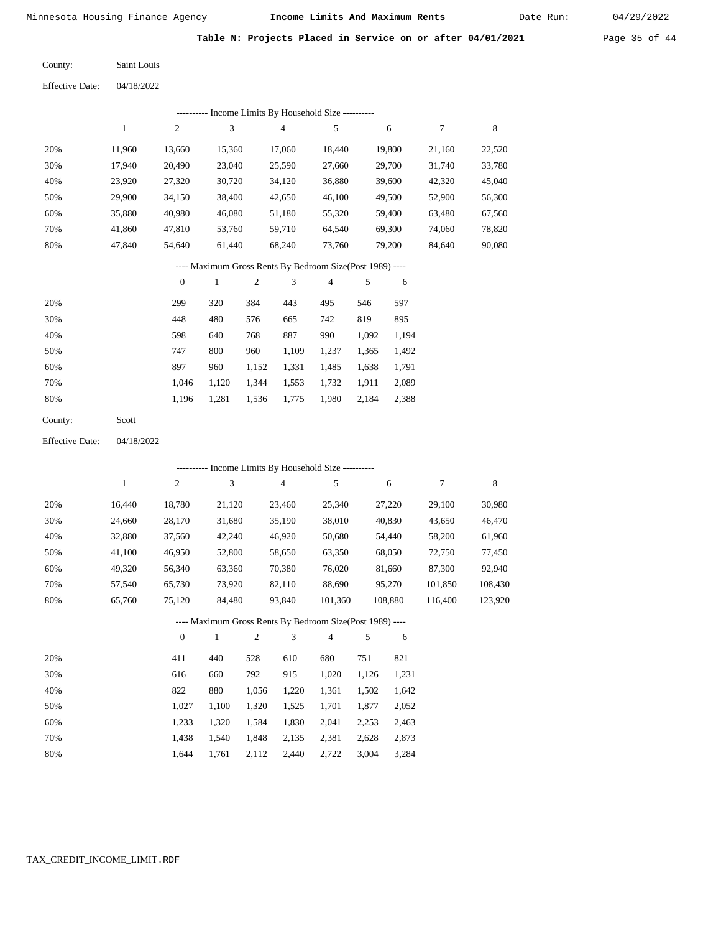Date Run:

Table N: Projects Placed in Service on or after 04/01/2021 Page 35 of 44

| County:                | Saint Louis |
|------------------------|-------------|
| <b>Effective Date:</b> | 04/18/2022  |

|                        |              |                  |                             |                | --------- Income Limits By Household Size ----------     |                |       |         |         |             |
|------------------------|--------------|------------------|-----------------------------|----------------|----------------------------------------------------------|----------------|-------|---------|---------|-------------|
|                        | $\mathbf{1}$ | $\sqrt{2}$       | 3                           |                | 4                                                        | 5              |       | 6       | 7       | $\,$ 8 $\,$ |
| 20%                    | 11,960       | 13,660           | 15,360                      |                | 17,060                                                   | 18,440         |       | 19,800  | 21,160  | 22,520      |
| 30%                    | 17,940       | 20,490           | 23,040                      |                | 25,590                                                   | 27,660         |       | 29,700  | 31,740  | 33,780      |
| 40%                    | 23,920       | 27,320           | 30,720                      |                | 34,120                                                   | 36,880         |       | 39,600  | 42,320  | 45,040      |
| 50%                    | 29,900       | 34,150           | 38,400                      |                | 42,650                                                   | 46,100         |       | 49,500  | 52,900  | 56,300      |
| 60%                    | 35,880       | 40,980           | 46,080                      |                | 51,180                                                   | 55,320         |       | 59,400  | 63,480  | 67,560      |
| 70%                    | 41,860       | 47,810           | 53,760                      |                | 59,710                                                   | 64,540         |       | 69,300  | 74,060  | 78,820      |
| 80%                    | 47,840       | 54,640           | 61,440                      |                | 68,240                                                   | 73,760         |       | 79,200  | 84,640  | 90,080      |
|                        |              |                  |                             |                | ---- Maximum Gross Rents By Bedroom Size(Post 1989) ---- |                |       |         |         |             |
|                        |              | $\boldsymbol{0}$ | $\mathbf{1}$                | $\mathfrak{2}$ | 3                                                        | $\overline{4}$ | 5     | 6       |         |             |
| 20%                    |              | 299              | 320                         | 384            | 443                                                      | 495            | 546   | 597     |         |             |
| 30%                    |              | 448              | 480                         | 576            | 665                                                      | 742            | 819   | 895     |         |             |
| 40%                    |              | 598              | 640                         | 768            | 887                                                      | 990            | 1,092 | 1,194   |         |             |
| 50%                    |              | 747              | 800                         | 960            | 1,109                                                    | 1,237          | 1,365 | 1,492   |         |             |
| 60%                    |              | 897              | 960                         | 1,152          | 1,331                                                    | 1,485          | 1,638 | 1,791   |         |             |
| 70%                    |              | 1,046            | 1,120                       | 1,344          | 1,553                                                    | 1,732          | 1,911 | 2,089   |         |             |
| 80%                    |              | 1,196            | 1,281                       | 1,536          | 1,775                                                    | 1,980          | 2,184 | 2,388   |         |             |
| County:                | Scott        |                  |                             |                |                                                          |                |       |         |         |             |
| <b>Effective Date:</b> | 04/18/2022   |                  |                             |                |                                                          |                |       |         |         |             |
|                        |              |                  |                             |                | ---------- Income Limits By Household Size ----------    |                |       |         |         |             |
|                        | $\mathbf{1}$ | $\sqrt{2}$       | $\ensuremath{\mathfrak{Z}}$ |                | 4                                                        | 5              |       | 6       | 7       | 8           |
| 20%                    | 16,440       | 18,780           | 21,120                      |                | 23,460                                                   | 25,340         |       | 27,220  | 29,100  | 30,980      |
| 30%                    | 24,660       | 28,170           | 31,680                      |                | 35,190                                                   | 38,010         |       | 40,830  | 43,650  | 46,470      |
| 40%                    | 32,880       | 37,560           | 42,240                      |                | 46,920                                                   | 50,680         |       | 54,440  | 58,200  | 61,960      |
| 50%                    | 41,100       | 46,950           | 52,800                      |                | 58,650                                                   | 63,350         |       | 68,050  | 72,750  | 77,450      |
| 60%                    | 49,320       | 56,340           | 63,360                      |                | 70,380                                                   | 76,020         |       | 81,660  | 87,300  | 92,940      |
| 70%                    | 57,540       | 65,730           | 73,920                      |                | 82,110                                                   | 88,690         |       | 95,270  | 101,850 | 108,430     |
| 80%                    | 65,760       | 75,120           | 84,480                      |                | 93,840                                                   | 101,360        |       | 108,880 | 116,400 | 123,920     |
|                        |              |                  |                             |                | ---- Maximum Gross Rents By Bedroom Size(Post 1989)      |                |       |         |         |             |
|                        |              | $\mathbf{0}$     | $\mathbf{1}$                | 2              | 3                                                        | 4              | 5     | 6       |         |             |
| 20%                    |              | 411              | 440                         | 528            | 610                                                      | 680            | 751   | 821     |         |             |
| 30%                    |              | 616              | 660                         | 792            | 915                                                      | 1,020          | 1,126 | 1,231   |         |             |
| 40%                    |              | 822              | 880                         | 1,056          | 1,220                                                    | 1,361          | 1,502 | 1,642   |         |             |
| 50%                    |              | 1,027            | 1,100                       | 1,320          | 1,525                                                    | 1,701          | 1,877 | 2,052   |         |             |
| 60%                    |              | 1,233            | 1,320                       | 1,584          | 1,830                                                    | 2,041          | 2,253 | 2,463   |         |             |
| 70%                    |              | 1,438            | 1,540                       | 1,848          | 2,135                                                    | 2,381          | 2,628 | 2,873   |         |             |
| 80%                    |              | 1,644            | 1,761                       | 2,112          | 2,440                                                    | 2,722          | 3,004 | 3,284   |         |             |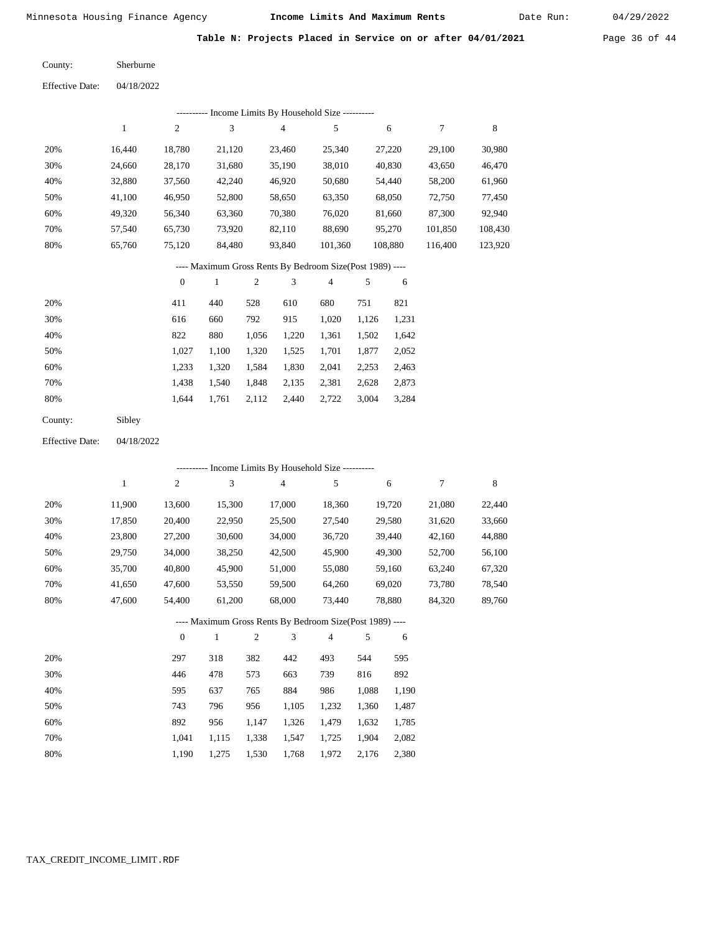Table N: Projects Placed in Service on or after 04/01/2021 Page 36 of 44

| County: | Sherburne |
|---------|-----------|
|         |           |

|     |        |        |        |        | ---------- Income Limits By Household Size ---------- |         |         |         |
|-----|--------|--------|--------|--------|-------------------------------------------------------|---------|---------|---------|
|     |        | 2      | 3      | 4      |                                                       | 6       |         | 8       |
| 20% | 16.440 | 18,780 | 21,120 | 23,460 | 25,340                                                | 27,220  | 29.100  | 30,980  |
| 30% | 24,660 | 28,170 | 31,680 | 35,190 | 38,010                                                | 40,830  | 43,650  | 46,470  |
| 40% | 32,880 | 37,560 | 42,240 | 46,920 | 50,680                                                | 54,440  | 58,200  | 61,960  |
| 50% | 41.100 | 46,950 | 52,800 | 58,650 | 63,350                                                | 68,050  | 72,750  | 77,450  |
| 60% | 49,320 | 56,340 | 63,360 | 70,380 | 76,020                                                | 81,660  | 87,300  | 92,940  |
| 70% | 57.540 | 65,730 | 73,920 | 82,110 | 88,690                                                | 95,270  | 101,850 | 108,430 |
| 80% | 65,760 | 75,120 | 84,480 | 93,840 | 101,360                                               | 108,880 | 116,400 | 123,920 |

# ---- Maximum Gross Rents By Bedroom Size(Post 1989) ----

|     | $\theta$ |       | 2     | 3     | $\overline{4}$ | 5     | 6     |
|-----|----------|-------|-------|-------|----------------|-------|-------|
| 20% | 411      | 440   | 528   | 610   | 680            | 751   | 821   |
| 30% | 616      | 660   | 792   | 915   | 1,020          | 1,126 | 1,231 |
| 40% | 822      | 880   | 1,056 | 1,220 | 1,361          | 1,502 | 1,642 |
| 50% | 1,027    | 1.100 | 1,320 | 1,525 | 1,701          | 1,877 | 2,052 |
| 60% | 1,233    | 1,320 | 1,584 | 1,830 | 2,041          | 2,253 | 2,463 |
| 70% | 1,438    | 1,540 | 1,848 | 2,135 | 2,381          | 2,628 | 2,873 |
| 80% | 1.644    | 1,761 | 2,112 | 2,440 | 2,722          | 3,004 | 3,284 |
|     |          |       |       |       |                |       |       |

| County: | Sibley |
|---------|--------|
|---------|--------|

04/18/2022 Effective Date:

|     |        |                  |              |                | ---------- Income Limits By Household Size ----------    |        |       |        |        |        |
|-----|--------|------------------|--------------|----------------|----------------------------------------------------------|--------|-------|--------|--------|--------|
|     | 1      | $\boldsymbol{2}$ | 3            |                | $\overline{4}$                                           | 5      |       | 6      | 7      | 8      |
| 20% | 11,900 | 13,600           | 15,300       |                | 17,000                                                   | 18,360 |       | 19,720 | 21,080 | 22,440 |
| 30% | 17,850 | 20,400           | 22,950       |                | 25,500                                                   | 27,540 |       | 29,580 | 31,620 | 33,660 |
| 40% | 23,800 | 27,200           | 30,600       |                | 34,000                                                   | 36,720 |       | 39,440 | 42,160 | 44,880 |
| 50% | 29,750 | 34,000           | 38,250       |                | 42,500                                                   | 45,900 |       | 49,300 | 52,700 | 56,100 |
| 60% | 35,700 | 40,800           | 45,900       |                | 51,000                                                   | 55,080 |       | 59,160 | 63,240 | 67,320 |
| 70% | 41,650 | 47,600           | 53,550       |                | 59,500                                                   | 64,260 |       | 69,020 | 73,780 | 78,540 |
| 80% | 47,600 | 54,400           | 61,200       |                | 68,000                                                   | 73,440 |       | 78,880 | 84,320 | 89,760 |
|     |        |                  |              |                | ---- Maximum Gross Rents By Bedroom Size(Post 1989) ---- |        |       |        |        |        |
|     |        | $\overline{0}$   | $\mathbf{1}$ | $\overline{c}$ | 3                                                        | 4      | 5     | 6      |        |        |
| 20% |        | 297              | 318          | 382            | 442                                                      | 493    | 544   | 595    |        |        |
| 30% |        | 446              | 478          | 573            | 663                                                      | 739    | 816   | 892    |        |        |
| 40% |        | 595              | 637          | 765            | 884                                                      | 986    | 1,088 | 1,190  |        |        |
| 50% |        | 743              | 796          | 956            | 1,105                                                    | 1,232  | 1,360 | 1,487  |        |        |
| 60% |        | 892              | 956          | 1,147          | 1,326                                                    | 1,479  | 1,632 | 1,785  |        |        |
| 70% |        | 1,041            | 1,115        | 1,338          | 1,547                                                    | 1,725  | 1,904 | 2,082  |        |        |

1,768 1,972 2,176 2,380

1,190

1,275 1,530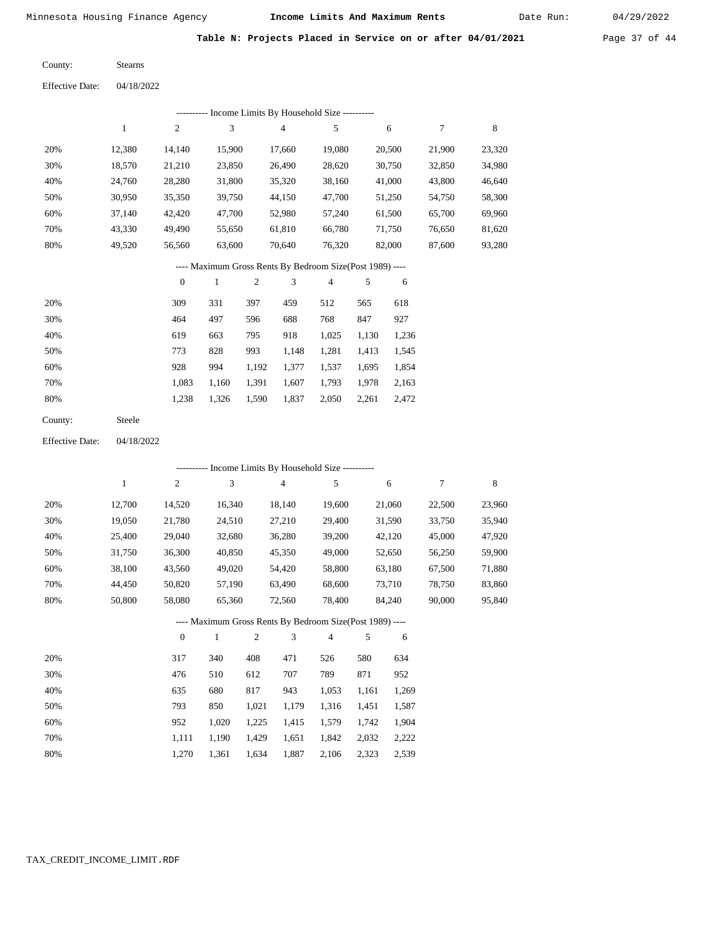Table N: Projects Placed in Service on or after 04/01/2021 Page 37 of 44

| County: | <b>Stearns</b> |
|---------|----------------|
|         |                |

|     | ---------- Income Limits By Household Size ---------- |        |        |                |        |        |        |        |  |  |
|-----|-------------------------------------------------------|--------|--------|----------------|--------|--------|--------|--------|--|--|
|     | 1                                                     | 2      | 3      | $\overline{4}$ | 5      | 6      | 7      | 8      |  |  |
| 20% | 12,380                                                | 14.140 | 15,900 | 17.660         | 19,080 | 20,500 | 21,900 | 23,320 |  |  |
| 30% | 18,570                                                | 21,210 | 23,850 | 26,490         | 28,620 | 30,750 | 32,850 | 34,980 |  |  |
| 40% | 24,760                                                | 28,280 | 31,800 | 35,320         | 38,160 | 41,000 | 43,800 | 46,640 |  |  |
| 50% | 30,950                                                | 35,350 | 39,750 | 44,150         | 47,700 | 51,250 | 54,750 | 58,300 |  |  |
| 60% | 37,140                                                | 42,420 | 47,700 | 52,980         | 57,240 | 61,500 | 65,700 | 69,960 |  |  |
| 70% | 43,330                                                | 49.490 | 55,650 | 61,810         | 66,780 | 71,750 | 76,650 | 81,620 |  |  |
| 80% | 49,520                                                | 56,560 | 63,600 | 70,640         | 76,320 | 82,000 | 87,600 | 93,280 |  |  |
|     |                                                       |        |        |                |        |        |        |        |  |  |

# ---- Maximum Gross Rents By Bedroom Size(Post 1989) ----

|     | 0     |       | $\overline{c}$ | 3     | 4     |       | 6     |
|-----|-------|-------|----------------|-------|-------|-------|-------|
| 20% | 309   | 331   | 397            | 459   | 512   | 565   | 618   |
| 30% | 464   | 497   | 596            | 688   | 768   | 847   | 927   |
| 40% | 619   | 663   | 795            | 918   | 1,025 | 1,130 | 1,236 |
| 50% | 773   | 828   | 993            | 1,148 | 1,281 | 1,413 | 1,545 |
| 60% | 928   | 994   | 1,192          | 1,377 | 1,537 | 1,695 | 1,854 |
| 70% | 1,083 | 1,160 | 1,391          | 1,607 | 1,793 | 1,978 | 2,163 |
| 80% | 1,238 | 1,326 | 1,590          | 1,837 | 2,050 | 2,261 | 2,472 |
|     |       |       |                |       |       |       |       |

Steele County:

04/18/2022 Effective Date:

|     |              |                |              |       |                | ---------- Income Limits By Household Size ----------    |       |        |        |        |
|-----|--------------|----------------|--------------|-------|----------------|----------------------------------------------------------|-------|--------|--------|--------|
|     | $\mathbf{1}$ | $\overline{2}$ | 3            |       | $\overline{4}$ | 5                                                        |       | 6      | 7      | 8      |
| 20% | 12,700       | 14,520         | 16,340       |       | 18,140         | 19,600                                                   |       | 21,060 | 22,500 | 23,960 |
| 30% | 19,050       | 21,780         | 24,510       |       | 27,210         | 29,400                                                   |       | 31,590 | 33,750 | 35,940 |
| 40% | 25,400       | 29,040         | 32,680       |       | 36,280         | 39,200                                                   |       | 42,120 | 45,000 | 47,920 |
| 50% | 31,750       | 36,300         | 40,850       |       | 45,350         | 49,000                                                   |       | 52,650 | 56,250 | 59,900 |
| 60% | 38,100       | 43,560         | 49,020       |       | 54,420         | 58,800                                                   |       | 63,180 | 67,500 | 71,880 |
| 70% | 44,450       | 50,820         | 57,190       |       | 63,490         | 68,600                                                   |       | 73,710 | 78,750 | 83,860 |
| 80% | 50,800       | 58,080         | 65,360       |       | 72,560         | 78,400                                                   |       | 84,240 | 90,000 | 95,840 |
|     |              |                |              |       |                | ---- Maximum Gross Rents By Bedroom Size(Post 1989) ---- |       |        |        |        |
|     |              | $\overline{0}$ | $\mathbf{1}$ | 2     | 3              | $\overline{4}$                                           | 5     | 6      |        |        |
| 20% |              | 317            | 340          | 408   | 471            | 526                                                      | 580   | 634    |        |        |
| 30% |              | 476            | 510          | 612   | 707            | 789                                                      | 871   | 952    |        |        |
| 40% |              | 635            | 680          | 817   | 943            | 1,053                                                    | 1,161 | 1,269  |        |        |
| 50% |              | 793            | 850          | 1,021 | 1,179          | 1,316                                                    | 1,451 | 1,587  |        |        |
| 60% |              | 952            | 1,020        | 1,225 | 1,415          | 1,579                                                    | 1,742 | 1,904  |        |        |

1,020 1,225 1,415 1,579 1,742 1,904

| 70% |  |  | 1,111 1,190 1,429 1,651 1,842 2,032 2,222 |  |
|-----|--|--|-------------------------------------------|--|
| 80% |  |  | 1,270 1,361 1,634 1,887 2,106 2,323 2,539 |  |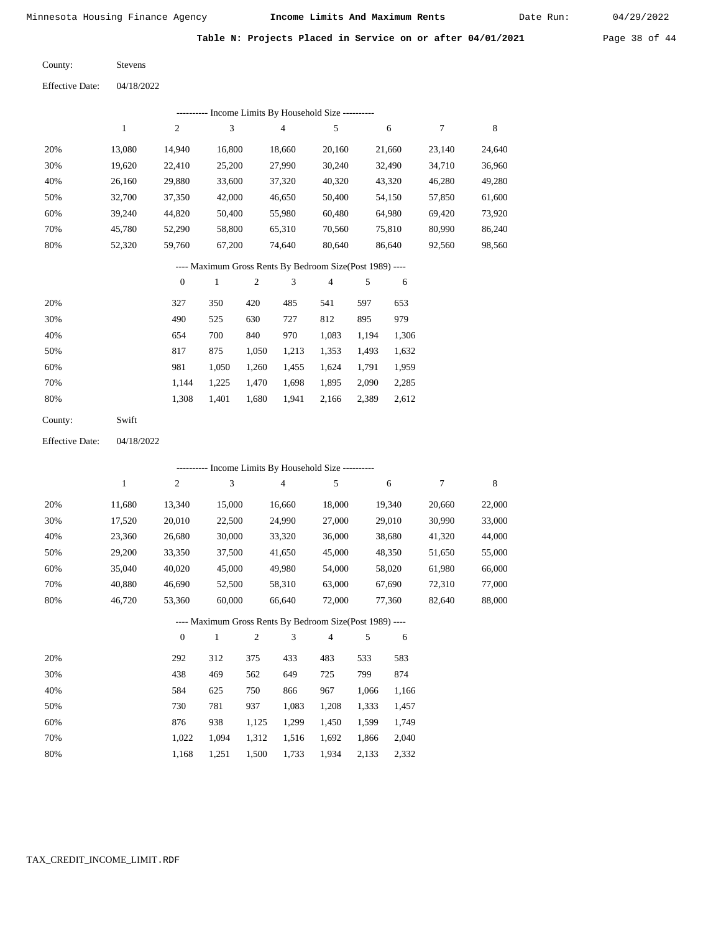Table N: Projects Placed in Service on or after 04/01/2021 Page 38 of 44

| County: | <b>Stevens</b> |
|---------|----------------|
|         |                |

04/18/2022 Effective Date:

| ---------- Income Limits By Household Size ---------- |        |        |        |        |          |        |        |        |  |
|-------------------------------------------------------|--------|--------|--------|--------|----------|--------|--------|--------|--|
|                                                       |        | 2      | 3      | 4      | 5        | 6      | 7      | 8      |  |
| 20%                                                   | 13.080 | 14,940 | 16.800 | 18.660 | 20.160   | 21,660 | 23.140 | 24,640 |  |
| 30%                                                   | 19,620 | 22,410 | 25,200 | 27,990 | 30,240   | 32,490 | 34,710 | 36,960 |  |
| 40%                                                   | 26.160 | 29,880 | 33,600 | 37,320 | 40,320   | 43,320 | 46,280 | 49,280 |  |
| 50%                                                   | 32,700 | 37,350 | 42,000 | 46,650 | 50,400   | 54,150 | 57,850 | 61,600 |  |
| 60%                                                   | 39,240 | 44,820 | 50,400 | 55,980 | 60,480   | 64,980 | 69,420 | 73,920 |  |
| 70%                                                   | 45.780 | 52,290 | 58,800 | 65,310 | 70,560   | 75,810 | 80,990 | 86,240 |  |
| 80%                                                   | 52,320 | 59,760 | 67,200 | 74.640 | 80,640   | 86,640 | 92,560 | 98,560 |  |
|                                                       |        |        | $\sim$ | .      | $\sim$ . |        |        |        |  |

| ---- Maximum Gross Rents By Bedroom Size(Post 1989) ---- |  |  |  |  |
|----------------------------------------------------------|--|--|--|--|
|----------------------------------------------------------|--|--|--|--|

|     | $\mathbf{0}$ |       | $\overline{2}$ | 3     | 4     | 5     | 6     |
|-----|--------------|-------|----------------|-------|-------|-------|-------|
| 20% | 327          | 350   | 420            | 485   | 541   | 597   | 653   |
| 30% | 490          | 525   | 630            | 727   | 812   | 895   | 979   |
| 40% | 654          | 700   | 840            | 970   | 1,083 | 1.194 | 1,306 |
| 50% | 817          | 875   | 1,050          | 1,213 | 1,353 | 1,493 | 1,632 |
| 60% | 981          | 1,050 | 1,260          | 1,455 | 1,624 | 1,791 | 1,959 |
| 70% | 1.144        | 1,225 | 1,470          | 1,698 | 1,895 | 2,090 | 2,285 |
| 80% | 1,308        | 1,401 | 1,680          | 1,941 | 2,166 | 2,389 | 2,612 |
|     |              |       |                |       |       |       |       |

| County: | Swift |
|---------|-------|
|---------|-------|

04/18/2022 Effective Date:

|     | ---------- Income Limits By Household Size ---------- |                |        |                |                |                                                          |       |        |        |        |  |
|-----|-------------------------------------------------------|----------------|--------|----------------|----------------|----------------------------------------------------------|-------|--------|--------|--------|--|
|     | $\mathbf{1}$                                          | $\overline{c}$ | 3      |                | $\overline{4}$ | 5                                                        |       | 6      | $\tau$ | 8      |  |
| 20% | 11,680                                                | 13,340         | 15,000 |                | 16,660         | 18,000                                                   |       | 19,340 | 20,660 | 22,000 |  |
| 30% | 17,520                                                | 20,010         | 22,500 |                | 24,990         | 27,000                                                   |       | 29,010 | 30,990 | 33,000 |  |
| 40% | 23,360                                                | 26,680         | 30,000 |                | 33,320         | 36,000                                                   |       | 38,680 | 41,320 | 44,000 |  |
| 50% | 29,200                                                | 33,350         | 37,500 |                | 41,650         | 45,000                                                   |       | 48,350 | 51,650 | 55,000 |  |
| 60% | 35,040                                                | 40,020         | 45,000 |                | 49,980         | 54,000                                                   |       | 58,020 | 61,980 | 66,000 |  |
| 70% | 40,880                                                | 46,690         | 52,500 |                | 58,310         | 63,000                                                   |       | 67,690 | 72,310 | 77,000 |  |
| 80% | 46,720                                                | 53,360         | 60,000 |                | 66,640         | 72,000                                                   |       | 77,360 | 82,640 | 88,000 |  |
|     |                                                       |                |        |                |                | ---- Maximum Gross Rents By Bedroom Size(Post 1989) ---- |       |        |        |        |  |
|     |                                                       | $\overline{0}$ | 1      | $\mathfrak{2}$ | 3              | 4                                                        | 5     | 6      |        |        |  |
| 20% |                                                       | 292            | 312    | 375            | 433            | 483                                                      | 533   | 583    |        |        |  |
| 30% |                                                       | 438            | 469    | 562            | 649            | 725                                                      | 799   | 874    |        |        |  |
| 40% |                                                       | 584            | 625    | 750            | 866            | 967                                                      | 1,066 | 1,166  |        |        |  |
| 50% |                                                       | 730            | 781    | 937            | 1,083          | 1,208                                                    | 1,333 | 1,457  |        |        |  |
| 60% |                                                       | 876            | 938    | 1,125          | 1,299          | 1,450                                                    | 1,599 | 1,749  |        |        |  |
| 70% |                                                       | 1,022          | 1,094  | 1,312          | 1,516          | 1,692                                                    | 1,866 | 2,040  |        |        |  |

1,168 1,251 1,500 1,733 1,934 2,133 2,332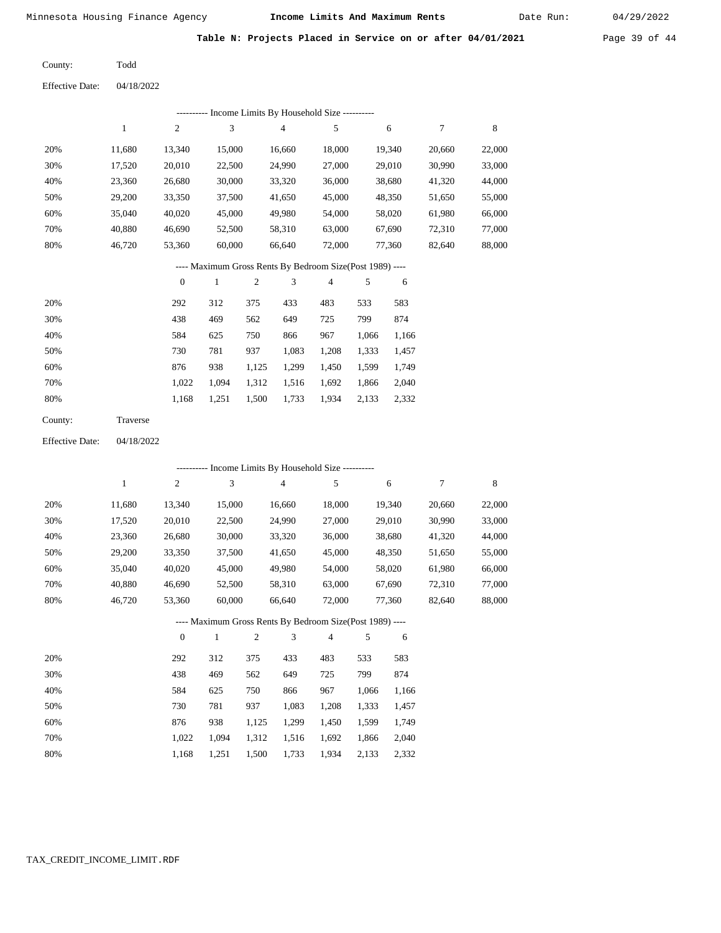Table N: Projects Placed in Service on or after 04/01/2021 Page 39 of 44

| County: | Todd |
|---------|------|
|---------|------|

04/18/2022 Effective Date:

|     | Income Limits By Household Size - |        |        |        |        |        |        |        |  |  |
|-----|-----------------------------------|--------|--------|--------|--------|--------|--------|--------|--|--|
|     |                                   | 2      | 3      | 4      | 5      | 6      | 7      | 8      |  |  |
| 20% | 11,680                            | 13,340 | 15,000 | 16,660 | 18,000 | 19,340 | 20,660 | 22,000 |  |  |
| 30% | 17,520                            | 20,010 | 22,500 | 24,990 | 27,000 | 29,010 | 30,990 | 33,000 |  |  |
| 40% | 23,360                            | 26,680 | 30,000 | 33,320 | 36,000 | 38,680 | 41,320 | 44,000 |  |  |
| 50% | 29,200                            | 33,350 | 37,500 | 41,650 | 45,000 | 48,350 | 51,650 | 55,000 |  |  |
| 60% | 35,040                            | 40,020 | 45,000 | 49,980 | 54,000 | 58,020 | 61,980 | 66,000 |  |  |
| 70% | 40,880                            | 46,690 | 52,500 | 58,310 | 63,000 | 67,690 | 72,310 | 77,000 |  |  |
| 80% | 46,720                            | 53,360 | 60,000 | 66,640 | 72,000 | 77,360 | 82,640 | 88,000 |  |  |
|     |                                   |        |        |        |        |        |        |        |  |  |

# ---- Maximum Gross Rents By Bedroom Size(Post 1989) ----

|     | $\mathbf{0}$ |       | $\overline{c}$ | 3     | $\overline{4}$ | 5     | 6     |
|-----|--------------|-------|----------------|-------|----------------|-------|-------|
| 20% | 292          | 312   | 375            | 433   | 483            | 533   | 583   |
| 30% | 438          | 469   | 562            | 649   | 725            | 799   | 874   |
| 40% | 584          | 625   | 750            | 866   | 967            | 1,066 | 1,166 |
| 50% | 730          | 781   | 937            | 1,083 | 1,208          | 1,333 | 1,457 |
| 60% | 876          | 938   | 1,125          | 1,299 | 1,450          | 1,599 | 1,749 |
| 70% | 1.022        | 1.094 | 1,312          | 1,516 | 1,692          | 1,866 | 2,040 |
| 80% | 1,168        | 1,251 | 1,500          | 1,733 | 1,934          | 2,133 | 2,332 |
|     |              |       |                |       |                |       |       |

| County: | Traverse |
|---------|----------|
|---------|----------|

04/18/2022 Effective Date:

|     |              |                |        |                | ---------- Income Limits By Household Size ----------    |        |       |        |        |        |
|-----|--------------|----------------|--------|----------------|----------------------------------------------------------|--------|-------|--------|--------|--------|
|     | $\mathbf{1}$ | $\overline{c}$ | 3      |                | $\overline{4}$                                           | 5      |       | 6      | 7      | 8      |
| 20% | 11,680       | 13,340         | 15,000 |                | 16,660                                                   | 18,000 |       | 19,340 | 20,660 | 22,000 |
| 30% | 17,520       | 20,010         | 22,500 |                | 24,990                                                   | 27,000 |       | 29,010 | 30,990 | 33,000 |
| 40% | 23,360       | 26,680         | 30,000 |                | 33,320                                                   | 36,000 |       | 38,680 | 41,320 | 44,000 |
| 50% | 29,200       | 33,350         | 37,500 |                | 41,650                                                   | 45,000 |       | 48,350 | 51,650 | 55,000 |
| 60% | 35,040       | 40,020         | 45,000 |                | 49,980                                                   | 54,000 |       | 58,020 | 61,980 | 66,000 |
| 70% | 40,880       | 46,690         | 52,500 |                | 58,310                                                   | 63,000 |       | 67,690 | 72,310 | 77,000 |
| 80% | 46,720       | 53,360         | 60,000 |                | 66,640                                                   | 72,000 |       | 77,360 | 82,640 | 88,000 |
|     |              |                |        |                | ---- Maximum Gross Rents By Bedroom Size(Post 1989) ---- |        |       |        |        |        |
|     |              | $\mathbf{0}$   | 1      | $\overline{2}$ | 3                                                        | 4      | 5     | 6      |        |        |
| 20% |              | 292            | 312    | 375            | 433                                                      | 483    | 533   | 583    |        |        |
| 30% |              | 438            | 469    | 562            | 649                                                      | 725    | 799   | 874    |        |        |
| 40% |              | 584            | 625    | 750            | 866                                                      | 967    | 1,066 | 1,166  |        |        |
| 50% |              | 730            | 781    | 937            | 1,083                                                    | 1,208  | 1,333 | 1,457  |        |        |
| 60% |              | 876            | 938    | 1,125          | 1,299                                                    | 1,450  | 1,599 | 1,749  |        |        |
| 70% |              | 1,022          | 1,094  | 1,312          | 1,516                                                    | 1,692  | 1,866 | 2,040  |        |        |

1,500 1,733

1,934 2,133 2,332

1,168

1,251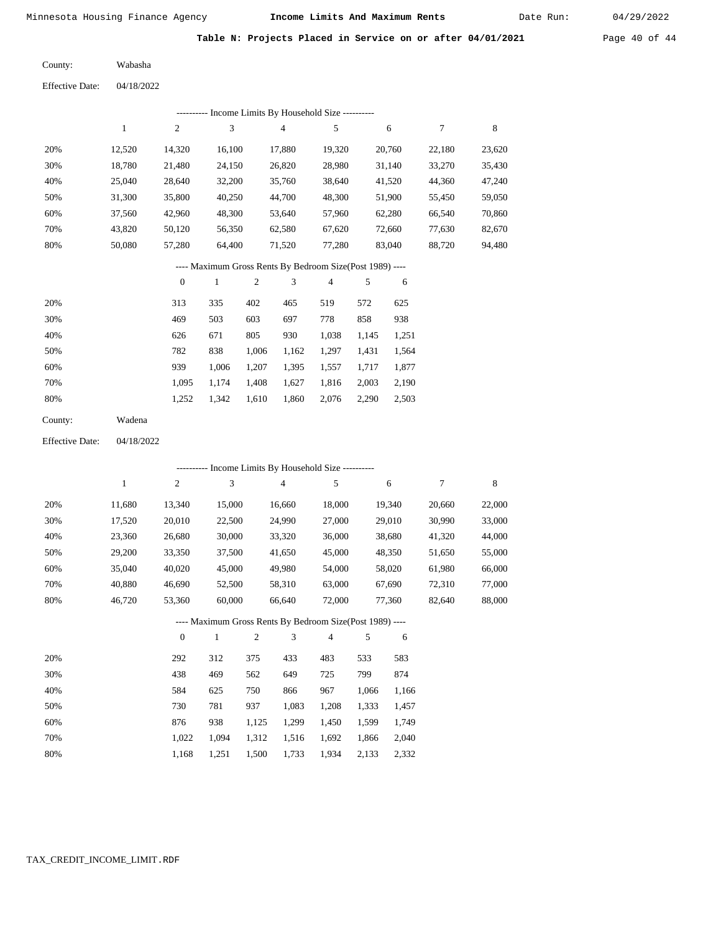Table N: Projects Placed in Service on or after 04/01/2021 Page 40 of 44

| County: | Wabasha |
|---------|---------|
|         |         |

| Effective Date: $04/18/2022$ |  |                            |  |
|------------------------------|--|----------------------------|--|
|                              |  | ---------- Income Limits B |  |
|                              |  |                            |  |

| Income Limits By Household Size ---------- |        |        |        |        |        |        |        |        |  |  |  |
|--------------------------------------------|--------|--------|--------|--------|--------|--------|--------|--------|--|--|--|
|                                            |        | 2      | 3      | 4      | 5      | 6      | 7      | 8      |  |  |  |
| 20%                                        | 12,520 | 14,320 | 16,100 | 17,880 | 19,320 | 20,760 | 22,180 | 23,620 |  |  |  |
| 30%                                        | 18,780 | 21,480 | 24,150 | 26,820 | 28,980 | 31,140 | 33,270 | 35,430 |  |  |  |
| 40%                                        | 25,040 | 28,640 | 32,200 | 35,760 | 38,640 | 41,520 | 44,360 | 47,240 |  |  |  |
| 50%                                        | 31,300 | 35,800 | 40,250 | 44,700 | 48,300 | 51,900 | 55,450 | 59,050 |  |  |  |
| 60%                                        | 37,560 | 42,960 | 48,300 | 53,640 | 57,960 | 62,280 | 66,540 | 70,860 |  |  |  |
| 70%                                        | 43,820 | 50,120 | 56,350 | 62,580 | 67,620 | 72,660 | 77,630 | 82,670 |  |  |  |
| 80%                                        | 50,080 | 57,280 | 64,400 | 71,520 | 77,280 | 83,040 | 88,720 | 94,480 |  |  |  |

### ---- Maximum Gross Rents By Bedroom Size(Post 1989) ----

|     | $\mathbf{0}$ |       | 2     | 3     | 4     | 5     | 6     |
|-----|--------------|-------|-------|-------|-------|-------|-------|
| 20% | 313          | 335   | 402   | 465   | 519   | 572   | 625   |
| 30% | 469          | 503   | 603   | 697   | 778   | 858   | 938   |
| 40% | 626          | 671   | 805   | 930   | 1,038 | 1,145 | 1,251 |
| 50% | 782          | 838   | 1,006 | 1,162 | 1,297 | 1,431 | 1,564 |
| 60% | 939          | 1,006 | 1,207 | 1,395 | 1,557 | 1,717 | 1,877 |
| 70% | 1.095        | 1,174 | 1,408 | 1,627 | 1,816 | 2,003 | 2,190 |
| 80% | 1,252        | 1,342 | 1,610 | 1,860 | 2,076 | 2,290 | 2,503 |
|     |              |       |       |       |       |       |       |

| County: | Wadena |
|---------|--------|
|---------|--------|

04/18/2022 Effective Date:

| ---------- Income Limits By Household Size ---------- |        |                |              |                |                |                                                          |       |        |        |             |
|-------------------------------------------------------|--------|----------------|--------------|----------------|----------------|----------------------------------------------------------|-------|--------|--------|-------------|
|                                                       | 1      | $\overline{c}$ | 3            |                | $\overline{4}$ | 5                                                        |       | 6      | 7      | $\,$ 8 $\,$ |
| 20%                                                   | 11,680 | 13,340         | 15,000       |                | 16,660         | 18,000                                                   |       | 19,340 | 20,660 | 22,000      |
| 30%                                                   | 17,520 | 20,010         | 22,500       |                | 24,990         | 27,000                                                   |       | 29,010 | 30,990 | 33,000      |
| 40%                                                   | 23,360 | 26,680         | 30,000       |                | 33,320         | 36,000                                                   |       | 38,680 | 41,320 | 44,000      |
| 50%                                                   | 29,200 | 33,350         | 37,500       |                | 41,650         | 45,000                                                   |       | 48,350 | 51,650 | 55,000      |
| 60%                                                   | 35,040 | 40,020         | 45,000       |                | 49,980         | 54,000                                                   |       | 58,020 | 61,980 | 66,000      |
| 70%                                                   | 40,880 | 46,690         | 52,500       |                | 58,310         | 63,000                                                   |       | 67,690 | 72,310 | 77,000      |
| 80%                                                   | 46,720 | 53,360         | 60,000       |                | 66,640         | 72,000                                                   |       | 77,360 | 82,640 | 88,000      |
|                                                       |        |                |              |                |                | ---- Maximum Gross Rents By Bedroom Size(Post 1989) ---- |       |        |        |             |
|                                                       |        | $\overline{0}$ | $\mathbf{1}$ | $\overline{2}$ | 3              | $\overline{4}$                                           | 5     | 6      |        |             |
| 20%                                                   |        | 292            | 312          | 375            | 433            | 483                                                      | 533   | 583    |        |             |
| 30%                                                   |        | 438            | 469          | 562            | 649            | 725                                                      | 799   | 874    |        |             |
| 40%                                                   |        | 584            | 625          | 750            | 866            | 967                                                      | 1,066 | 1,166  |        |             |
| 50%                                                   |        | 730            | 781          | 937            | 1,083          | 1,208                                                    | 1,333 | 1,457  |        |             |
| 60%                                                   |        | 876            | 938          | 1,125          | 1,299          | 1,450                                                    | 1,599 | 1,749  |        |             |
| 70%                                                   |        | 1,022          | 1,094        | 1,312          | 1,516          | 1,692                                                    | 1,866 | 2,040  |        |             |

1,500 1,733

1,934 2,133 2,332

1,168

1,251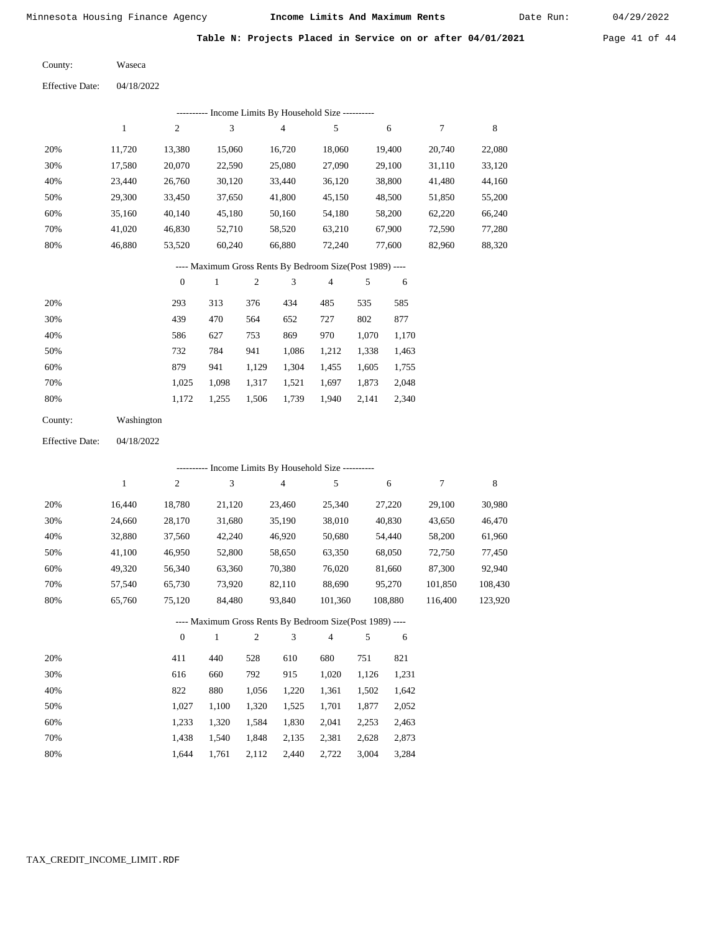Table N: Projects Placed in Service on or after 04/01/2021 Page 41 of 44

| County: | Waseca |
|---------|--------|
|         |        |

Effective Date: 04/18/2022

|     | -- Income Limits By Household Size ---------- |        |        |        |        |        |        |        |  |  |  |  |
|-----|-----------------------------------------------|--------|--------|--------|--------|--------|--------|--------|--|--|--|--|
|     |                                               | 2      | 3      | 4      | 5      | 6      | 7      | 8      |  |  |  |  |
| 20% | 11.720                                        | 13,380 | 15,060 | 16.720 | 18,060 | 19.400 | 20,740 | 22,080 |  |  |  |  |
| 30% | 17,580                                        | 20,070 | 22,590 | 25,080 | 27,090 | 29,100 | 31,110 | 33,120 |  |  |  |  |
| 40% | 23.440                                        | 26,760 | 30,120 | 33,440 | 36,120 | 38,800 | 41,480 | 44,160 |  |  |  |  |
| 50% | 29,300                                        | 33.450 | 37,650 | 41,800 | 45,150 | 48,500 | 51,850 | 55,200 |  |  |  |  |
| 60% | 35,160                                        | 40,140 | 45,180 | 50,160 | 54,180 | 58,200 | 62,220 | 66,240 |  |  |  |  |
| 70% | 41,020                                        | 46,830 | 52,710 | 58,520 | 63,210 | 67,900 | 72,590 | 77,280 |  |  |  |  |
| 80% | 46,880                                        | 53,520 | 60.240 | 66,880 | 72,240 | 77,600 | 82,960 | 88,320 |  |  |  |  |

# ---- Maximum Gross Rents By Bedroom Size(Post 1989) ----

|     | $\mathbf{0}$ |       | $\overline{c}$ | 3     | 4     | 5     | 6     |
|-----|--------------|-------|----------------|-------|-------|-------|-------|
| 20% | 293          | 313   | 376            | 434   | 485   | 535   | 585   |
| 30% | 439          | 470   | 564            | 652   | 727   | 802   | 877   |
| 40% | 586          | 627   | 753            | 869   | 970   | 1,070 | 1,170 |
| 50% | 732          | 784   | 941            | 1,086 | 1,212 | 1,338 | 1,463 |
| 60% | 879          | 941   | 1,129          | 1,304 | 1,455 | 1,605 | 1,755 |
| 70% | 1.025        | 1,098 | 1,317          | 1,521 | 1,697 | 1,873 | 2,048 |
| 80% | 1,172        | 1,255 | 1,506          | 1,739 | 1,940 | 2,141 | 2,340 |

| County: | Washington |
|---------|------------|
|         |            |

Effective Date: 04/18/2022

| ---------- Income Limits By Household Size ---------- |        |                |        |                                                          |                |         |         |         |
|-------------------------------------------------------|--------|----------------|--------|----------------------------------------------------------|----------------|---------|---------|---------|
|                                                       | 1      | 2              | 3      | 4                                                        | 5              | 6       | 7       | 8       |
| 20%                                                   | 16,440 | 18,780         | 21,120 | 23,460                                                   | 25,340         | 27,220  | 29,100  | 30,980  |
| 30%                                                   | 24,660 | 28,170         | 31,680 | 35,190                                                   | 38,010         | 40,830  | 43,650  | 46,470  |
| 40%                                                   | 32,880 | 37,560         | 42,240 | 46,920                                                   | 50,680         | 54,440  | 58,200  | 61,960  |
| 50%                                                   | 41,100 | 46,950         | 52,800 | 58,650                                                   | 63,350         | 68,050  | 72,750  | 77,450  |
| 60%                                                   | 49,320 | 56,340         | 63,360 | 70,380                                                   | 76,020         | 81,660  | 87,300  | 92,940  |
| 70%                                                   | 57.540 | 65,730         | 73,920 | 82,110                                                   | 88,690         | 95,270  | 101,850 | 108.430 |
| 80%                                                   | 65,760 | 75,120         | 84,480 | 93,840                                                   | 101,360        | 108,880 | 116,400 | 123,920 |
|                                                       |        |                |        | ---- Maximum Gross Rents By Bedroom Size(Post 1989) ---- |                |         |         |         |
|                                                       |        | $\overline{0}$ | 1      | 3<br>2                                                   | $\overline{4}$ | 5<br>6  |         |         |

| 20% | 411   | 440   | 528   | 610   | 680   | 751   | 821   |
|-----|-------|-------|-------|-------|-------|-------|-------|
| 30% | 616   | 660   | 792   | 915   | 1.020 | 1.126 | 1,231 |
| 40% | 822   | 880   | 1.056 | 1,220 | 1,361 | 1,502 | 1,642 |
| 50% | 1.027 | 1.100 | 1.320 | 1,525 | 1,701 | 1.877 | 2,052 |
| 60% | 1.233 | 1.320 | 1.584 | 1,830 | 2,041 | 2.253 | 2,463 |
| 70% | 1.438 | 1.540 | 1,848 | 2,135 | 2,381 | 2,628 | 2,873 |
| 80% | 1.644 | 1.761 | 2,112 | 2.440 | 2.722 | 3,004 | 3,284 |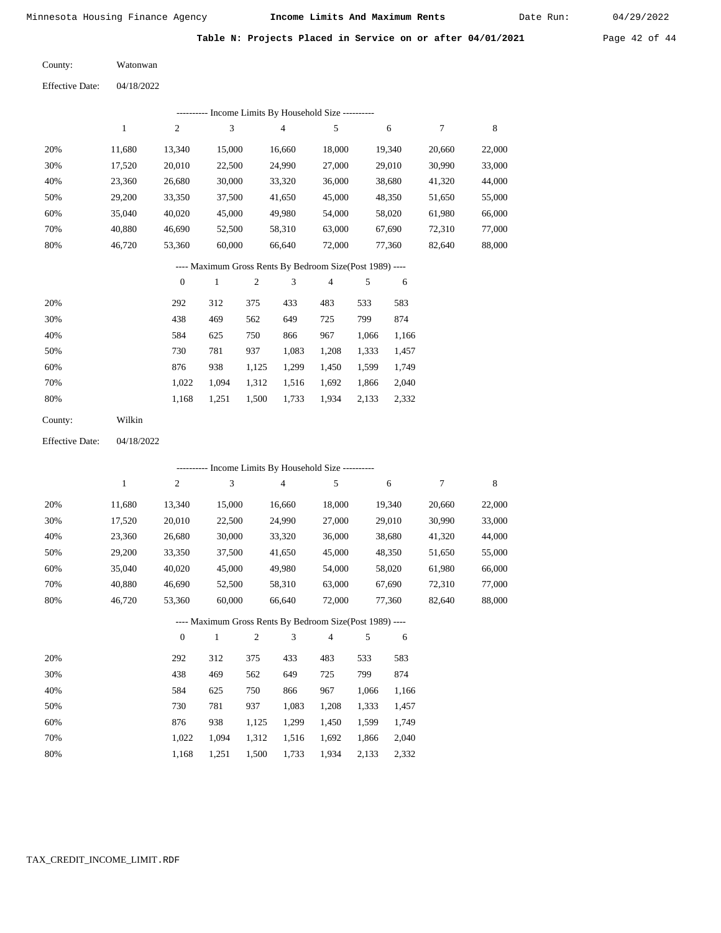Table N: Projects Placed in Service on or after 04/01/2021 Page 42 of 44

| County:                | Watonwan   |
|------------------------|------------|
| <b>Effective Date:</b> | 04/18/2022 |

|                        |            |                  |              |            | --------- Income Limits By Household Size ---------      |                          |            |        |        |             |
|------------------------|------------|------------------|--------------|------------|----------------------------------------------------------|--------------------------|------------|--------|--------|-------------|
|                        | $\,1$      | $\overline{c}$   | 3            |            | $\overline{4}$                                           | 5                        |            | 6      | 7      | $\,$ 8 $\,$ |
| 20%                    | 11,680     | 13,340           | 15,000       |            | 16,660                                                   | 18,000                   |            | 19,340 | 20,660 | 22,000      |
| 30%                    | 17,520     | 20,010           | 22,500       |            | 24,990                                                   | 27,000                   |            | 29,010 | 30,990 | 33,000      |
| 40%                    | 23,360     | 26,680           | 30,000       |            | 33,320                                                   | 36,000                   |            | 38,680 | 41,320 | 44,000      |
| 50%                    | 29,200     | 33,350           | 37,500       |            | 41,650                                                   | 45,000                   |            | 48,350 | 51,650 | 55,000      |
| 60%                    | 35,040     | 40,020           | 45,000       |            | 49,980                                                   | 54,000                   |            | 58,020 | 61,980 | 66,000      |
| 70%                    | 40,880     | 46,690           | 52,500       |            | 58,310                                                   | 63,000                   |            | 67,690 | 72,310 | 77,000      |
| 80%                    | 46,720     | 53,360           | 60,000       |            | 66,640                                                   | 72,000                   |            | 77,360 | 82,640 | 88,000      |
|                        |            |                  |              |            | ---- Maximum Gross Rents By Bedroom Size(Post 1989) ---- |                          |            |        |        |             |
|                        |            | $\boldsymbol{0}$ | $\mathbf{1}$ | $\sqrt{2}$ | 3                                                        | $\overline{4}$           | 5          | 6      |        |             |
| 20%                    |            | 292              | 312          | 375        | 433                                                      | 483                      | 533        | 583    |        |             |
| 30%                    |            | 438              | 469          | 562        | 649                                                      | 725                      | 799        | 874    |        |             |
| 40%                    |            | 584              | 625          | 750        | 866                                                      | 967                      | 1,066      | 1,166  |        |             |
| 50%                    |            | 730              | 781          | 937        | 1,083                                                    | 1,208                    | 1,333      | 1,457  |        |             |
| 60%                    |            | 876              | 938          | 1,125      | 1,299                                                    | 1,450                    | 1,599      | 1,749  |        |             |
| 70%                    |            | 1,022            | 1,094        | 1,312      | 1,516                                                    | 1,692                    | 1,866      | 2,040  |        |             |
| 80%                    |            | 1,168            | 1,251        | 1,500      | 1,733                                                    | 1,934                    | 2,133      | 2,332  |        |             |
| County:                | Wilkin     |                  |              |            |                                                          |                          |            |        |        |             |
| <b>Effective Date:</b> | 04/18/2022 |                  |              |            |                                                          |                          |            |        |        |             |
|                        |            |                  |              |            | ---------- Income Limits By Household Size ----------    |                          |            |        |        |             |
|                        | $\,1\,$    | $\sqrt{2}$       | 3            |            | $\overline{4}$                                           | 5                        |            | 6      | 7      | 8           |
| 20%                    | 11,680     | 13,340           | 15,000       |            | 16,660                                                   | 18,000                   |            | 19,340 | 20,660 | 22,000      |
| 30%                    | 17,520     | 20,010           | 22,500       |            | 24,990                                                   | 27,000                   |            | 29,010 | 30,990 | 33,000      |
| 40%                    | 23,360     | 26,680           | 30,000       |            | 33,320                                                   | 36,000                   |            | 38,680 | 41,320 | 44,000      |
| 50%                    | 29,200     | 33,350           | 37,500       |            | 41,650                                                   | 45,000                   |            | 48,350 | 51,650 | 55,000      |
| 60%                    | 35,040     | 40,020           | 45,000       |            | 49,980                                                   | 54,000                   |            | 58,020 | 61,980 | 66,000      |
| 70%                    | 40,880     | 46,690           | 52,500       |            | 58,310                                                   | 63,000                   |            | 67,690 | 72,310 | 77,000      |
| 80%                    | 46,720     | 53.360           | 60,000       |            | 66,640                                                   | 72,000                   |            | 77,360 | 82,640 | 88,000      |
|                        |            |                  |              |            | ---- Maximum Gross Rents By Bedroom Size(Post 1989) ---- |                          |            |        |        |             |
|                        |            | $\boldsymbol{0}$ | $\mathbf{1}$ | $\sqrt{2}$ | 3                                                        | $\overline{\mathcal{L}}$ | $\sqrt{5}$ | 6      |        |             |
| 20%                    |            | 292              | 312          | 375        | 433                                                      | 483                      | 533        | 583    |        |             |
| 30%                    |            | 438              | 469          | 562        | 649                                                      | 725                      | 799        | 874    |        |             |
| 40%                    |            | 584              | 625          | 750        | 866                                                      | 967                      | 1,066      | 1,166  |        |             |
| 50%                    |            | 730              | 781          | 937        | 1,083                                                    | 1,208                    | 1,333      | 1,457  |        |             |
| 60%                    |            | 876              | 938          | 1,125      | 1,299                                                    | 1,450                    | 1,599      | 1,749  |        |             |
| 70%                    |            | 1,022            | 1,094        | 1,312      | 1,516                                                    | 1,692                    | 1,866      | 2,040  |        |             |
| 80%                    |            | 1,168            | 1,251        | 1,500      | 1,733                                                    | 1,934                    | 2,133      | 2,332  |        |             |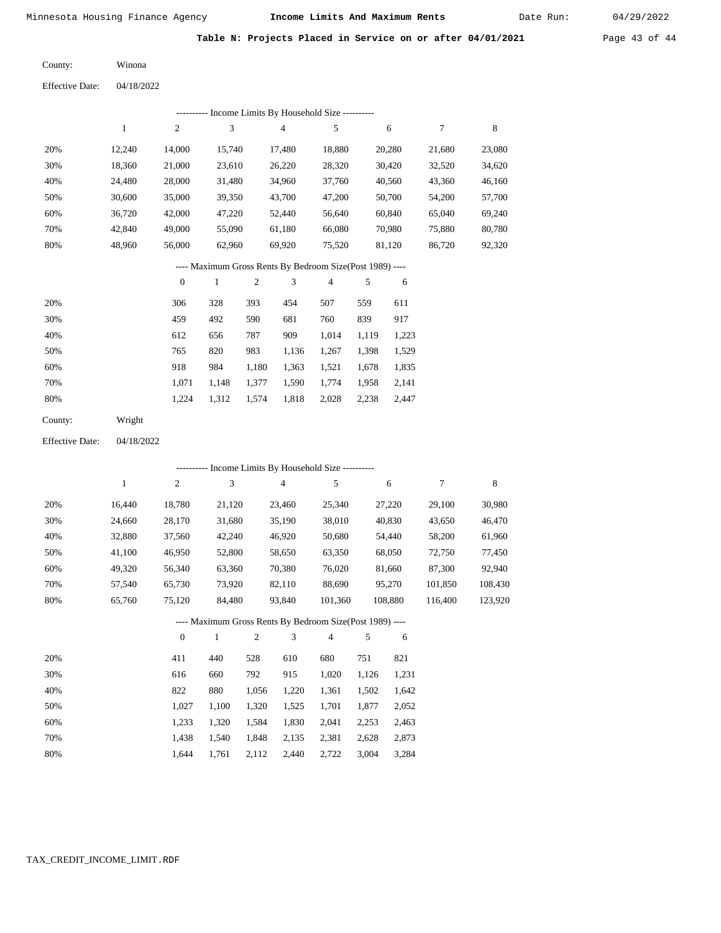Table N: Projects Placed in Service on or after 04/01/2021 Page 43 of 44

| County: | Winona |
|---------|--------|
|         |        |

Effective Date: 04/18/2022

|                 |        |                 |                         |     |          | --------- Income Limits By Household Size ----------     |       |        |        |        |
|-----------------|--------|-----------------|-------------------------|-----|----------|----------------------------------------------------------|-------|--------|--------|--------|
|                 | 1      | $\overline{2}$  | 3                       |     | 4        | 5                                                        |       | 6      | 7      | 8      |
| 20%             | 12,240 | 14,000          | 15,740                  |     | 17,480   | 18,880                                                   |       | 20,280 | 21,680 | 23,080 |
| 30%             | 18,360 | 21,000          | 23,610                  |     | 26,220   | 28,320                                                   |       | 30,420 | 32,520 | 34,620 |
| 40%             | 24,480 | 28,000          | 31,480                  |     | 34,960   | 37,760                                                   |       | 40,560 | 43,360 | 46,160 |
| 50%             | 30,600 | 35,000          | 39,350                  |     | 43,700   | 47,200                                                   |       | 50,700 | 54,200 | 57,700 |
| 60%             | 36,720 | 42,000          | 47,220                  |     | 52,440   | 56,640                                                   |       | 60,840 | 65,040 | 69,240 |
| 70%             | 42,840 | 49,000          | 55,090                  |     | 61,180   | 66,080                                                   |       | 70,980 | 75,880 | 80,780 |
| 80%             | 48,960 | 56,000          | 62,960                  |     | 69,920   | 75,520                                                   |       | 81,120 | 86,720 | 92,320 |
|                 |        |                 |                         |     |          | ---- Maximum Gross Rents By Bedroom Size(Post 1989) ---- |       |        |        |        |
|                 |        | $\mathbf{0}$    | 1                       | 2   | 3        | $\overline{4}$                                           | 5     | 6      |        |        |
| 20%             |        | 306             | 328                     | 393 | 454      | 507                                                      | 559   | 611    |        |        |
| 30%             |        | 459             | 492                     | 590 | 681      | 760                                                      | 839   | 917    |        |        |
| 10 <sub>0</sub> |        | $\sim$ 1 $\sim$ | $\epsilon$ . $\epsilon$ | 707 | $\Omega$ | 1.011                                                    | 1.110 | 1.222  |        |        |

| 40% | 612   | 656                                       | 787 |                               | 909 1,014 1,119 1,223 |  |
|-----|-------|-------------------------------------------|-----|-------------------------------|-----------------------|--|
| 50% | 765   | 820                                       |     | 983 1,136 1,267 1,398 1,529   |                       |  |
| 60% | 918   | 984                                       |     | 1,180 1,363 1,521 1,678 1,835 |                       |  |
| 70% |       | 1,071 1,148 1,377 1,590 1,774 1,958 2,141 |     |                               |                       |  |
| 80% | 1.224 | 1,312 1,574 1,818 2,028 2,238 2,447       |     |                               |                       |  |
|     |       |                                           |     |                               |                       |  |

| County: | Wright |
|---------|--------|
|---------|--------|

Effective Date: 04/18/2022

|     |        |                |              |     |                | ---------- Income Limits By Household Size ----------    |     |         |         |         |
|-----|--------|----------------|--------------|-----|----------------|----------------------------------------------------------|-----|---------|---------|---------|
|     | 1      | $\overline{c}$ | 3            |     | $\overline{4}$ | 5                                                        |     | 6       | 7       | 8       |
| 20% | 16,440 | 18,780         | 21,120       |     | 23,460         | 25,340                                                   |     | 27,220  | 29,100  | 30,980  |
| 30% | 24,660 | 28,170         | 31,680       |     | 35,190         | 38,010                                                   |     | 40,830  | 43,650  | 46,470  |
| 40% | 32,880 | 37,560         | 42,240       |     | 46,920         | 50,680                                                   |     | 54,440  | 58,200  | 61,960  |
| 50% | 41,100 | 46,950         | 52,800       |     | 58,650         | 63,350                                                   |     | 68,050  | 72,750  | 77,450  |
| 60% | 49,320 | 56,340         | 63,360       |     | 70,380         | 76,020                                                   |     | 81,660  | 87,300  | 92,940  |
| 70% | 57,540 | 65,730         | 73,920       |     | 82,110         | 88,690                                                   |     | 95,270  | 101,850 | 108,430 |
| 80% | 65,760 | 75,120         | 84,480       |     | 93,840         | 101,360                                                  |     | 108,880 | 116,400 | 123,920 |
|     |        |                |              |     |                | ---- Maximum Gross Rents By Bedroom Size(Post 1989) ---- |     |         |         |         |
|     |        | $\theta$       | $\mathbf{1}$ | 2   | 3              | $\overline{4}$                                           | 5   | 6       |         |         |
| 20% |        | 411            | 440          | 528 | 610            | 680                                                      | 751 | 821     |         |         |

| 20% | 411   | 440   | 528   | 610   | 680   | 751   | 821   |
|-----|-------|-------|-------|-------|-------|-------|-------|
| 30% | 616   | 660   | 792   | 915   | 1.020 | 1.126 | 1.231 |
| 40% | 822   | 880   | 1.056 | 1.220 | 1.361 | 1.502 | 1,642 |
| 50% | 1.027 | 1.100 | 1.320 | 1,525 | 1,701 | 1.877 | 2,052 |
| 60% | 1.233 | 1.320 | 1.584 | 1,830 | 2,041 | 2.253 | 2,463 |
| 70% | 1.438 | 1.540 | 1.848 | 2,135 | 2,381 | 2.628 | 2,873 |
| 80% | 1.644 | 1.761 | 2,112 | 2.440 | 2,722 | 3,004 | 3,284 |